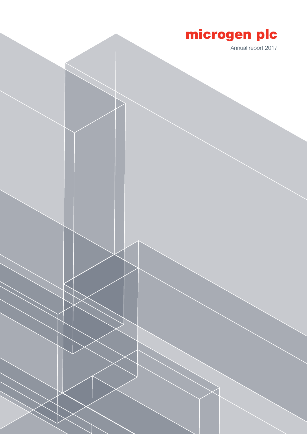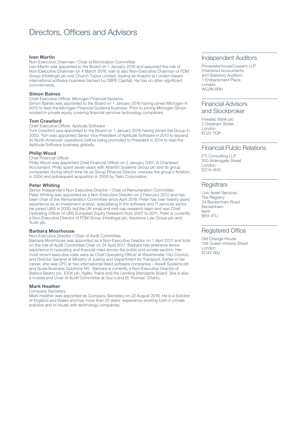# Directors, Officers and Advisors

#### Ivan Martin

Non-Executive Chairman / Chair of Nomination Committee

Ivan Martin was appointed to the Board on 1 January 2016 and assumed the role of Non-Executive Chairman on 4 March 2016. Ivan is also Non-Executive Chairman of FDM Group (Holdings) plc and Church Topco Limited, trading as Xceptor (a London-based international software business backed by CBPE Capital). He has no other significant commitments.

#### Simon Baines

Chief Executive Officer, Microgen Financial Systems

Simon Baines was appointed to the Board on 1 January 2016 having joined Microgen in 2010 to lead the Microgen Financial Systems business. Prior to joining Microgen Simon worked in private equity covering financial services technology companies.

#### Tom Crawford

Chief Executive Officer, Aptitude Software

Tom Crawford was appointed to the Board on 1 January 2016 having joined the Group in 2003. Tom was appointed Senior Vice President of Aptitude Software in 2010 to expand its North American operations before being promoted to President in 2014 to lead the Aptitude Software business globally.

#### Philip Wood

Chief Financial Officer

Philip Wood was appointed Chief Financial Officer on 2 January 2007. A Chartered Accountant, Philip spent seven years with AttentiV Systems Group plc and its group companies during which time he as Group Finance Director oversaw the group's flotation in 2004 and subsequent acquisition in 2005 by Tieto Corporation.

#### Peter Whiting

Senior Independent Non-Executive Director / Chair of Remuneration Committee Peter Whiting was appointed as a Non-Executive Director on 2 February 2012 and has been chair of the Remuneration Committee since April 2016. Peter has over twenty years' experience as an investment analyst, specialising in the software and IT services sector. He joined UBS in 2000, led the UK small and mid-cap research team and was Chief Operating Officer of UBS European Equity Research from 2007 to 2011. Peter is currently a Non-Executive Director of FDM Group (Holdings) plc, Keystone Law Group plc and Trufin plc.

#### Barbara Moorhouse

Non-Executive Director / Chair of Audit Committee

Barbara Moorhouse was appointed as a Non-Executive Director on 1 April 2017 and took on the role of Audit Committee Chair on 24 April 2017. Barbara has extensive senior experience in operating and financial roles across the public and private sectors. Her most recent executive roles were as Chief Operating Officer at Westminster City Council, and Director General at Ministry of Justice and Department for Transport. Earlier in her career, she was CFO at two international listed software companies – Kewill Systems plc and Scala Business Solutions NV. Barbara is currently a Non-Executive Director of Balfour Beatty plc, IDOX plc, Agility Trains and the Lending Standards Board. She is also a trustee and Chair of Audit Committee at Guy's and St Thomas' Charity.

#### Mark Heather

#### Company Secretary

Mark Heather was appointed as Company Secretary on 22 August 2016. He is a Solicitor of England and Wales and has more than 20 years' experience working both in private practice and in-house with technology companies.

## Independent Auditors

PricewaterhouseCoopers LLP Chartered Accountants and Statutory Auditors 1 Embankment Place London WC2N 6RH

# Financial Advisors and Stockbroker

Investec Bank plc 2 Gresham Street London EC2V 7QP

### Financial Public Relations

FTI Consulting LLP 200 Aldersgate Street London EC1A 4HD

#### **Registrars**

Link Asset Services The Registry 34 Beckenham Road Beckenham Kent BR3 4TU

## Registered Office

Old Change House 128 Queen Victoria Street London  $FCAV$  4BJ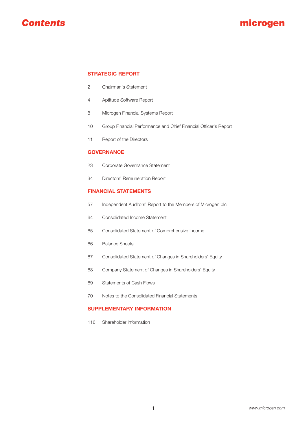# *Contents*

# **microgen**

# **STRATEGIC REPORT**

- 2 Chairman's Statement
- 4 Aptitude Software Report
- 8 Microgen Financial Systems Report
- 10 Group Financial Performance and Chief Financial Officer's Report
- 11 Report of the Directors

# **GOVERNANCE**

- 23 Corporate Governance Statement
- 34 Directors' Remuneration Report

# **FINANCIAL STATEMENTS**

- 57 Independent Auditors' Report to the Members of Microgen plc
- 64 Consolidated Income Statement
- 65 Consolidated Statement of Comprehensive Income
- 66 Balance Sheets
- 67 Consolidated Statement of Changes in Shareholders' Equity
- 68 Company Statement of Changes in Shareholders' Equity
- 69 Statements of Cash Flows
- 70 Notes to the Consolidated Financial Statements

# **SUPPLEMENTARY INFORMATION**

116 Shareholder Information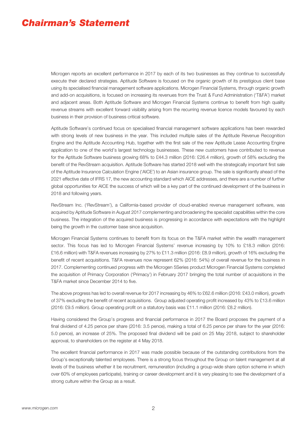# *Chairman's Statement*

Microgen reports an excellent performance in 2017 by each of its two businesses as they continue to successfully execute their declared strategies. Aptitude Software is focused on the organic growth of its prestigious client base using its specialised financial management software applications. Microgen Financial Systems, through organic growth and add-on acquisitions, is focused on increasing its revenues from the Trust & Fund Administration ('T&FA') market and adjacent areas. Both Aptitude Software and Microgen Financial Systems continue to benefit from high quality revenue streams with excellent forward visibility arising from the recurring revenue licence models favoured by each business in their provision of business critical software.

Aptitude Software's continued focus on specialised financial management software applications has been rewarded with strong levels of new business in the year. This included multiple sales of the Aptitude Revenue Recognition Engine and the Aptitude Accounting Hub, together with the first sale of the new Aptitude Lease Accounting Engine application to one of the world's largest technology businesses. These new customers have contributed to revenue for the Aptitude Software business growing 68% to £44.3 million (2016: £26.4 million), growth of 58% excluding the benefit of the RevStream acquisition. Aptitude Software has started 2018 well with the strategically important first sale of the Aptitude Insurance Calculation Engine ('AICE') to an Asian insurance group. The sale is significantly ahead of the 2021 effective date of IFRS 17, the new accounting standard which AICE addresses, and there are a number of further global opportunities for AICE the success of which will be a key part of the continued development of the business in 2018 and following years.

RevStream Inc. ('RevStream'), a California-based provider of cloud-enabled revenue management software, was acquired by Aptitude Software in August 2017 complementing and broadening the specialist capabilities within the core business. The integration of the acquired business is progressing in accordance with expectations with the highlight being the growth in the customer base since acquisition.

Microgen Financial Systems continues to benefit from its focus on the T&FA market within the wealth management sector. This focus has led to Microgen Financial Systems' revenue increasing by 10% to £18.3 million (2016: £16.6 million) with T&FA revenues increasing by 27% to £11.3 million (2016: £8.9 million), growth of 16% excluding the benefit of recent acquisitions. T&FA revenues now represent 62% (2016: 54%) of overall revenue for the business in 2017. Complementing continued progress with the Microgen 5Series product Microgen Financial Systems completed the acquisition of Primacy Corporation ('Primacy') in February 2017 bringing the total number of acquisitions in the T&FA market since December 2014 to five.

The above progress has led to overall revenue for 2017 increasing by 46% to £62.6 million (2016: £43.0 million), growth of 37% excluding the benefit of recent acquisitions. Group adjusted operating profit increased by 43% to £13.6 million (2016: £9.5 million). Group operating profit on a statutory basis was £11.1 million (2016: £8.2 million).

Having considered the Group's progress and financial performance in 2017 the Board proposes the payment of a final dividend of 4.25 pence per share (2016: 3.5 pence), making a total of 6.25 pence per share for the year (2016: 5.0 pence), an increase of 25%. The proposed final dividend will be paid on 25 May 2018, subject to shareholder approval, to shareholders on the register at 4 May 2018.

The excellent financial performance in 2017 was made possible because of the outstanding contributions from the Group's exceptionally talented employees. There is a strong focus throughout the Group on talent management at all levels of the business whether it be recruitment, remuneration (including a group-wide share option scheme in which over 60% of employees participate), training or career development and it is very pleasing to see the development of a strong culture within the Group as a result.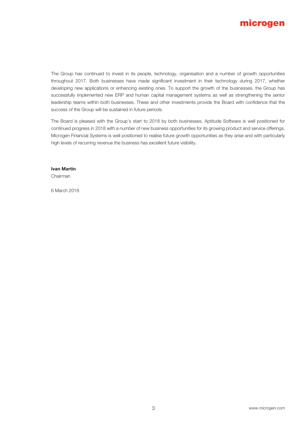

The Group has continued to invest in its people, technology, organisation and a number of growth opportunities throughout 2017. Both businesses have made significant investment in their technology during 2017, whether developing new applications or enhancing existing ones. To support the growth of the businesses, the Group has successfully implemented new ERP and human capital management systems as well as strengthening the senior leadership teams within both businesses. These and other investments provide the Board with confidence that the success of the Group will be sustained in future periods.

The Board is pleased with the Group's start to 2018 by both businesses. Aptitude Software is well positioned for continued progress in 2018 with a number of new business opportunities for its growing product and service offerings. Microgen Financial Systems is well positioned to realise future growth opportunities as they arise and with particularly high levels of recurring revenue the business has excellent future visibility.

**Ivan Martin** 

Chairman

6 March 2018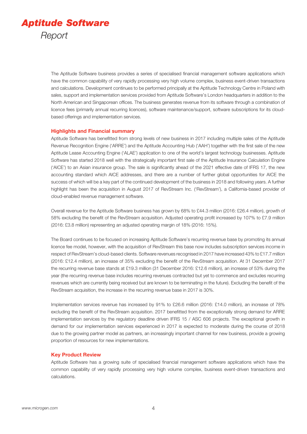

The Aptitude Software business provides a series of specialised financial management software applications which have the common capability of very rapidly processing very high volume complex, business event-driven transactions and calculations. Development continues to be performed principally at the Aptitude Technology Centre in Poland with sales, support and implementation services provided from Aptitude Software's London headquarters in addition to the North American and Singaporean offices. The business generates revenue from its software through a combination of licence fees (primarily annual recurring licences), software maintenance/support, software subscriptions for its cloudbased offerings and implementation services.

### **Highlights and Financial summary**

Aptitude Software has benefitted from strong levels of new business in 2017 including multiple sales of the Aptitude Revenue Recognition Engine ('ARRE') and the Aptitude Accounting Hub ('AAH') together with the first sale of the new Aptitude Lease Accounting Engine ('ALAE') application to one of the world's largest technology businesses. Aptitude Software has started 2018 well with the strategically important first sale of the Aptitude Insurance Calculation Engine ('AICE') to an Asian insurance group. The sale is significantly ahead of the 2021 effective date of IFRS 17, the new accounting standard which AICE addresses, and there are a number of further global opportunities for AICE the success of which will be a key part of the continued development of the business in 2018 and following years. A further highlight has been the acquisition in August 2017 of RevStream Inc. ('RevStream'), a California-based provider of cloud-enabled revenue management software.

Overall revenue for the Aptitude Software business has grown by 68% to £44.3 million (2016: £26.4 million), growth of 58% excluding the benefit of the RevStream acquisition. Adjusted operating profit increased by 107% to £7.9 million (2016: £3.8 million) representing an adjusted operating margin of 18% (2016: 15%).

The Board continues to be focused on increasing Aptitude Software's recurring revenue base by promoting its annual licence fee model, however, with the acquisition of RevStream this base now includes subscription services income in respect of RevStream's cloud-based clients. Software revenues recognised in 2017 have increased 43% to £17.7 million (2016: £12.4 million), an increase of 35% excluding the benefit of the RevStream acquisition. At 31 December 2017 the recurring revenue base stands at £19.3 million (31 December 2016: £12.6 million), an increase of 53% during the year (the recurring revenue base includes recurring revenues contracted but yet to commence and excludes recurring revenues which are currently being received but are known to be terminating in the future). Excluding the benefit of the RevStream acquisition, the increase in the recurring revenue base in 2017 is 30%.

Implementation services revenue has increased by 91% to £26.6 million (2016: £14.0 million), an increase of 78% excluding the benefit of the RevStream acquisition. 2017 benefitted from the exceptionally strong demand for ARRE implementation services by the regulatory deadline driven IFRS 15 / ASC 606 projects. The exceptional growth in demand for our implementation services experienced in 2017 is expected to moderate during the course of 2018 due to the growing partner model as partners, an increasingly important channel for new business, provide a growing proportion of resources for new implementations.

#### **Key Product Review**

Aptitude Software has a growing suite of specialised financial management software applications which have the common capability of very rapidly processing very high volume complex, business event-driven transactions and calculations.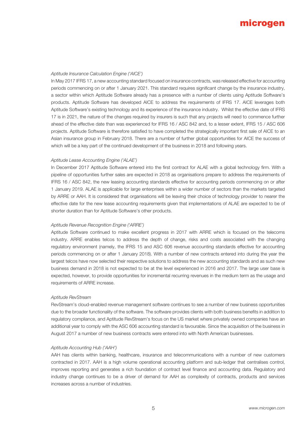#### *Aptitude Insurance Calculation Engine ('AICE')*

In May 2017 IFRS 17, a new accounting standard focused on insurance contracts, was released effective for accounting periods commencing on or after 1 January 2021. This standard requires significant change by the insurance industry, a sector within which Aptitude Software already has a presence with a number of clients using Aptitude Software's products. Aptitude Software has developed AICE to address the requirements of IFRS 17. AICE leverages both Aptitude Software's existing technology and its experience of the insurance industry. Whilst the effective date of IFRS 17 is in 2021, the nature of the changes required by insurers is such that any projects will need to commence further ahead of the effective date than was experienced for IFRS 16 / ASC 842 and, to a lesser extent, IFRS 15 / ASC 606 projects. Aptitude Software is therefore satisfied to have completed the strategically important first sale of AICE to an Asian insurance group in February 2018. There are a number of further global opportunities for AICE the success of which will be a key part of the continued development of the business in 2018 and following years.

#### *Aptitude Lease Accounting Engine ('ALAE')*

In December 2017 Aptitude Software entered into the first contract for ALAE with a global technology firm. With a pipeline of opportunities further sales are expected in 2018 as organisations prepare to address the requirements of IFRS 16 / ASC 842, the new leasing accounting standards effective for accounting periods commencing on or after 1 January 2019. ALAE is applicable for large enterprises within a wider number of sectors than the markets targeted by ARRE or AAH. It is considered that organisations will be leaving their choice of technology provider to nearer the effective date for the new lease accounting requirements given that implementations of ALAE are expected to be of shorter duration than for Aptitude Software's other products.

#### *Aptitude Revenue Recognition Engine ('ARRE')*

Aptitude Software continued to make excellent progress in 2017 with ARRE which is focused on the telecoms industry. ARRE enables telcos to address the depth of change, risks and costs associated with the changing regulatory environment (namely, the IFRS 15 and ASC 606 revenue accounting standards effective for accounting periods commencing on or after 1 January 2018). With a number of new contracts entered into during the year the largest telcos have now selected their respective solutions to address the new accounting standards and as such new business demand in 2018 is not expected to be at the level experienced in 2016 and 2017. The large user base is expected, however, to provide opportunities for incremental recurring revenues in the medium term as the usage and requirements of ARRE increase.

#### *Aptitude RevStream*

RevStream's cloud-enabled revenue management software continues to see a number of new business opportunities due to the broader functionality of the software. The software provides clients with both business benefits in addition to regulatory compliance, and Aptitude RevStream's focus on the US market where privately owned companies have an additional year to comply with the ASC 606 accounting standard is favourable. Since the acquisition of the business in August 2017 a number of new business contracts were entered into with North American businesses.

#### *Aptitude Accounting Hub ('AAH')*

AAH has clients within banking, healthcare, insurance and telecommunications with a number of new customers contracted in 2017. AAH is a high volume operational accounting platform and sub-ledger that centralises control, improves reporting and generates a rich foundation of contract level finance and accounting data. Regulatory and industry change continues to be a driver of demand for AAH as complexity of contracts, products and services increases across a number of industries.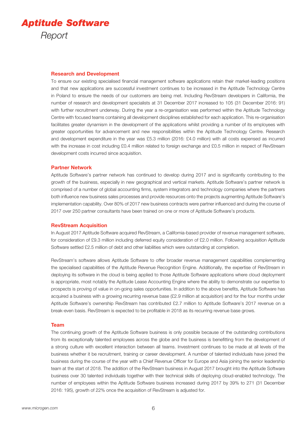

### **Research and Development**

To ensure our existing specialised financial management software applications retain their market-leading positions and that new applications are successful investment continues to be increased in the Aptitude Technology Centre in Poland to ensure the needs of our customers are being met. Including RevStream developers in California, the number of research and development specialists at 31 December 2017 increased to 105 (31 December 2016: 91) with further recruitment underway. During the year a re-organisation was performed within the Aptitude Technology Centre with focused teams containing all development disciplines established for each application. This re-organisation facilitates greater dynamism in the development of the applications whilst providing a number of its employees with greater opportunities for advancement and new responsibilities within the Aptitude Technology Centre. Research and development expenditure in the year was £5.3 million (2016: £4.0 million) with all costs expensed as incurred with the increase in cost including £0.4 million related to foreign exchange and £0.5 million in respect of RevStream development costs incurred since acquisition.

#### **Partner Network**

Aptitude Software's partner network has continued to develop during 2017 and is significantly contributing to the growth of the business, especially in new geographical and vertical markets. Aptitude Software's partner network is comprised of a number of global accounting firms, system integrators and technology companies where the partners both influence new business sales processes and provide resources onto the projects augmenting Aptitude Software's implementation capability. Over 80% of 2017 new business contracts were partner influenced and during the course of 2017 over 250 partner consultants have been trained on one or more of Aptitude Software's products.

#### **RevStream Acquisition**

In August 2017 Aptitude Software acquired RevStream, a California-based provider of revenue management software, for consideration of £9.3 million including deferred equity consideration of £2.0 million. Following acquisition Aptitude Software settled £2.5 million of debt and other liabilities which were outstanding at completion.

RevStream's software allows Aptitude Software to offer broader revenue management capabilities complementing the specialised capabilities of the Aptitude Revenue Recognition Engine. Additionally, the expertise of RevStream in deploying its software in the cloud is being applied to those Aptitude Software applications where cloud deployment is appropriate, most notably the Aptitude Lease Accounting Engine where the ability to demonstrate our expertise to prospects is proving of value in on-going sales opportunities. In addition to the above benefits, Aptitude Software has acquired a business with a growing recurring revenue base (£2.9 million at acquisition) and for the four months under Aptitude Software's ownership RevStream has contributed £2.7 million to Aptitude Software's 2017 revenue on a break-even basis. RevStream is expected to be profitable in 2018 as its recurring revenue base grows.

#### **Team**

The continuing growth of the Aptitude Software business is only possible because of the outstanding contributions from its exceptionally talented employees across the globe and the business is benefitting from the development of a strong culture with excellent interaction between all teams. Investment continues to be made at all levels of the business whether it be recruitment, training or career development. A number of talented individuals have joined the business during the course of the year with a Chief Revenue Officer for Europe and Asia joining the senior leadership team at the start of 2018. The addition of the RevStream business in August 2017 brought into the Aptitude Software business over 30 talented individuals together with their technical skills of deploying cloud-enabled technology. The number of employees within the Aptitude Software business increased during 2017 by 39% to 271 (31 December 2016: 195), growth of 22% once the acquisition of RevStream is adjusted for.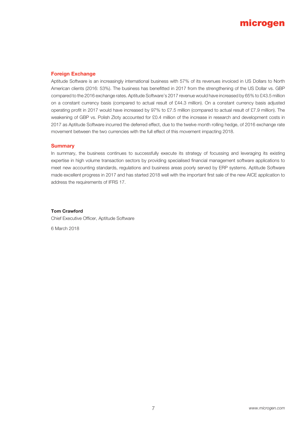# **Foreign Exchange**

Aptitude Software is an increasingly international business with 57% of its revenues invoiced in US Dollars to North American clients (2016: 53%). The business has benefitted in 2017 from the strengthening of the US Dollar vs. GBP compared to the 2016 exchange rates. Aptitude Software's 2017 revenue would have increased by 65% to £43.5 million on a constant currency basis (compared to actual result of £44.3 million). On a constant currency basis adjusted operating profit in 2017 would have increased by 97% to £7.5 million (compared to actual result of £7.9 million). The weakening of GBP vs. Polish Zloty accounted for £0.4 million of the increase in research and development costs in 2017 as Aptitude Software incurred the deferred effect, due to the twelve month rolling hedge, of 2016 exchange rate movement between the two currencies with the full effect of this movement impacting 2018.

### **Summary**

In summary, the business continues to successfully execute its strategy of focussing and leveraging its existing expertise in high volume transaction sectors by providing specialised financial management software applications to meet new accounting standards, regulations and business areas poorly served by ERP systems. Aptitude Software made excellent progress in 2017 and has started 2018 well with the important first sale of the new AICE application to address the requirements of IFRS 17.

#### **Tom Crawford**

Chief Executive Officer, Aptitude Software

6 March 2018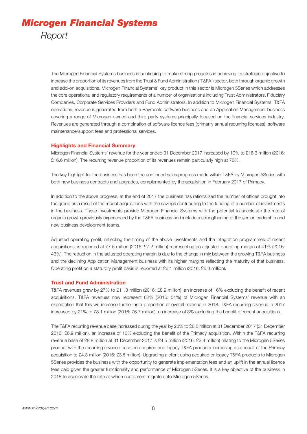# *Microgen Financial Systems Report*

The Microgen Financial Systems business is continuing to make strong progress in achieving its strategic objective to increase the proportion of its revenues from the Trust & Fund Administration ('T&FA') sector, both through organic growth and add-on acquisitions. Microgen Financial Systems' key product in this sector is Microgen 5Series which addresses the core operational and regulatory requirements of a number of organisations including Trust Administrators, Fiduciary Companies, Corporate Services Providers and Fund Administrators. In addition to Microgen Financial Systems' T&FA operations, revenue is generated from both a Payments software business and an Application Management business covering a range of Microgen-owned and third party systems principally focused on the financial services industry. Revenues are generated through a combination of software licence fees (primarily annual recurring licences), software maintenance/support fees and professional services.

# **Highlights and Financial Summary**

Microgen Financial Systems' revenue for the year ended 31 December 2017 increased by 10% to £18.3 million (2016: £16.6 million). The recurring revenue proportion of its revenues remain particularly high at 76%.

The key highlight for the business has been the continued sales progress made within T&FA by Microgen 5Series with both new business contracts and upgrades, complemented by the acquisition in February 2017 of Primacy.

In addition to the above progress, at the end of 2017 the business has rationalised the number of offices brought into the group as a result of the recent acquisitions with the savings contributing to the funding of a number of investments in the business. These investments provide Microgen Financial Systems with the potential to accelerate the rate of organic growth previously experienced by the T&FA business and include a strengthening of the senior leadership and new business development teams.

Adjusted operating profit, reflecting the timing of the above investments and the integration programmes of recent acquisitions, is reported at £7.5 million (2016: £7.2 million) representing an adjusted operating margin of 41% (2016: 43%). The reduction in the adjusted operating margin is due to the change in mix between the growing T&FA business and the declining Application Management business with its higher margins reflecting the maturity of that business. Operating profit on a statutory profit basis is reported at £6.1 million (2016: £6.3 million).

## **Trust and Fund Administration**

T&FA revenues grew by 27% to £11.3 million (2016: £8.9 million), an increase of 16% excluding the benefit of recent acquisitions. T&FA revenues now represent 62% (2016: 54%) of Microgen Financial Systems' revenue with an expectation that this will increase further as a proportion of overall revenue in 2018. T&FA recurring revenue in 2017 increased by 21% to £8.1 million (2016: £6.7 million), an increase of 8% excluding the benefit of recent acquisitions.

The T&FA recurring revenue base increased during the year by 28% to £8.8 million at 31 December 2017 (31 December 2016: £6.9 million), an increase of 16% excluding the benefit of the Primacy acquisition. Within the T&FA recurring revenue base of £8.8 million at 31 December 2017 is £4.5 million (2016: £3.4 million) relating to the Microgen 5Series product with the recurring revenue base on acquired and legacy T&FA products increasing as a result of the Primacy acquisition to £4.3 million (2016: £3.5 million). Upgrading a client using acquired or legacy T&FA products to Microgen 5Series provides the business with the opportunity to generate implementation fees and an uplift in the annual licence fees paid given the greater functionality and performance of Microgen 5Series. It is a key objective of the business in 2018 to accelerate the rate at which customers migrate onto Microgen 5Series.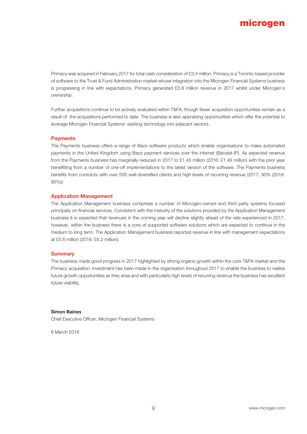Primacy was acquired in February 2017 for total cash consideration of £3.4 million. Primacy is a Toronto-based provider of software to the Trust & Fund Administration market whose integration into the Microgen Financial Systems business is progressing in line with expectations. Primacy generated £0.8 million revenue in 2017 whilst under Microgen's ownership.

Further acquisitions continue to be actively evaluated within T&FA, though fewer acquisition opportunities remain as a result of the acquisitions performed to date. The business is also appraising opportunities which offer the potential to leverage Microgen Financial Systems' existing technology into adjacent sectors.

### **Payments**

The Payments business offers a range of Bacs software products which enable organisations to make automated payments in the United Kingdom using Bacs payment services over the internet (Bacstel-IP). As expected revenue from the Payments business has marginally reduced in 2017 to £1.45 million (2016: £1.49 million) with the prior year benefitting from a number of one-off implementations to the latest version of the software. The Payments business benefits from contracts with over 500 well-diversified clients and high levels of recurring revenue (2017: 90% (2016: 85%)).

## **Application Management**

The Application Management business comprises a number of Microgen-owned and third party systems focused principally on financial services. Consistent with the maturity of the solutions provided by the Application Management business it is expected that revenues in the coming year will decline slightly ahead of the rate experienced in 2017, however, within the business there is a core of supported software solutions which are expected to continue in the medium to long term. The Application Management business reported revenue in line with management expectations at £5.6 million (2016: £6.2 million).

#### **Summary**

The business made good progress in 2017 highlighted by strong organic growth within the core T&FA market and the Primacy acquisition. Investment has been made in the organisation throughout 2017 to enable the business to realise future growth opportunities as they arise and with particularly high levels of recurring revenue the business has excellent future visibility.

#### **Simon Baines**

Chief Executive Officer, Microgen Financial Systems

6 March 2018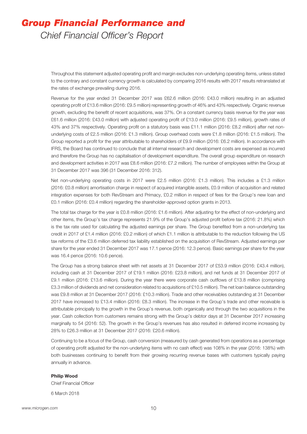# *Group Financial Performance and Chief Financial Officer's Report*

Throughout this statement adjusted operating profit and margin excludes non-underlying operating items, unless stated to the contrary and constant currency growth is calculated by comparing 2016 results with 2017 results retranslated at the rates of exchange prevailing during 2016.

Revenue for the year ended 31 December 2017 was £62.6 million (2016: £43.0 million) resulting in an adjusted operating profit of £13.6 million (2016: £9.5 million) representing growth of 46% and 43% respectively. Organic revenue growth, excluding the benefit of recent acquisitions, was 37%. On a constant currency basis revenue for the year was £61.6 million (2016: £43.0 million) with adjusted operating profit of £13.0 million (2016: £9.5 million), growth rates of 43% and 37% respectively. Operating profit on a statutory basis was £11.1 million (2016: £8.2 million) after net nonunderlying costs of £2.5 million (2016: £1.3 million). Group overhead costs were £1.8 million (2016: £1.5 million). The Group reported a profit for the year attributable to shareholders of £9.9 million (2016: £6.2 million). In accordance with IFRS, the Board has continued to conclude that all internal research and development costs are expensed as incurred and therefore the Group has no capitalisation of development expenditure. The overall group expenditure on research and development activities in 2017 was £8.6 million (2016: £7.2 million). The number of employees within the Group at 31 December 2017 was 396 (31 December 2016: 312).

Net non-underlying operating costs in 2017 were £2.5 million (2016: £1.3 million). This includes a £1.3 million (2016: £0.8 million) amortisation charge in respect of acquired intangible assets, £0.9 million of acquisition and related integration expenses for both RevStream and Primacy, £0.2 million in respect of fees for the Group's new loan and £0.1 million (2016: £0.4 million) regarding the shareholder-approved option grants in 2013.

The total tax charge for the year is £0.8 million (2016: £1.6 million). After adjusting for the effect of non-underlying and other items, the Group's tax charge represents 21.9% of the Group's adjusted profit before tax (2016: 21.8%) which is the tax rate used for calculating the adjusted earnings per share. The Group benefited from a non-underlying tax credit in 2017 of £1.4 million (2016: £0.2 million) of which £1.1 million is attributable to the reduction following the US tax reforms of the £3.6 million deferred tax liability established on the acquisition of RevStream. Adjusted earnings per share for the year ended 31 December 2017 was 17.1 pence (2016: 12.3 pence). Basic earnings per share for the year was 16.4 pence (2016: 10.6 pence).

The Group has a strong balance sheet with net assets at 31 December 2017 of £53.9 million (2016: £43.4 million), including cash at 31 December 2017 of £19.1 million (2016: £23.8 million), and net funds at 31 December 2017 of £9.1 million (2016: £13.6 million). During the year there were corporate cash outflows of £13.8 million (comprising £3.3 million of dividends and net consideration related to acquisitions of £10.5 million). The net loan balance outstanding was £9.8 million at 31 December 2017 (2016: £10.3 million). Trade and other receivables outstanding at 31 December 2017 have increased to £13.4 million (2016: £8.3 million). The increase in the Group's trade and other receivable is attributable principally to the growth in the Group's revenue, both organically and through the two acquisitions in the year. Cash collection from customers remains strong with the Group's debtor days at 31 December 2017 increasing marginally to 54 (2016: 52). The growth in the Group's revenues has also resulted in deferred income increasing by 28% to £26.3 million at 31 December 2017 (2016: £20.6 million).

Continuing to be a focus of the Group, cash conversion (measured by cash generated from operations as a percentage of operating profit adjusted for the non-underlying items with no cash effect) was 108% in the year (2016: 138%) with both businesses continuing to benefit from their growing recurring revenue bases with customers typically paying annually in advance.

#### **Philip Wood**

Chief Financial Officer 6 March 2018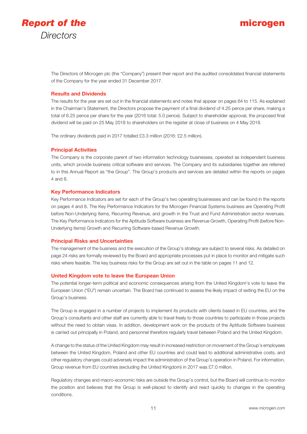

The Directors of Microgen plc (the "Company") present their report and the audited consolidated financial statements of the Company for the year ended 31 December 2017.

# **Results and Dividends**

The results for the year are set out in the financial statements and notes that appear on pages 64 to 115. As explained in the Chairman's Statement, the Directors propose the payment of a final dividend of 4.25 pence per share, making a total of 6.25 pence per share for the year (2016 total: 5.0 pence). Subject to shareholder approval, the proposed final dividend will be paid on 25 May 2018 to shareholders on the register at close of business on 4 May 2018.

The ordinary dividends paid in 2017 totalled £3.3 million (2016: £2.5 million).

### **Principal Activities**

The Company is the corporate parent of two information technology businesses, operated as independent business units, which provide business critical software and services. The Company and its subsidiaries together are referred to in this Annual Report as "the Group". The Group's products and services are detailed within the reports on pages 4 and 8.

#### **Key Performance Indicators**

Key Performance Indicators are set for each of the Group's two operating businesses and can be found in the reports on pages 4 and 8. The Key Performance Indicators for the Microgen Financial Systems business are Operating Profit before Non-Underlying Items, Recurring Revenue, and growth in the Trust and Fund Administration sector revenues. The Key Performance Indicators for the Aptitude Software business are Revenue Growth, Operating Profit (before Non-Underlying Items) Growth and Recurring Software-based Revenue Growth.

#### **Principal Risks and Uncertainties**

The management of the business and the execution of the Group's strategy are subject to several risks. As detailed on page 24 risks are formally reviewed by the Board and appropriate processes put in place to monitor and mitigate such risks where feasible. The key business risks for the Group are set out in the table on pages 11 and 12.

#### **United Kingdom vote to leave the European Union**

The potential longer-term political and economic consequences arising from the United Kingdom's vote to leave the European Union ("EU") remain uncertain. The Board has continued to assess the likely impact of exiting the EU on the Group's business.

The Group is engaged in a number of projects to implement its products with clients based in EU countries, and the Group's consultants and other staff are currently able to travel freely to those countries to participate in those projects without the need to obtain visas. In addition, development work on the products of the Aptitude Software business is carried out principally in Poland, and personnel therefore regularly travel between Poland and the United Kingdom.

A change to the status of the United Kingdom may result in increased restriction on movement of the Group's employees between the United Kingdom, Poland and other EU countries and could lead to additional administrative costs, and other regulatory changes could adversely impact the administration of the Group's operation in Poland. For information, Group revenue from EU countries (excluding the United Kingdom) in 2017 was £7.0 million.

Regulatory changes and macro-economic risks are outside the Group's control, but the Board will continue to monitor the position and believes that the Group is well-placed to identify and react quickly to changes in the operating conditions.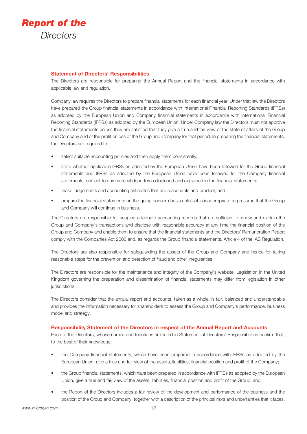

## **Statement of Directors' Responsibilities**

The Directors are responsible for preparing the Annual Report and the financial statements in accordance with applicable law and regulation.

Company law requires the Directors to prepare financial statements for each financial year. Under that law the Directors have prepared the Group financial statements in accordance with International Financial Reporting Standards (IFRSs) as adopted by the European Union and Company financial statements in accordance with International Financial Reporting Standards (IFRSs) as adopted by the European Union. Under Company law the Directors must not approve the financial statements unless they are satisfied that they give a true and fair view of the state of affairs of the Group and Company and of the profit or loss of the Group and Company for that period. In preparing the financial statements, the Directors are required to:

- select suitable accounting policies and then apply them consistently:
- state whether applicable IFRSs as adopted by the European Union have been followed for the Group financial statements and IFRSs as adopted by the European Union have been followed for the Company financial statements, subject to any material departures disclosed and explained in the financial statements;
- make judgements and accounting estimates that are reasonable and prudent; and
- prepare the financial statements on the going concern basis unless it is inappropriate to presume that the Group and Company will continue in business.

The Directors are responsible for keeping adequate accounting records that are sufficient to show and explain the Group and Company's transactions and disclose with reasonable accuracy at any time the financial position of the Group and Company and enable them to ensure that the financial statements and the Directors' Remuneration Report comply with the Companies Act 2006 and, as regards the Group financial statements, Article 4 of the IAS Regulation.

The Directors are also responsible for safeguarding the assets of the Group and Company and hence for taking reasonable steps for the prevention and detection of fraud and other irregularities.

The Directors are responsible for the maintenance and integrity of the Company's website. Legislation in the United Kingdom governing the preparation and dissemination of financial statements may differ from legislation in other jurisdictions.

The Directors consider that the annual report and accounts, taken as a whole, is fair, balanced and understandable and provides the information necessary for shareholders to assess the Group and Company's performance, business model and strategy.

## **Responsibility Statement of the Directors in respect of the Annual Report and Accounts**

Each of the Directors, whose names and functions are listed in Statement of Directors' Responsibilities confirm that, to the best of their knowledge:

- the Company financial statements, which have been prepared in accordance with IFRSs as adopted by the European Union, give a true and fair view of the assets, liabilities, financial position and profit of the Company;
- the Group financial statements, which have been prepared in accordance with IFRSs as adopted by the European Union, give a true and fair view of the assets, liabilities, financial position and profit of the Group; and
- the Report of the Directors includes a fair review of the development and performance of the business and the position of the Group and Company, together with a description of the principal risks and uncertainties that it faces.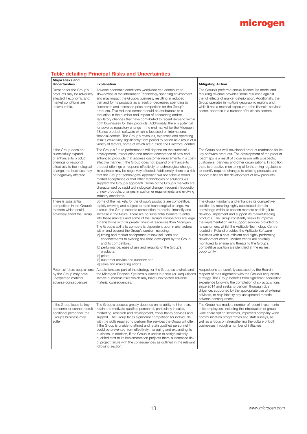# **Table detailing Principal Risks and Uncertainties**

| <b>Major Risks and</b><br><b>Uncertainties</b>                                                                                                                                        | <b>Explanation</b>                                                                                                                                                                                                                                                                                                                                                                                                                                                                                                                                                                                                                                                                                                                                                                                                                                                                                                                              | <b>Mitigating Action</b>                                                                                                                                                                                                                                                                                                                                                                                                                                                                                                                                                                                                                                                 |  |  |
|---------------------------------------------------------------------------------------------------------------------------------------------------------------------------------------|-------------------------------------------------------------------------------------------------------------------------------------------------------------------------------------------------------------------------------------------------------------------------------------------------------------------------------------------------------------------------------------------------------------------------------------------------------------------------------------------------------------------------------------------------------------------------------------------------------------------------------------------------------------------------------------------------------------------------------------------------------------------------------------------------------------------------------------------------------------------------------------------------------------------------------------------------|--------------------------------------------------------------------------------------------------------------------------------------------------------------------------------------------------------------------------------------------------------------------------------------------------------------------------------------------------------------------------------------------------------------------------------------------------------------------------------------------------------------------------------------------------------------------------------------------------------------------------------------------------------------------------|--|--|
| Demand for the Group's<br>products may be adversely<br>affected if economic and<br>market conditions are<br>unfavourable.                                                             | Adverse economic conditions worldwide can contribute to<br>slowdowns in the Information Technology spending environment<br>and may impact the Group's business, resulting in reduced<br>demand for its products as a result of decreased spending by<br>customers and increased price competition for the Group's<br>products. This reduced demand could be attributable to a<br>reduction in the number and impact of accounting and/or<br>regulatory changes that have contributed to recent demand within<br>both businesses for their products. Additionally, there is potential<br>for adverse regulatory change in the end market for the Microgen<br>5Series product, software which is focussed on international<br>financial centres. The Group's revenues, expenses and operating<br>results could vary significantly from period to period as a result of a<br>variety of factors, some of which are outside the Directors' control. | The Group's preferred annual licence fee model and<br>recurring revenue provides some resilience against<br>the full effects of market deterioration. Additionally, the<br>Group operates in multiple geographic regions and,<br>while it has a material exposure to the financial services<br>sector, operates in a number of business sectors.                                                                                                                                                                                                                                                                                                                         |  |  |
| If the Group does not<br>successfully expand<br>or enhance its product<br>offerings or respond<br>effectively to technological<br>change, the business may<br>be negatively affected. | The Group's future performance will depend on the successful<br>development, introduction and market acceptance of new and<br>enhanced products that address customer requirements in a cost-<br>effective manner. If the Group does not expand or enhance its<br>product offerings or respond effectively to technological change,<br>its business may be negatively affected. Additionally, there is a risk<br>that the Group's technological approach will not achieve broad<br>market acceptance or that other technologies or solutions will<br>supplant the Group's approach. Some of the Group's markets are<br>characterised by rapid technological change, frequent introduction<br>of new products, changes in customer requirements and evolving<br>industry standards.                                                                                                                                                              | The Group has well-developed product roadmaps for its<br>key software products. The development of the product<br>roadmaps is a result of close liaison with prospects,<br>customers, partners and other organisations. In addition,<br>there is proactive monitoring of forthcoming regulations<br>to identify required changes to existing products and<br>opportunities for the development of new products.                                                                                                                                                                                                                                                          |  |  |
| There is substantial<br>competition in the Group's<br>markets which could<br>adversely affect the Group.                                                                              | Some of the markets for the Group's products are competitive,<br>rapidly evolving and subject to rapid technological change. As<br>a result, the Group expects competition to persist, intensify and<br>increase in the future. There are no substantial barriers to entry<br>into these markets and some of the Group's competitors are large<br>organisations with far greater financial resources than Microgen.<br>The Group's ability to compete is dependent upon many factors<br>within and beyond the Group's control, including:<br>(a) timing and market acceptance of new solutions and<br>enhancements to existing solutions developed by the Group<br>and its competitors;<br>(b) performance, ease of use and reliability of the Group's<br>products;<br>(c) price;<br>(d) customer service and support; and<br>(e) sales and marketing efforts.                                                                                  | The Group maintains and enhances its competitive<br>position by retaining highly specialised domain<br>knowledge within its chosen markets enabling it to<br>develop, implement and support its market-leading<br>products. The Group constantly seeks to improve<br>the implementation and support services provided to<br>its customers, whilst the Aptitude Technology Centre<br>located in Poland provides the Aptitude Software<br>business with a cost-efficient and highly performing<br>development centre. Market trends are carefully<br>monitored to ensure any threats to the Group's<br>competitive position are identified at the earliest<br>opportunity. |  |  |
| Potential future acquisitions<br>by the Group may have<br>unexpected material<br>adverse consequences.                                                                                | Acquisitions are part of the strategy for the Group as a whole and<br>the Microgen Financial Systems business in particular. Acquisitions<br>involve numerous risks which may have unexpected adverse<br>material consequences.                                                                                                                                                                                                                                                                                                                                                                                                                                                                                                                                                                                                                                                                                                                 | Acquisitions are carefully assessed by the Board in<br>respect of their alignment with the Group's acquisition<br>strategy. The Group benefits from significant acquisition<br>experience following the completion of six acquisitions<br>since 2014 and seeks to perform thorough due<br>diligence, supported by the appropriate use of external<br>advisers, to help identify any unexpected material<br>adverse consequences.                                                                                                                                                                                                                                         |  |  |
| If the Group loses its key<br>personnel or cannot recruit<br>additional personnel, the<br>Group's business may<br>suffer.                                                             | The Group's success greatly depends on its ability to hire, train,<br>retain and motivate qualified personnel, particularly in sales,<br>marketing, research and development, consultancy services and<br>support. The Group faces significant competition for individuals<br>with the skills required to perform the services the Group will offer.<br>If the Group is unable to attract and retain qualified personnel it<br>could be prevented from effectively managing and expanding its<br>business. In addition, if the Group is unable to assign suitably<br>qualified staff to its implementation projects there is increased risk<br>of project failure with the consequences as outlined in the relevant<br>following section.                                                                                                                                                                                                       | The Group has made a number of recent investments<br>in its employees, including the introduction of group-<br>wide share option schemes, improved company-wide<br>communication programmes and staff surveys, as<br>well as a focus on strengthening the culture of both<br>businesses through a number of initiatives.                                                                                                                                                                                                                                                                                                                                                 |  |  |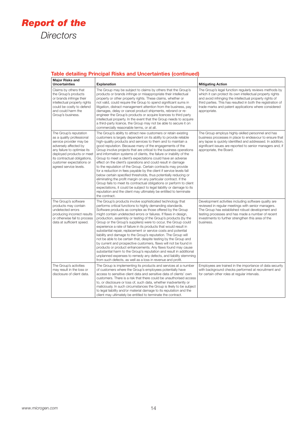

# **Table detailing Principal Risks and Uncertainties (continued)**

| <b>Major Risks and</b><br><b>Uncertainties</b>                                                                                                                                                                                                            | <b>Explanation</b>                                                                                                                                                                                                                                                                                                                                                                                                                                                                                                                                                                                                                                                                                                                                                                                                                                                                                                                                                                                                                                                   | <b>Mitigating Action</b>                                                                                                                                                                                                                                                                                                 |
|-----------------------------------------------------------------------------------------------------------------------------------------------------------------------------------------------------------------------------------------------------------|----------------------------------------------------------------------------------------------------------------------------------------------------------------------------------------------------------------------------------------------------------------------------------------------------------------------------------------------------------------------------------------------------------------------------------------------------------------------------------------------------------------------------------------------------------------------------------------------------------------------------------------------------------------------------------------------------------------------------------------------------------------------------------------------------------------------------------------------------------------------------------------------------------------------------------------------------------------------------------------------------------------------------------------------------------------------|--------------------------------------------------------------------------------------------------------------------------------------------------------------------------------------------------------------------------------------------------------------------------------------------------------------------------|
| Claims by others that<br>the Group's products<br>or brands infringe their<br>intellectual property rights<br>could be costly to defend<br>and could harm the<br>Group's business.                                                                         | The Group may be subject to claims by others that the Group's<br>products or brands infringe or misappropriate their intellectual<br>property or other property rights. These claims, whether or<br>not valid, could require the Group to spend significant sums in<br>litigation, distract management attention from the business, pay<br>damages, delay or cancel product shipments, rebrand or re-<br>engineer the Group's products or acquire licences to third party<br>intellectual property. In the event that the Group needs to acquire<br>a third-party licence, the Group may not be able to secure it on<br>commercially reasonable terms, or at all.                                                                                                                                                                                                                                                                                                                                                                                                    | The Group's legal function regularly reviews methods by<br>which it can protect its own intellectual property rights<br>and avoid infringing the intellectual property rights of<br>third parties. This has resulted in both the registration of<br>trade-marks and patent applications where considered<br>appropriate. |
| The Group's reputation<br>as a quality professional<br>service provider may be<br>adversely affected by<br>any failure to optimise its<br>deployed products or meet<br>its contractual obligations,<br>customer expectations or<br>agreed service levels. | The Group's ability to attract new customers or retain existing<br>customers is largely dependent on its ability to provide reliable<br>high-quality products and services to them and to maintain a<br>good reputation. Because many of the engagements of the<br>Group involve projects that are critical to the business operations<br>and information systems of clients, the failure or inability of the<br>Group to meet a client's expectations could have an adverse<br>effect on the client's operations and could result in damage<br>to the reputation of the Group. Certain contracts may provide<br>for a reduction in fees payable by the client if service levels fall<br>below certain specified thresholds, thus potentially reducing or<br>eliminating the profit margin on any particular contract. If the<br>Group fails to meet its contractual obligations or perform to client<br>expectations, it could be subject to legal liability or damage to its<br>reputation and the client may ultimately be entitled to terminate<br>the contract. | The Group employs highly-skilled personnel and has<br>business processes in place to endeavour to ensure that<br>any lapse is quickly identified and addressed. In addition,<br>significant issues are reported to senior managers and, if<br>appropriate, the Board.                                                    |
| The Group's software<br>products may contain<br>undetected errors<br>producing incorrect results<br>or otherwise fail to process<br>data at sufficient speed.                                                                                             | The Group's products involve sophisticated technology that<br>performs critical functions to highly demanding standards.<br>Software products as complex as those offered by the Group<br>might contain undetected errors or failures. If flaws in design,<br>production, assembly or testing of the Group's products (by the<br>Group or the Group's suppliers) were to occur, the Group could<br>experience a rate of failure in its products that would result in<br>substantial repair, replacement or service costs and potential<br>liability and damage to the Group's reputation. The Group will<br>not be able to be certain that, despite testing by the Group and<br>by current and prospective customers, flaws will not be found in<br>products or product enhancements. Any flaws found may cause<br>substantial harm to the Group's reputation and result in additional<br>unplanned expenses to remedy any defects, and liability stemming<br>from such defects, as well as a loss in revenue and profit.                                            | Development activities including software quality are<br>reviewed in regular meetings with senior managers.<br>The Group has established robust development and<br>testing processes and has made a number of recent<br>investments to further strengthen this area of the<br>business.                                  |
| The Group's activities<br>may result in the loss or<br>disclosure of client data.                                                                                                                                                                         | The Group is implementing its products and services at a number<br>of customers where the Group's employees potentially have<br>access to sensitive client data and sensitive data of clients' own<br>customers. There is a risk that there could be unauthorised access<br>to, or disclosure or loss of, such data, whether inadvertently or<br>maliciously. In such circumstances the Group is likely to be subject<br>to legal liability and/or material damage to its reputation and the<br>client may ultimately be entitled to terminate the contract.                                                                                                                                                                                                                                                                                                                                                                                                                                                                                                         | Employees are trained in the importance of data security<br>with background checks performed at recruitment and<br>for certain other roles at regular intervals.                                                                                                                                                         |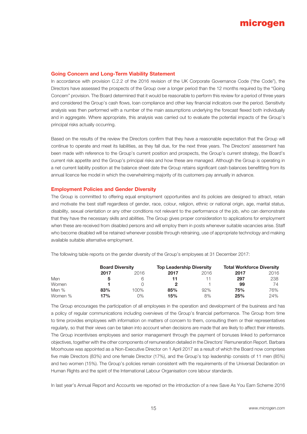### **Going Concern and Long-Term Viability Statement**

In accordance with provision C.2.2 of the 2016 revision of the UK Corporate Governance Code ("the Code"), the Directors have assessed the prospects of the Group over a longer period than the 12 months required by the "Going Concern" provision. The Board determined that it would be reasonable to perform this review for a period of three years and considered the Group's cash flows, loan compliance and other key financial indicators over the period. Sensitivity analysis was then performed with a number of the main assumptions underlying the forecast flexed both individually and in aggregate. Where appropriate, this analysis was carried out to evaluate the potential impacts of the Group's principal risks actually occurring.

Based on the results of the review the Directors confirm that they have a reasonable expectation that the Group will continue to operate and meet its liabilities, as they fall due, for the next three years. The Directors' assessment has been made with reference to the Group's current position and prospects, the Group's current strategy, the Board's current risk appetite and the Group's principal risks and how these are managed. Although the Group is operating in a net current liability position at the balance sheet date the Group retains significant cash balances benefitting from its annual licence fee model in which the overwhelming majority of its customers pay annually in advance.

#### **Employment Policies and Gender Diversity**

The Group is committed to offering equal employment opportunities and its policies are designed to attract, retain and motivate the best staff regardless of gender, race, colour, religion, ethnic or national origin, age, marital status, disability, sexual orientation or any other conditions not relevant to the performance of the job, who can demonstrate that they have the necessary skills and abilities. The Group gives proper consideration to applications for employment when these are received from disabled persons and will employ them in posts whenever suitable vacancies arise. Staff who become disabled will be retained whenever possible through retraining, use of appropriate technology and making available suitable alternative employment.

The following table reports on the gender diversity of the Group's employees at 31 December 2017:

|         | <b>Board Diversity</b> |      | <b>Top Leadership Diversity</b> |      | <b>Total Workforce Diversity</b> |      |
|---------|------------------------|------|---------------------------------|------|----------------------------------|------|
|         | 2017                   | 2016 | 2017                            | 2016 | 2017                             | 2016 |
| Men     | 5                      |      | 11                              |      | 297                              | 238  |
| Women   |                        |      |                                 |      | 99                               | 74   |
| Men %   | 83%                    | 100% | 85%                             | 92%  | 75%                              | 76%  |
| Women % | 17%                    | ገ%   | 15%                             | 8%   | 25%                              | 24%  |

The Group encourages the participation of all employees in the operation and development of the business and has a policy of regular communications including overviews of the Group's financial performance. The Group from time to time provides employees with information on matters of concern to them, consulting them or their representatives regularly, so that their views can be taken into account when decisions are made that are likely to affect their interests. The Group incentivises employees and senior management through the payment of bonuses linked to performance objectives, together with the other components of remuneration detailed in the Directors' Remuneration Report. Barbara Moorhouse was appointed as a Non-Executive Director on 1 April 2017 as a result of which the Board now comprises five male Directors (83%) and one female Director (17%), and the Group's top leadership consists of 11 men (85%) and two women (15%). The Group's policies remain consistent with the requirements of the Universal Declaration on Human Rights and the spirit of the International Labour Organisation core labour standards.

In last year's Annual Report and Accounts we reported on the introduction of a new Save As You Earn Scheme 2016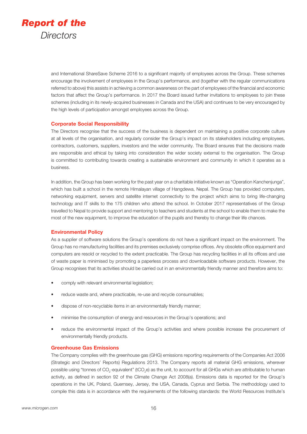

and International ShareSave Scheme 2016 to a significant majority of employees across the Group. These schemes encourage the involvement of employees in the Group's performance, and (together with the regular communications referred to above) this assists in achieving a common awareness on the part of employees of the financial and economic factors that affect the Group's performance. In 2017 the Board issued further invitations to employees to join these schemes (including in its newly-acquired businesses in Canada and the USA) and continues to be very encouraged by the high levels of participation amongst employees across the Group.

## **Corporate Social Responsibility**

The Directors recognise that the success of the business is dependent on maintaining a positive corporate culture at all levels of the organisation, and regularly consider the Group's impact on its stakeholders including employees, contractors, customers, suppliers, investors and the wider community. The Board ensures that the decisions made are responsible and ethical by taking into consideration the wider society external to the organisation. The Group is committed to contributing towards creating a sustainable environment and community in which it operates as a business.

In addition, the Group has been working for the past year on a charitable initiative known as "Operation Kanchenjunga", which has built a school in the remote Himalayan village of Hangdewa, Nepal. The Group has provided computers, networking equipment, servers and satellite internet connectivity to the project which aims to bring life-changing technology and IT skills to the 175 children who attend the school. In October 2017 representatives of the Group travelled to Nepal to provide support and mentoring to teachers and students at the school to enable them to make the most of the new equipment, to improve the education of the pupils and thereby to change their life chances.

#### **Environmental Policy**

As a supplier of software solutions the Group's operations do not have a significant impact on the environment. The Group has no manufacturing facilities and its premises exclusively comprise offices. Any obsolete office equipment and computers are resold or recycled to the extent practicable. The Group has recycling facilities in all its offices and use of waste paper is minimised by promoting a paperless process and downloadable software products. However, the Group recognises that its activities should be carried out in an environmentally friendly manner and therefore aims to:

- comply with relevant environmental legislation;
- reduce waste and, where practicable, re-use and recycle consumables;
- dispose of non-recyclable items in an environmentally friendly manner;
- minimise the consumption of energy and resources in the Group's operations; and
- reduce the environmental impact of the Group's activities and where possible increase the procurement of environmentally friendly products.

### **Greenhouse Gas Emissions**

The Company complies with the greenhouse gas (GHG) emissions reporting requirements of the Companies Act 2006 (Strategic and Directors' Reports) Regulations 2013. The Company reports all material GHG emissions, wherever possible using "tonnes of CO<sub>2</sub>-equivalent" (tCO<sub>2</sub>e) as the unit, to account for all GHGs which are attributable to human activity, as defined in section 92 of the Climate Change Act 2008(a). Emissions data is reported for the Group's operations in the UK, Poland, Guernsey, Jersey, the USA, Canada, Cyprus and Serbia. The methodology used to compile this data is in accordance with the requirements of the following standards: the World Resources Institute's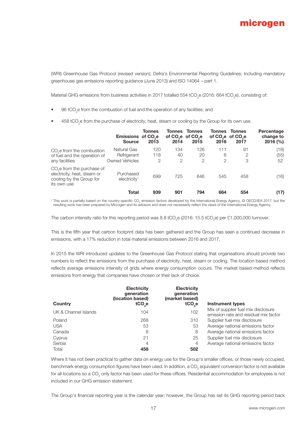(WRI) Greenhouse Gas Protocol (revised version); Defra's Environmental Reporting Guidelines: Including mandatory greenhouse gas emissions reporting guidance (June 2013) and ISO 14064 – part 1.

Material GHG emissions from business activities in 2017 totalled 554 tCO<sub>2</sub>e (2016: 664 tCO<sub>2</sub>e), consisting of:

- $\bullet$  96 tCO<sub>2</sub>e from the combustion of fuel and the operation of any facilities; and
- $\bullet$  458 tCO<sub>2</sub>e from the purchase of electricity, heat, steam or cooling by the Group for its own use.

|                                                                                                                  | <b>Emissions of CO<sub>s</sub>e</b><br><b>Source</b> | Tonnes<br>2013  | <b>Tonnes</b><br>of CO <sub>2</sub> e of CO <sub>2</sub> e<br>2014 | <b>Tonnes</b><br>2015 | Tonnes<br>2016             | <b>Tonnes</b><br>of CO <sub>2</sub> e of CO <sub>2</sub> e<br>2017 | Percentage<br>change to<br>2016 (%) |
|------------------------------------------------------------------------------------------------------------------|------------------------------------------------------|-----------------|--------------------------------------------------------------------|-----------------------|----------------------------|--------------------------------------------------------------------|-------------------------------------|
| CO <sub>s</sub> e from the combustion<br>of fuel and the operation of<br>any facilities                          | Natural Gas<br>Refrigerant<br>Owned Vehicles         | 120<br>118<br>2 | 134<br>40<br>2                                                     | 126<br>20<br>2        | 111<br>6<br>$\overline{2}$ | 91<br>2<br>3                                                       | (18)<br>(55)<br>52                  |
| CO <sub>2</sub> e from the purchase of<br>electricity, heat, steam or<br>cooling by the Group for<br>its own use | Purchased<br>electricity <sup>1</sup>                | 699             | 725                                                                | 646                   | 545                        | 458                                                                | (16)                                |
|                                                                                                                  | Total                                                | 939             | 901                                                                | 794                   | 664                        | 554                                                                | (17)                                |

<sup>1</sup> This work is partially based on the country-specific CO<sub>2</sub> emission factors developed by the International Energy Agency, © OECD/IEA 2017, but the resulting work has been prepared by Microgen and its advisors and does not necessarily reflect the views of the International Energy Agency.

The carbon intensity ratio for this reporting period was 8.8 tCO<sub>2</sub>e (2016: 15.5 tCO<sub>2</sub>e) per £1,000,000 turnover.

This is the fifth year that carbon footprint data has been gathered and the Group has seen a continued decrease in emissions, with a 17% reduction in total material emissions between 2016 and 2017.

In 2015 the WRI introduced updates to the Greenhouse Gas Protocol stating that organisations should provide two numbers to reflect the emissions from the purchase of electricity, heat, steam or cooling. The location based method reflects average emissions intensity of grids where energy consumption occurs. The market based method reflects emissions from energy that companies have chosen or their lack of choice.

| Country              | <b>Electricity</b><br>generation<br>(location based)<br>tCO <sub>se</sub> | <b>Electricity</b><br>generation<br>(market based)<br>tCO <sub>se</sub> | <b>Instrument types</b>                                                      |
|----------------------|---------------------------------------------------------------------------|-------------------------------------------------------------------------|------------------------------------------------------------------------------|
| UK & Channel Islands | 104                                                                       | 102                                                                     | Mix of supplier fuel mix disclosure<br>emission rate and residual mix factor |
| Poland               | 268                                                                       | 310                                                                     | Supplier fuel mix disclosure                                                 |
| <b>USA</b>           | 53                                                                        | 53                                                                      | Average national emissions factor                                            |
| Canada               | 8                                                                         | 8                                                                       | Average national emissions factor                                            |
| Cyprus               | 21                                                                        | 25                                                                      | Supplier fuel mix disclosure                                                 |
| Serbia               | 4                                                                         | $\overline{4}$                                                          | Average national emissions factor                                            |
| Total                | 458                                                                       | 502                                                                     |                                                                              |

Where it has not been practical to gather data on energy use for the Group's smaller offices, or those newly occupied, benchmark energy consumption figures have been used. In addition, a CO<sub>2</sub> equivalent conversion factor is not available for all locations so a CO<sub>2</sub> only factor has been used for these offices. Residential accommodation for employees is not included in our GHG emission statement.

The Group's financial reporting year is the calendar year; however, the Group has set its GHG reporting period back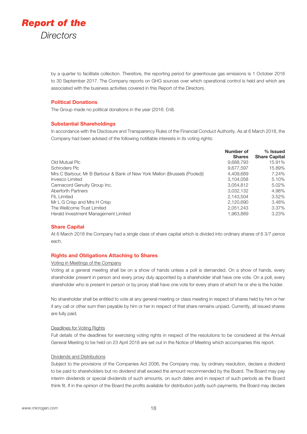

by a quarter to facilitate collection. Therefore, the reporting period for greenhouse gas emissions is 1 October 2016 to 30 September 2017. The Company reports on GHG sources over which operational control is held and which are associated with the business activities covered in this Report of the Directors.

## **Political Donations**

The Group made no political donations in the year (2016: £nil).

# **Substantial Shareholdings**

In accordance with the Disclosure and Transparency Rules of the Financial Conduct Authority. As at 6 March 2018, the Company had been advised of the following notifiable interests in its voting rights:

|                                                                           | Number of<br><b>Shares</b> | $%$ Issued<br><b>Share Capital</b> |
|---------------------------------------------------------------------------|----------------------------|------------------------------------|
| Old Mutual Plc                                                            | 9,688,793                  | 15.91%                             |
| Schroders Plc                                                             | 9.677.597                  | 15.89%                             |
| Mrs C Barbour, Mr B Barbour & Bank of New York Mellon (Brussels (Pooled)) | 4,409,689                  | 7.24%                              |
| Invesco Limited                                                           | 3,104,058                  | 5.10%                              |
| Cannacord Genuity Group Inc.                                              | 3.054.812                  | 5.02%                              |
| <b>Aberforth Partners</b>                                                 | 3,032,132                  | 4.98%                              |
| FIL Limited                                                               | 2.143.504                  | 3.52%                              |
| Mr L G Crisp and Mrs H Crisp                                              | 2,120,690                  | 3.48%                              |
| The Wellcome Trust Limited                                                | 2.051.243                  | 3.37%                              |
| Herald Investment Management Limited                                      | 1,963,889                  | 3.23%                              |

## **Share Capital**

At 6 March 2018 the Company had a single class of share capital which is divided into ordinary shares of 6 3/7 pence each.

## **Rights and Obligations Attaching to Shares**

#### Voting in Meetings of the Company

Voting at a general meeting shall be on a show of hands unless a poll is demanded. On a show of hands, every shareholder present in person and every proxy duly appointed by a shareholder shall have one vote. On a poll, every shareholder who is present in person or by proxy shall have one vote for every share of which he or she is the holder.

No shareholder shall be entitled to vote at any general meeting or class meeting in respect of shares held by him or her if any call or other sum then payable by him or her in respect of that share remains unpaid. Currently, all issued shares are fully paid.

#### Deadlines for Voting Rights

Full details of the deadlines for exercising voting rights in respect of the resolutions to be considered at the Annual General Meeting to be held on 23 April 2018 are set out in the Notice of Meeting which accompanies this report.

#### Dividends and Distributions

Subject to the provisions of the Companies Act 2006, the Company may, by ordinary resolution, declare a dividend to be paid to shareholders but no dividend shall exceed the amount recommended by the Board. The Board may pay interim dividends or special dividends of such amounts, on such dates and in respect of such periods as the Board think fit. If in the opinion of the Board the profits available for distribution justify such payments, the Board may declare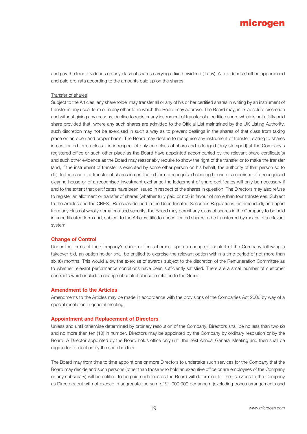and pay the fixed dividends on any class of shares carrying a fixed dividend (if any). All dividends shall be apportioned and paid pro-rata according to the amounts paid up on the shares.

#### Transfer of shares

Subject to the Articles, any shareholder may transfer all or any of his or her certified shares in writing by an instrument of transfer in any usual form or in any other form which the Board may approve. The Board may, in its absolute discretion and without giving any reasons, decline to register any instrument of transfer of a certified share which is not a fully paid share provided that, where any such shares are admitted to the Official List maintained by the UK Listing Authority, such discretion may not be exercised in such a way as to prevent dealings in the shares of that class from taking place on an open and proper basis. The Board may decline to recognise any instrument of transfer relating to shares in certificated form unless it is in respect of only one class of share and is lodged (duly stamped) at the Company's registered office or such other place as the Board have appointed accompanied by the relevant share certificate(s) and such other evidence as the Board may reasonably require to show the right of the transfer or to make the transfer (and, if the instrument of transfer is executed by some other person on his behalf, the authority of that person so to do). In the case of a transfer of shares in certificated form a recognised clearing house or a nominee of a recognised clearing house or of a recognised investment exchange the lodgement of share certificates will only be necessary if and to the extent that certificates have been issued in respect of the shares in question. The Directors may also refuse to register an allotment or transfer of shares (whether fully paid or not) in favour of more than four transferees. Subject to the Articles and the CREST Rules (as defined in the Uncertificated Securities Regulations, as amended), and apart from any class of wholly dematerialised security, the Board may permit any class of shares in the Company to be held in uncertificated form and, subject to the Articles, title to uncertificated shares to be transferred by means of a relevant system.

#### **Change of Control**

Under the terms of the Company's share option schemes, upon a change of control of the Company following a takeover bid, an option holder shall be entitled to exercise the relevant option within a time period of not more than six (6) months. This would allow the exercise of awards subject to the discretion of the Remuneration Committee as to whether relevant performance conditions have been sufficiently satisfied. There are a small number of customer contracts which include a change of control clause in relation to the Group.

### **Amendment to the Articles**

Amendments to the Articles may be made in accordance with the provisions of the Companies Act 2006 by way of a special resolution in general meeting.

#### **Appointment and Replacement of Directors**

Unless and until otherwise determined by ordinary resolution of the Company, Directors shall be no less than two (2) and no more than ten (10) in number. Directors may be appointed by the Company by ordinary resolution or by the Board. A Director appointed by the Board holds office only until the next Annual General Meeting and then shall be eligible for re-election by the shareholders.

The Board may from time to time appoint one or more Directors to undertake such services for the Company that the Board may decide and such persons (other than those who hold an executive office or are employees of the Company or any subsidiary) will be entitled to be paid such fees as the Board will determine for their services to the Company as Directors but will not exceed in aggregate the sum of £1,000,000 per annum (excluding bonus arrangements and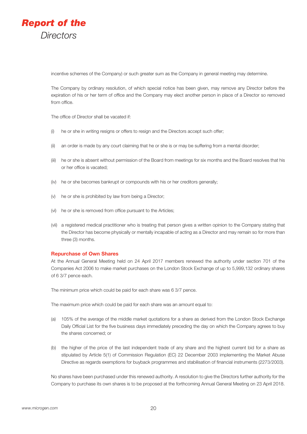

incentive schemes of the Company) or such greater sum as the Company in general meeting may determine.

The Company by ordinary resolution, of which special notice has been given, may remove any Director before the expiration of his or her term of office and the Company may elect another person in place of a Director so removed from office.

The office of Director shall be vacated if:

- (i) he or she in writing resigns or offers to resign and the Directors accept such offer;
- (ii) an order is made by any court claiming that he or she is or may be suffering from a mental disorder;
- (iii) he or she is absent without permission of the Board from meetings for six months and the Board resolves that his or her office is vacated;
- (iv) he or she becomes bankrupt or compounds with his or her creditors generally;
- (v) he or she is prohibited by law from being a Director;
- (vi) he or she is removed from office pursuant to the Articles;
- (vii) a registered medical practitioner who is treating that person gives a written opinion to the Company stating that the Director has become physically or mentally incapable of acting as a Director and may remain so for more than three (3) months.

#### **Repurchase of Own Shares**

At the Annual General Meeting held on 24 April 2017 members renewed the authority under section 701 of the Companies Act 2006 to make market purchases on the London Stock Exchange of up to 5,999,132 ordinary shares of 6 3/7 pence each.

The minimum price which could be paid for each share was 6 3/7 pence.

The maximum price which could be paid for each share was an amount equal to:

- (a) 105% of the average of the middle market quotations for a share as derived from the London Stock Exchange Daily Official List for the five business days immediately preceding the day on which the Company agrees to buy the shares concerned; or
- (b) the higher of the price of the last independent trade of any share and the highest current bid for a share as stipulated by Article 5(1) of Commission Regulation (EC) 22 December 2003 implementing the Market Abuse Directive as regards exemptions for buyback programmes and stabilisation of financial instruments (2273/2003).

No shares have been purchased under this renewed authority. A resolution to give the Directors further authority for the Company to purchase its own shares is to be proposed at the forthcoming Annual General Meeting on 23 April 2018.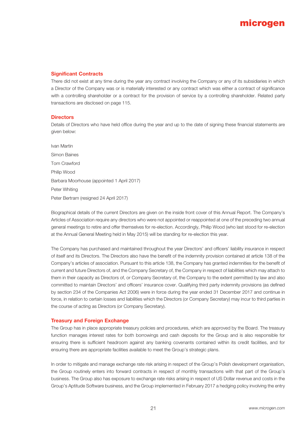# **Significant Contracts**

There did not exist at any time during the year any contract involving the Company or any of its subsidiaries in which a Director of the Company was or is materially interested or any contract which was either a contract of significance with a controlling shareholder or a contract for the provision of service by a controlling shareholder. Related party transactions are disclosed on page 115.

### **Directors**

Details of Directors who have held office during the year and up to the date of signing these financial statements are given below:

Ivan Martin Simon Baines Tom Crawford Philip Wood Barbara Moorhouse (appointed 1 April 2017) Peter Whiting Peter Bertram (resigned 24 April 2017)

Biographical details of the current Directors are given on the inside front cover of this Annual Report. The Company's Articles of Association require any directors who were not appointed or reappointed at one of the preceding two annual general meetings to retire and offer themselves for re-election. Accordingly, Philip Wood (who last stood for re-election at the Annual General Meeting held in May 2015) will be standing for re-election this year.

The Company has purchased and maintained throughout the year Directors' and officers' liability insurance in respect of itself and its Directors. The Directors also have the benefit of the indemnity provision contained at article 138 of the Company's articles of association. Pursuant to this article 138, the Company has granted indemnities for the benefit of current and future Directors of, and the Company Secretary of, the Company in respect of liabilities which may attach to them in their capacity as Directors of, or Company Secretary of, the Company to the extent permitted by law and also committed to maintain Directors' and officers' insurance cover. Qualifying third party indemnity provisions (as defined by section 234 of the Companies Act 2006) were in force during the year ended 31 December 2017 and continue in force, in relation to certain losses and liabilities which the Directors (or Company Secretary) may incur to third parties in the course of acting as Directors (or Company Secretary).

## **Treasury and Foreign Exchange**

The Group has in place appropriate treasury policies and procedures, which are approved by the Board. The treasury function manages interest rates for both borrowings and cash deposits for the Group and is also responsible for ensuring there is sufficient headroom against any banking covenants contained within its credit facilities, and for ensuring there are appropriate facilities available to meet the Group's strategic plans.

In order to mitigate and manage exchange rate risk arising in respect of the Group's Polish development organisation, the Group routinely enters into forward contracts in respect of monthly transactions with that part of the Group's business. The Group also has exposure to exchange rate risks arising in respect of US Dollar revenue and costs in the Group's Aptitude Software business, and the Group implemented in February 2017 a hedging policy involving the entry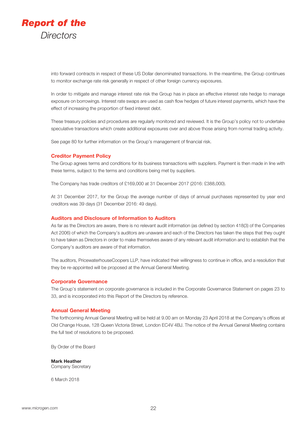

into forward contracts in respect of these US Dollar denominated transactions. In the meantime, the Group continues to monitor exchange rate risk generally in respect of other foreign currency exposures.

In order to mitigate and manage interest rate risk the Group has in place an effective interest rate hedge to manage exposure on borrowings. Interest rate swaps are used as cash flow hedges of future interest payments, which have the effect of increasing the proportion of fixed interest debt.

These treasury policies and procedures are regularly monitored and reviewed. It is the Group's policy not to undertake speculative transactions which create additional exposures over and above those arising from normal trading activity.

See page 80 for further information on the Group's management of financial risk.

#### **Creditor Payment Policy**

The Group agrees terms and conditions for its business transactions with suppliers. Payment is then made in line with these terms, subject to the terms and conditions being met by suppliers.

The Company has trade creditors of £169,000 at 31 December 2017 (2016: £388,000).

At 31 December 2017, for the Group the average number of days of annual purchases represented by year end creditors was 39 days (31 December 2016: 49 days).

#### **Auditors and Disclosure of Information to Auditors**

As far as the Directors are aware, there is no relevant audit information (as defined by section 418(3) of the Companies Act 2006) of which the Company's auditors are unaware and each of the Directors has taken the steps that they ought to have taken as Directors in order to make themselves aware of any relevant audit information and to establish that the Company's auditors are aware of that information.

The auditors, PricewaterhouseCoopers LLP, have indicated their willingness to continue in office, and a resolution that they be re-appointed will be proposed at the Annual General Meeting.

#### **Corporate Governance**

The Group's statement on corporate governance is included in the Corporate Governance Statement on pages 23 to 33, and is incorporated into this Report of the Directors by reference.

#### **Annual General Meeting**

The forthcoming Annual General Meeting will be held at 9.00 am on Monday 23 April 2018 at the Company's offices at Old Change House, 128 Queen Victoria Street, London EC4V 4BJ. The notice of the Annual General Meeting contains the full text of resolutions to be proposed.

By Order of the Board

#### **Mark Heather**  Company Secretary

6 March 2018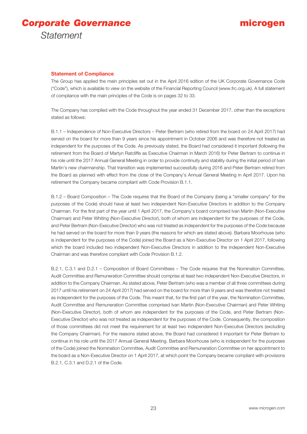# *Corporate Governance Statement*

# **microgen**

# **Statement of Compliance**

The Group has applied the main principles set out in the April 2016 edition of the UK Corporate Governance Code ("Code"), which is available to view on the website of the Financial Reporting Council (www.frc.org.uk). A full statement of compliance with the main principles of the Code is on pages 32 to 33.

The Company has complied with the Code throughout the year ended 31 December 2017, other than the exceptions stated as follows:

B.1.1 – Independence of Non-Executive Directors – Peter Bertram (who retired from the board on 24 April 2017) had served on the board for more than 9 years since his appointment in October 2006 and was therefore not treated as independent for the purposes of the Code. As previously stated, the Board had considered it important (following the retirement from the Board of Martyn Ratcliffe as Executive Chairman in March 2016) for Peter Bertram to continue in his role until the 2017 Annual General Meeting in order to provide continuity and stability during the initial period of Ivan Martin's new chairmanship. That transition was implemented successfully during 2016 and Peter Bertram retired from the Board as planned with effect from the close of the Company's Annual General Meeting in April 2017. Upon his retirement the Company became compliant with Code Provision B.1.1.

B.1.2 – Board Composition – The Code requires that the Board of the Company (being a "smaller company" for the purposes of the Code) should have at least two independent Non-Executive Directors in addition to the Company Chairman. For the first part of the year until 1 April 2017, the Company's board comprised Ivan Martin (Non-Executive Chairman) and Peter Whiting (Non-Executive Director), both of whom are independent for the purposes of the Code, and Peter Bertram (Non-Executive Director) who was not treated as independent for the purposes of the Code because he had served on the board for more than 9 years (the reasons for which are stated above). Barbara Moorhouse (who is independent for the purposes of the Code) joined the Board as a Non-Executive Director on 1 April 2017, following which the board included two independent Non-Executive Directors in addition to the independent Non-Executive Chairman and was therefore compliant with Code Provision B.1.2.

B.2.1, C.3.1 and D.2.1 – Composition of Board Committees – The Code requires that the Nomination Committee, Audit Committee and Remuneration Committee should comprise at least two independent Non-Executive Directors, in addition to the Company Chairman. As stated above, Peter Bertram (who was a member of all three committees during 2017 until his retirement on 24 April 2017) had served on the board for more than 9 years and was therefore not treated as independent for the purposes of the Code. This meant that, for the first part of the year, the Nomination Committee, Audit Committee and Remuneration Committee comprised Ivan Martin (Non-Executive Chairman) and Peter Whiting (Non-Executive Director), both of whom are independent for the purposes of the Code, and Peter Bertram (Non-Executive Director) who was not treated as independent for the purposes of the Code. Consequently, the composition of those committees did not meet the requirement for at least two independent Non-Executive Directors (excluding the Company Chairman). For the reasons stated above, the Board had considered it important for Peter Bertram to continue in his role until the 2017 Annual General Meeting. Barbara Moorhouse (who is independent for the purposes of the Code) joined the Nomination Committee, Audit Committee and Remuneration Committee on her appointment to the board as a Non-Executive Director on 1 April 2017, at which point the Company became compliant with provisions B.2.1, C.3.1 and D.2.1 of the Code.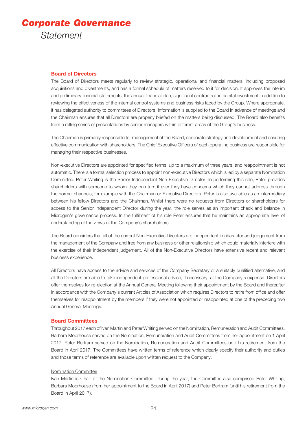# *Corporate Governance Statement*

# **Board of Directors**

The Board of Directors meets regularly to review strategic, operational and financial matters, including proposed acquisitions and divestments, and has a formal schedule of matters reserved to it for decision. It approves the interim and preliminary financial statements, the annual financial plan, significant contracts and capital investment in addition to reviewing the effectiveness of the internal control systems and business risks faced by the Group. Where appropriate, it has delegated authority to committees of Directors. Information is supplied to the Board in advance of meetings and the Chairman ensures that all Directors are properly briefed on the matters being discussed. The Board also benefits from a rolling series of presentations by senior managers within different areas of the Group's business.

The Chairman is primarily responsible for management of the Board, corporate strategy and development and ensuring effective communication with shareholders. The Chief Executive Officers of each operating business are responsible for managing their respective businesses.

Non-executive Directors are appointed for specified terms, up to a maximum of three years, and reappointment is not automatic. There is a formal selection process to appoint non-executive Directors which is led by a separate Nomination Committee. Peter Whiting is the Senior Independent Non-Executive Director. In performing this role, Peter provides shareholders with someone to whom they can turn if ever they have concerns which they cannot address through the normal channels, for example with the Chairman or Executive Directors. Peter is also available as an intermediary between his fellow Directors and the Chairman. Whilst there were no requests from Directors or shareholders for access to the Senior Independent Director during the year, the role serves as an important check and balance in Microgen's governance process. In the fulfilment of his role Peter ensures that he maintains an appropriate level of understanding of the views of the Company's shareholders.

The Board considers that all of the current Non-Executive Directors are independent in character and judgement from the management of the Company and free from any business or other relationship which could materially interfere with the exercise of their independent judgement. All of the Non-Executive Directors have extensive recent and relevant business experience.

All Directors have access to the advice and services of the Company Secretary or a suitably qualified alternative, and all the Directors are able to take independent professional advice, if necessary, at the Company's expense. Directors offer themselves for re-election at the Annual General Meeting following their appointment by the Board and thereafter in accordance with the Company's current Articles of Association which requires Directors to retire from office and offer themselves for reappointment by the members if they were not appointed or reappointed at one of the preceding two Annual General Meetings.

## **Board Committees**

Throughout 2017 each of Ivan Martin and Peter Whiting served on the Nomination, Remuneration and Audit Committees. Barbara Moorhouse served on the Nomination, Remuneration and Audit Committees from her appointment on 1 April 2017. Peter Bertram served on the Nomination, Remuneration and Audit Committees until his retirement from the Board in April 2017. The Committees have written terms of reference which clearly specify their authority and duties and those terms of reference are available upon written request to the Company.

#### Nomination Committee

Ivan Martin is Chair of the Nomination Committee. During the year, the Committee also comprised Peter Whiting, Barbara Moorhouse (from her appointment to the Board in April 2017) and Peter Bertram (until his retirement from the Board in April 2017).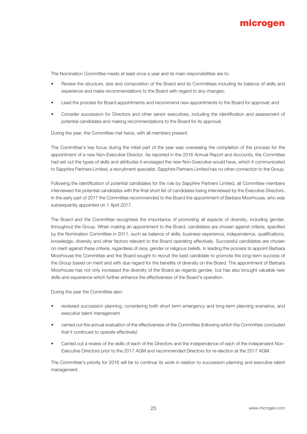The Nomination Committee meets at least once a year and its main responsibilities are to:

- Review the structure, size and composition of the Board and its Committees including its balance of skills and experience and make recommendations to the Board with regard to any changes;
- Lead the process for Board appointments and recommend new appointments to the Board for approval; and
- Consider succession for Directors and other senior executives, including the identification and assessment of potential candidates and making recommendations to the Board for its approval.

During the year, the Committee met twice, with all members present.

The Committee's key focus during the initial part of the year was overseeing the completion of the process for the appointment of a new Non-Executive Director. As reported in the 2016 Annual Report and Accounts, the Committee had set out the types of skills and attributes it envisaged the new Non-Executive would have, which it communicated to Sapphire Partners Limited, a recruitment specialist. Sapphire Partners Limited has no other connection to the Group.

Following the identification of potential candidates for the role by Sapphire Partners Limited, all Committee members interviewed the potential candidates with the final short list of candidates being interviewed by the Executive Directors. In the early part of 2017 the Committee recommended to the Board the appointment of Barbara Moorhouse, who was subsequently appointed on 1 April 2017.

The Board and the Committee recognises the importance of promoting all aspects of diversity, including gender, throughout the Group. When making an appointment to the Board, candidates are chosen against criteria, specified by the Nomination Committee in 2011, such as balance of skills, business experience, independence, qualifications, knowledge, diversity and other factors relevant to the Board operating effectively. Successful candidates are chosen on merit against these criteria, regardless of race, gender or religious beliefs. In leading the process to appoint Barbara Moorhouse the Committee and the Board sought to recruit the best candidate to promote the long-term success of the Group based on merit and with due regard for the benefits of diversity on the Board. The appointment of Barbara Moorhouse has not only increased the diversity of the Board as regards gender, but has also brought valuable new skills and experience which further enhance the effectiveness of the Board's operation.

During the year the Committee also:

- reviewed succession planning, considering both short term emergency and long-term planning scenarios, and executive talent management
- carried out the annual evaluation of the effectiveness of the Committee (following which the Committee concluded that it continued to operate effectively)
- Carried out a review of the skills of each of the Directors and the independence of each of the independent Non-Executive Directors prior to the 2017 AGM and recommended Directors for re-election at the 2017 AGM.

The Committee's priority for 2018 will be to continue its work in relation to succession planning and executive talent management.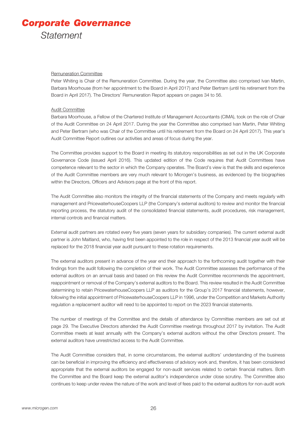# *Corporate Governance Statement*

### Remuneration Committee

Peter Whiting is Chair of the Remuneration Committee. During the year, the Committee also comprised Ivan Martin, Barbara Moorhouse (from her appointment to the Board in April 2017) and Peter Bertram (until his retirement from the Board in April 2017). The Directors' Remuneration Report appears on pages 34 to 56.

### Audit Committee

Barbara Moorhouse, a Fellow of the Chartered Institute of Management Accountants (CIMA), took on the role of Chair of the Audit Committee on 24 April 2017. During the year the Committee also comprised Ivan Martin, Peter Whiting and Peter Bertram (who was Chair of the Committee until his retirement from the Board on 24 April 2017). This year's Audit Committee Report outlines our activities and areas of focus during the year.

The Committee provides support to the Board in meeting its statutory responsibilities as set out in the UK Corporate Governance Code (issued April 2016). This updated edition of the Code requires that Audit Committees have competence relevant to the sector in which the Company operates. The Board's view is that the skills and experience of the Audit Committee members are very much relevant to Microgen's business, as evidenced by the biographies within the Directors, Officers and Advisors page at the front of this report.

The Audit Committee also monitors the integrity of the financial statements of the Company and meets regularly with management and PricewaterhouseCoopers LLP (the Company's external auditors) to review and monitor the financial reporting process, the statutory audit of the consolidated financial statements, audit procedures, risk management, internal controls and financial matters.

External audit partners are rotated every five years (seven years for subsidiary companies). The current external audit partner is John Maitland, who, having first been appointed to the role in respect of the 2013 financial year audit will be replaced for the 2018 financial year audit pursuant to these rotation requirements.

The external auditors present in advance of the year end their approach to the forthcoming audit together with their findings from the audit following the completion of their work. The Audit Committee assesses the performance of the external auditors on an annual basis and based on this review the Audit Committee recommends the appointment, reappointment or removal of the Company's external auditors to the Board. This review resulted in the Audit Committee determining to retain PricewaterhouseCoopers LLP as auditors for the Group's 2017 financial statements, however, following the initial appointment of PricewaterhouseCoopers LLP in 1996, under the Competition and Markets Authority regulation a replacement auditor will need to be appointed to report on the 2023 financial statements.

The number of meetings of the Committee and the details of attendance by Committee members are set out at page 29. The Executive Directors attended the Audit Committee meetings throughout 2017 by invitation. The Audit Committee meets at least annually with the Company's external auditors without the other Directors present. The external auditors have unrestricted access to the Audit Committee.

The Audit Committee considers that, in some circumstances, the external auditors' understanding of the business can be beneficial in improving the efficiency and effectiveness of advisory work and, therefore, it has been considered appropriate that the external auditors be engaged for non-audit services related to certain financial matters. Both the Committee and the Board keep the external auditor's independence under close scrutiny. The Committee also continues to keep under review the nature of the work and level of fees paid to the external auditors for non-audit work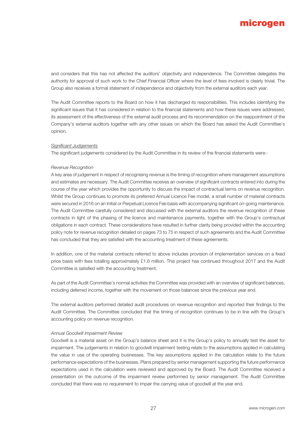and considers that this has not affected the auditors' objectivity and independence. The Committee delegates the authority for approval of such work to the Chief Financial Officer where the level of fees involved is clearly trivial. The Group also receives a formal statement of independence and objectivity from the external auditors each year.

The Audit Committee reports to the Board on how it has discharged its responsibilities. This includes identifying the significant issues that it has considered in relation to the financial statements and how these issues were addressed, its assessment of the effectiveness of the external audit process and its recommendation on the reappointment of the Company's external auditors together with any other issues on which the Board has asked the Audit Committee's opinion.

### *Significant Judgements*

The significant judgements considered by the Audit Committee in its review of the financial statements were:-

### *Revenue Recognition*

A key area of judgement in respect of recognising revenue is the timing of recognition where management assumptions and estimates are necessary. The Audit Committee receives an overview of significant contracts entered into during the course of the year which provides the opportunity to discuss the impact of contractual terms on revenue recognition. Whilst the Group continues to promote its preferred Annual Licence Fee model, a small number of material contracts were secured in 2016 on an Initial or Perpetual Licence Fee basis with accompanying significant on-going maintenance. The Audit Committee carefully considered and discussed with the external auditors the revenue recognition of these contracts in light of the phasing of the licence and maintenance payments, together with the Group's contractual obligations in each contract. These considerations have resulted in further clarity being provided within the accounting policy note for revenue recognition detailed on pages 73 to 75 in respect of such agreements and the Audit Committee has concluded that they are satisfied with the accounting treatment of these agreements.

In addition, one of the material contracts referred to above includes provision of implementation services on a fixed price basis with fees totalling approximately £1.6 million. This project has continued throughout 2017 and the Audit Committee is satisfied with the accounting treatment.

As part of the Audit Committee's normal activities the Committee was provided with an overview of significant balances, including deferred income, together with the movement on those balances since the previous year end.

The external auditors performed detailed audit procedures on revenue recognition and reported their findings to the Audit Committee. The Committee concluded that the timing of recognition continues to be in line with the Group's accounting policy on revenue recognition.

#### *Annual Goodwill Impairment Review*

Goodwill is a material asset on the Group's balance sheet and it is the Group's policy to annually test the asset for impairment. The judgements in relation to goodwill impairment testing relate to the assumptions applied in calculating the value in use of the operating businesses. The key assumptions applied in the calculation relate to the future performance expectations of the businesses. Plans prepared by senior management supporting the future performance expectations used in the calculation were reviewed and approved by the Board. The Audit Committee received a presentation on the outcome of the impairment review performed by senior management. The Audit Committee concluded that there was no requirement to impair the carrying value of goodwill at the year end.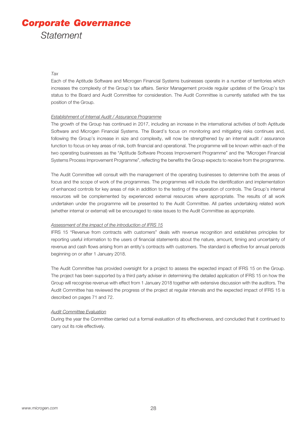# *Corporate Governance Statement*

# *Tax*

Each of the Aptitude Software and Microgen Financial Systems businesses operate in a number of territories which increases the complexity of the Group's tax affairs. Senior Management provide regular updates of the Group's tax status to the Board and Audit Committee for consideration. The Audit Committee is currently satisfied with the tax position of the Group.

## *Establishment of Internal Audit / Assurance Programme*

The growth of the Group has continued in 2017, including an increase in the international activities of both Aptitude Software and Microgen Financial Systems. The Board's focus on monitoring and mitigating risks continues and, following the Group's increase in size and complexity, will now be strengthened by an internal audit / assurance function to focus on key areas of risk, both financial and operational. The programme will be known within each of the two operating businesses as the "Aptitude Software Process Improvement Programme" and the "Microgen Financial Systems Process Improvement Programme", reflecting the benefits the Group expects to receive from the programme.

The Audit Committee will consult with the management of the operating businesses to determine both the areas of focus and the scope of work of the programmes. The programmes will include the identification and implementation of enhanced controls for key areas of risk in addition to the testing of the operation of controls. The Group's internal resources will be complemented by experienced external resources where appropriate. The results of all work undertaken under the programme will be presented to the Audit Committee. All parties undertaking related work (whether internal or external) will be encouraged to raise issues to the Audit Committee as appropriate.

#### *Assessment of the impact of the introduction of IFRS 15*

IFRS 15 "Revenue from contracts with customers" deals with revenue recognition and establishes principles for reporting useful information to the users of financial statements about the nature, amount, timing and uncertainty of revenue and cash flows arising from an entity's contracts with customers. The standard is effective for annual periods beginning on or after 1 January 2018.

The Audit Committee has provided oversight for a project to assess the expected impact of IFRS 15 on the Group. The project has been supported by a third party adviser in determining the detailed application of IFRS 15 on how the Group will recognise revenue with effect from 1 January 2018 together with extensive discussion with the auditors. The Audit Committee has reviewed the progress of the project at regular intervals and the expected impact of IFRS 15 is described on pages 71 and 72.

## *Audit Committee Evaluation*

During the year the Committee carried out a formal evaluation of its effectiveness, and concluded that it continued to carry out its role effectively.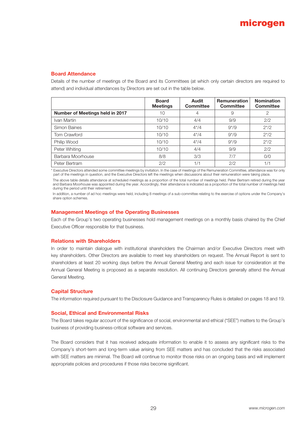# **Board Attendance**

Details of the number of meetings of the Board and its Committees (at which only certain directors are required to attend) and individual attendances by Directors are set out in the table below.

|                                 | <b>Board</b><br><b>Meetings</b> | <b>Audit</b><br><b>Committee</b> | <b>Remuneration</b><br><b>Committee</b> | <b>Nomination</b><br><b>Committee</b> |
|---------------------------------|---------------------------------|----------------------------------|-----------------------------------------|---------------------------------------|
| Number of Meetings held in 2017 | 10                              | 4                                | 9                                       | ≘                                     |
| Ivan Martin                     | 10/10                           | 4/4                              | 9/9                                     | 2/2                                   |
| Simon Baines                    | 10/10                           | $4^{*/4}$                        | $9*/9$                                  | $2^{*/2}$                             |
| Tom Crawford                    | 10/10                           | $4^{*/4}$                        | 9'/9                                    | $2^{*/2}$                             |
| Philip Wood                     | 10/10                           | $4^{*/4}$                        | 9'/9                                    | $2^{*/2}$                             |
| Peter Whiting                   | 10/10                           | 4/4                              | 9/9                                     | 2/2                                   |
| Barbara Moorhouse               | 8/8                             | 3/3                              | 7/7                                     | O/O                                   |
| Peter Bertram                   | 2/2                             | 1/1                              | 2/2                                     | 1/1                                   |

\* Executive Directors attended some committee meetings by invitation. In the case of meetings of the Remuneration Committee, attendance was for only part of the meetings in question, and the Executive Directors left the meetings when discussions about their remuneration were taking place.

The above table details attendance at scheduled meetings as a proportion of the total number of meetings held. Peter Bertram retired during the year and Barbara Moorhouse was appointed during the year. Accordingly, their attendance is indicated as a proportion of the total number of meetings held during the period until their retirement.

In addition, a number of ad hoc meetings were held, including 8 meetings of a sub-committee relating to the exercise of options under the Company's share option schemes.

# **Management Meetings of the Operating Businesses**

Each of the Group's two operating businesses hold management meetings on a monthly basis chaired by the Chief Executive Officer responsible for that business.

## **Relations with Shareholders**

In order to maintain dialogue with institutional shareholders the Chairman and/or Executive Directors meet with key shareholders. Other Directors are available to meet key shareholders on request. The Annual Report is sent to shareholders at least 20 working days before the Annual General Meeting and each issue for consideration at the Annual General Meeting is proposed as a separate resolution. All continuing Directors generally attend the Annual General Meeting.

## **Capital Structure**

The information required pursuant to the Disclosure Guidance and Transparency Rules is detailed on pages 18 and 19.

## **Social, Ethical and Environmental Risks**

The Board takes regular account of the significance of social, environmental and ethical ("SEE") matters to the Group's business of providing business-critical software and services.

The Board considers that it has received adequate information to enable it to assess any significant risks to the Company's short-term and long-term value arising from SEE matters and has concluded that the risks associated with SEE matters are minimal. The Board will continue to monitor those risks on an ongoing basis and will implement appropriate policies and procedures if those risks become significant.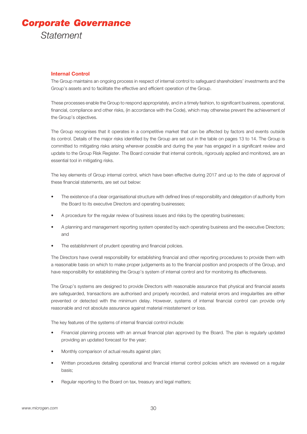# *Corporate Governance Statement*

# **Internal Control**

The Group maintains an ongoing process in respect of internal control to safeguard shareholders' investments and the Group's assets and to facilitate the effective and efficient operation of the Group.

These processes enable the Group to respond appropriately, and in a timely fashion, to significant business, operational, financial, compliance and other risks, (in accordance with the Code), which may otherwise prevent the achievement of the Group's objectives.

The Group recognises that it operates in a competitive market that can be affected by factors and events outside its control. Details of the major risks identified by the Group are set out in the table on pages 13 to 14. The Group is committed to mitigating risks arising wherever possible and during the year has engaged in a significant review and update to the Group Risk Register. The Board consider that internal controls, rigorously applied and monitored, are an essential tool in mitigating risks.

The key elements of Group internal control, which have been effective during 2017 and up to the date of approval of these financial statements, are set out below:

- The existence of a clear organisational structure with defined lines of responsibility and delegation of authority from the Board to its executive Directors and operating businesses;
- A procedure for the regular review of business issues and risks by the operating businesses;
- A planning and management reporting system operated by each operating business and the executive Directors; and
- The establishment of prudent operating and financial policies.

The Directors have overall responsibility for establishing financial and other reporting procedures to provide them with a reasonable basis on which to make proper judgements as to the financial position and prospects of the Group, and have responsibility for establishing the Group's system of internal control and for monitoring its effectiveness.

The Group's systems are designed to provide Directors with reasonable assurance that physical and financial assets are safeguarded, transactions are authorised and properly recorded, and material errors and irregularities are either prevented or detected with the minimum delay. However, systems of internal financial control can provide only reasonable and not absolute assurance against material misstatement or loss.

The key features of the systems of internal financial control include:

- Financial planning process with an annual financial plan approved by the Board. The plan is regularly updated providing an updated forecast for the year;
- Monthly comparison of actual results against plan;
- Written procedures detailing operational and financial internal control policies which are reviewed on a regular basis;
- Regular reporting to the Board on tax, treasury and legal matters;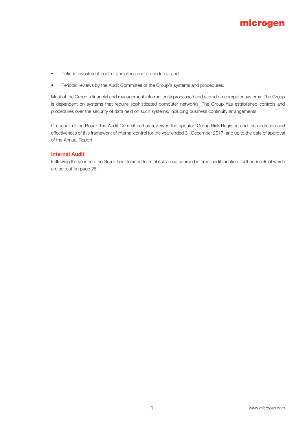- Defined investment control guidelines and procedures; and
- Periodic reviews by the Audit Committee of the Group's systems and procedures.

Most of the Group's financial and management information is processed and stored on computer systems. The Group is dependent on systems that require sophisticated computer networks. The Group has established controls and procedures over the security of data held on such systems, including business continuity arrangements.

On behalf of the Board, the Audit Committee has reviewed the updated Group Risk Register, and the operation and effectiveness of this framework of internal control for the year ended 31 December 2017, and up to the date of approval of the Annual Report.

## **Internal Audit**

Following the year end the Group has decided to establish an outsourced internal audit function, further details of which are set out on page 28.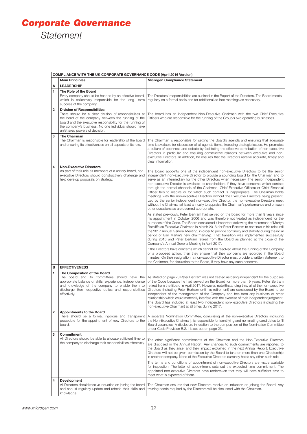# *Corporate Governance Statement*

|                         | <b>COMPLIANCE WITH THE UK CORPORATE GOVERNANCE CODE (April 2016 Version)</b>                                                                                                                                                                                                                                 |                                                                                                                                                                                                                                                                                                                                                                                                                                                                                                                                                                                                                                                                                                                                                                                                                                                                                                                                                                                                                                                                                                                                                                                                                                                                                                                                                                                                                                                                                                                                                                                                                        |  |  |  |  |
|-------------------------|--------------------------------------------------------------------------------------------------------------------------------------------------------------------------------------------------------------------------------------------------------------------------------------------------------------|------------------------------------------------------------------------------------------------------------------------------------------------------------------------------------------------------------------------------------------------------------------------------------------------------------------------------------------------------------------------------------------------------------------------------------------------------------------------------------------------------------------------------------------------------------------------------------------------------------------------------------------------------------------------------------------------------------------------------------------------------------------------------------------------------------------------------------------------------------------------------------------------------------------------------------------------------------------------------------------------------------------------------------------------------------------------------------------------------------------------------------------------------------------------------------------------------------------------------------------------------------------------------------------------------------------------------------------------------------------------------------------------------------------------------------------------------------------------------------------------------------------------------------------------------------------------------------------------------------------------|--|--|--|--|
|                         | <b>Main Principles</b>                                                                                                                                                                                                                                                                                       | <b>Microgen Compliance Statement</b>                                                                                                                                                                                                                                                                                                                                                                                                                                                                                                                                                                                                                                                                                                                                                                                                                                                                                                                                                                                                                                                                                                                                                                                                                                                                                                                                                                                                                                                                                                                                                                                   |  |  |  |  |
| Α                       | <b>LEADERSHIP</b>                                                                                                                                                                                                                                                                                            |                                                                                                                                                                                                                                                                                                                                                                                                                                                                                                                                                                                                                                                                                                                                                                                                                                                                                                                                                                                                                                                                                                                                                                                                                                                                                                                                                                                                                                                                                                                                                                                                                        |  |  |  |  |
| 1                       | The Role of the Board<br>Every company should be headed by an effective board,<br>which is collectively responsible for the long- term<br>success of the company.                                                                                                                                            | The Directors' responsibilities are outlined in the Report of the Directors. The Board meets<br>regularly on a formal basis and for additional ad hoc meetings as necessary.                                                                                                                                                                                                                                                                                                                                                                                                                                                                                                                                                                                                                                                                                                                                                                                                                                                                                                                                                                                                                                                                                                                                                                                                                                                                                                                                                                                                                                           |  |  |  |  |
| $\overline{\mathbf{2}}$ | <b>Division of Responsibilities</b><br>There should be a clear division of responsibilities at<br>the head of the company between the running of the<br>board and the executive responsibility for the running of<br>the company's business. No one individual should have<br>unfettered powers of decision. | The board has an independent Non-Executive Chairman with the two Chief Executive<br>Officers who are responsible for the running of the Group's two operating businesses.                                                                                                                                                                                                                                                                                                                                                                                                                                                                                                                                                                                                                                                                                                                                                                                                                                                                                                                                                                                                                                                                                                                                                                                                                                                                                                                                                                                                                                              |  |  |  |  |
| 3                       | The Chairman<br>The Chairman is responsible for leadership of the board<br>and ensuring its effectiveness on all aspects of its role.                                                                                                                                                                        | The Chairman is responsible for setting the Board's agenda and ensuring that adequate<br>time is available for discussion of all agenda items, including strategic issues. He promotes<br>a culture of openness and debate by facilitating the effective contribution of non-executive<br>Directors in particular and ensuring constructive relations between executive and non-<br>executive Directors. In addition, he ensures that the Directors receive accurate, timely and<br>clear information.                                                                                                                                                                                                                                                                                                                                                                                                                                                                                                                                                                                                                                                                                                                                                                                                                                                                                                                                                                                                                                                                                                                 |  |  |  |  |
| 4                       | <b>Non-Executive Directors</b><br>As part of their role as members of a unitary board, non-<br>executive Directors should constructively challenge and<br>help develop proposals on strategy.                                                                                                                | The Board appoints one of the independent non-executive Directors to be the senior<br>independent non-executive Director to provide a sounding board for the Chairman and to<br>serve as an intermediary for the other Directors when necessary. The senior independent<br>non-executive Director is available to shareholders if they have concerns which contact<br>through the normal channels of the Chairman, Chief Executive Officers or Chief Financial<br>Officer fails to resolve or for which such contact is inappropriate. The Chairman holds<br>meetings with the non-executive Directors without the Executive Directors being present.<br>Led by the senior independent non-executive Director, the non-executive Directors meet<br>without the Chairman at least annually to appraise the Chairman's performance and on such<br>other occasions as are deemed appropriate.<br>As stated previously, Peter Bertram had served on the board for more than 9 years since<br>his appointment in October 2006 and was therefore not treated as independent for the<br>purposes of the Code. The Board considered it important (following the retirement of Martyn<br>Ratcliffe as Executive Chairman in March 2016) for Peter Bertram to continue in his role until<br>the 2017 Annual General Meeting, in order to provide continuity and stability during the initial<br>period of Ivan Martin's new chairmanship. That transition was implemented successfully<br>during 2016 and Peter Bertram retired from the Board as planned at the close of the<br>Company's Annual General Meeting in April 2017. |  |  |  |  |
|                         |                                                                                                                                                                                                                                                                                                              | If the Directors have concerns which cannot be resolved about the running of the Company<br>or a proposed action, then they ensure that their concerns are recorded in the Board<br>minutes. On their resignation, a non-executive Director must provide a written statement to<br>the Chairman, for circulation to the Board, if they have any such concerns.                                                                                                                                                                                                                                                                                                                                                                                                                                                                                                                                                                                                                                                                                                                                                                                                                                                                                                                                                                                                                                                                                                                                                                                                                                                         |  |  |  |  |
| в                       | <b>EFFECTIVENESS</b>                                                                                                                                                                                                                                                                                         |                                                                                                                                                                                                                                                                                                                                                                                                                                                                                                                                                                                                                                                                                                                                                                                                                                                                                                                                                                                                                                                                                                                                                                                                                                                                                                                                                                                                                                                                                                                                                                                                                        |  |  |  |  |
| 1                       | The Composition of the Board<br>The board and its committees should have the<br>appropriate balance of skills, experience, independence<br>and knowledge of the company to enable them to<br>discharge their respective duties and responsibilities<br>effectively.                                          | As stated on page 23 Peter Bertram was not treated as being independent for the purposes<br>of the Code because he had served on the Board for more than 9 years. Peter Bertram<br>retired from the Board in April 2017. However, notwithstanding this, all of the non-executive<br>Directors (including Peter Bertram until his retirement) are considered by the Board to be<br>independent of the management of the Company and free from any business or other<br>relationship which could materially interfere with the exercise of their independent judgment.<br>The Board has included at least two independent non- executive Directors (including the<br>non-executive Chairman) at all times during 2017.                                                                                                                                                                                                                                                                                                                                                                                                                                                                                                                                                                                                                                                                                                                                                                                                                                                                                                   |  |  |  |  |
| $\overline{\mathbf{c}}$ | <b>Appointments to the Board</b><br>There should be a formal, rigorous and transparent<br>procedure for the appointment of new Directors to the<br>board.                                                                                                                                                    | A separate Nomination Committee, comprising all the non-executive Directors (including<br>the Non-Executive Chairman), is responsible for identifying and nominating candidates to fill<br>Board vacancies. A disclosure in relation to the composition of the Nomination Committee<br>under Code Provision B.2.1 is set out on page 23.                                                                                                                                                                                                                                                                                                                                                                                                                                                                                                                                                                                                                                                                                                                                                                                                                                                                                                                                                                                                                                                                                                                                                                                                                                                                               |  |  |  |  |
| 3                       | Commitment<br>All Directors should be able to allocate sufficient time to<br>the company to discharge their responsibilities effectively.                                                                                                                                                                    | The other significant commitments of the Chairman and the Non-Executive Directors<br>are disclosed in the Annual Report. Any changes to such commitments are reported to<br>the Board as they arise, and their impact explained in the next Annual Report. Executive<br>Directors will not be given permission by the Board to take on more than one Directorship<br>in another company. None of the Executive Directors currently holds any other such role.<br>The terms and conditions of appointment of non-executive Directors are made available<br>for inspection. The letter of appointment sets out the expected time commitment. The<br>appointed non-executive Directors have undertaken that they will have sufficient time to<br>meet what is expected of them.                                                                                                                                                                                                                                                                                                                                                                                                                                                                                                                                                                                                                                                                                                                                                                                                                                           |  |  |  |  |
| 4                       | Development<br>All Directors should receive induction on joining the board<br>and should regularly update and refresh their skills and<br>knowledge.                                                                                                                                                         | The Chairman ensures that new Directors receive an induction on joining the Board. Any<br>training needs required by the Directors will be discussed with the Chairman.                                                                                                                                                                                                                                                                                                                                                                                                                                                                                                                                                                                                                                                                                                                                                                                                                                                                                                                                                                                                                                                                                                                                                                                                                                                                                                                                                                                                                                                |  |  |  |  |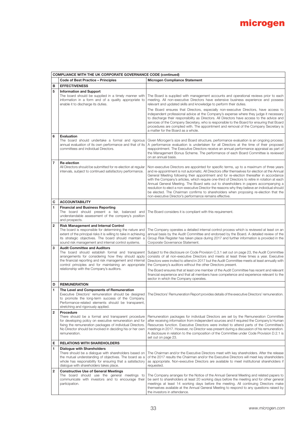|                         | <b>COMPLIANCE WITH THE UK CORPORATE GOVERNANCE CODE (continued)</b>                                                                                                                                                                                                                                              |                                                                                                                                                                                                                                                                                                                                                                                                                                                                                                                                                                                                                                                                                                                                        |  |  |  |  |
|-------------------------|------------------------------------------------------------------------------------------------------------------------------------------------------------------------------------------------------------------------------------------------------------------------------------------------------------------|----------------------------------------------------------------------------------------------------------------------------------------------------------------------------------------------------------------------------------------------------------------------------------------------------------------------------------------------------------------------------------------------------------------------------------------------------------------------------------------------------------------------------------------------------------------------------------------------------------------------------------------------------------------------------------------------------------------------------------------|--|--|--|--|
|                         | <b>Code of Best Practice - Principles</b>                                                                                                                                                                                                                                                                        | <b>Microgen Compliance Statement</b>                                                                                                                                                                                                                                                                                                                                                                                                                                                                                                                                                                                                                                                                                                   |  |  |  |  |
| в                       | <b>EFFECTIVENESS</b>                                                                                                                                                                                                                                                                                             |                                                                                                                                                                                                                                                                                                                                                                                                                                                                                                                                                                                                                                                                                                                                        |  |  |  |  |
| 5                       | <b>Information and Support</b><br>The board should be supplied in a timely manner with<br>information in a form and of a quality appropriate to<br>enable it to discharge its duties.                                                                                                                            | The Board is supplied with management accounts and operational reviews prior to each<br>meeting. All non-executive Directors have extensive business experience and possess<br>relevant and updated skills and knowledge to perform their duties.                                                                                                                                                                                                                                                                                                                                                                                                                                                                                      |  |  |  |  |
|                         |                                                                                                                                                                                                                                                                                                                  | The Board ensures that Directors, especially non-executive Directors, have access to<br>independent professional advice at the Company's expense where they judge it necessary<br>to discharge their responsibility as Directors. All Directors have access to the advice and<br>services of the Company Secretary, who is responsible to the Board for ensuring that Board<br>procedures are complied with. The appointment and removal of the Company Secretary is<br>a matter for the Board as a whole.                                                                                                                                                                                                                             |  |  |  |  |
| 6                       | Evaluation<br>The board should undertake a formal and rigorous<br>annual evaluation of its own performance and that of its<br>committees and individual Directors.                                                                                                                                               | Given Microgen's size and Board structure, performance evaluation is an ongoing process.<br>A performance evaluation is undertaken for all Directors at the time of their proposed<br>reappointment. The Executive Directors receive an annual performance appraisal as part of<br>the Management Bonus Scheme. The performance of each Board Committee is reviewed<br>on an annual basis.                                                                                                                                                                                                                                                                                                                                             |  |  |  |  |
| $\overline{7}$          | <b>Re-election</b><br>All Directors should be submitted for re-election at regular<br>intervals, subject to continued satisfactory performance.                                                                                                                                                                  | Non-executive Directors are appointed for specific terms, up to a maximum of three years<br>and re-appointment is not automatic. All Directors offer themselves for election at the Annual<br>General Meeting following their appointment and for re-election thereafter in accordance<br>with the Company's articles, which require one-third of Directors to retire in rotation at each<br>Annual General Meeting. The Board sets out to shareholders in papers accompanying a<br>resolution to elect a non-executive Director the reasons why they believe an individual should<br>be elected. The Chairman confirms to shareholders when proposing re-election that the<br>non-executive Director's performance remains effective. |  |  |  |  |
| С                       | <b>ACCOUNTABILITY</b>                                                                                                                                                                                                                                                                                            |                                                                                                                                                                                                                                                                                                                                                                                                                                                                                                                                                                                                                                                                                                                                        |  |  |  |  |
| 1                       | <b>Financial and Business Reporting</b><br>The board should present a fair, balanced and<br>understandable assessment of the company's position<br>and prospects.                                                                                                                                                | The Board considers it is compliant with this requirement.                                                                                                                                                                                                                                                                                                                                                                                                                                                                                                                                                                                                                                                                             |  |  |  |  |
| $\overline{2}$          | <b>Risk Management and Internal Control</b><br>The board is responsible for determining the nature and<br>extent of the principal risks it is willing to take in achieving<br>its strategic objectives. The board should maintain a<br>sound risk management and internal control systems.                       | The Company operates a detailed internal control process which is reviewed at least on an<br>annual basis by the Audit Committee and endorsed by the Board. A detailed review of the<br>Group Risk Register has taken place during 2017 and further information is provided in the<br>Corporate Governance Statement.                                                                                                                                                                                                                                                                                                                                                                                                                  |  |  |  |  |
| 3                       | <b>Audit Committee and Auditors</b><br>The board should establish formal and transparent<br>arrangements for considering how they should apply<br>the financial reporting and risk management and internal<br>control principles and for maintaining an appropriate<br>relationship with the Company's auditors. | Subject to the disclosure on Code Provision C.3.1 set out on page 23, the Audit Committee<br>consists of all non-executive Directors and meets at least three times a year. Executive<br>Directors were invited to attend in 2017 but the Audit Committee meets at least annually with<br>the Company's auditors without the other Directors present.<br>The Board ensures that at least one member of the Audit Committee has recent and relevant<br>financial experience and that all members have competence and experience relevant to the<br>sector in which the Company operates.                                                                                                                                                |  |  |  |  |
| D                       | <b>REMUNERATION</b>                                                                                                                                                                                                                                                                                              |                                                                                                                                                                                                                                                                                                                                                                                                                                                                                                                                                                                                                                                                                                                                        |  |  |  |  |
| 1                       | The Level and Components of Remuneration<br>Executive Directors' remuneration should be designed<br>to promote the long-term success of the Company.<br>Performance-related elements should be transparent.<br>stretching and rigorously applied.                                                                | The Directors' Remuneration Report provides details of the executive Directors' remuneration.                                                                                                                                                                                                                                                                                                                                                                                                                                                                                                                                                                                                                                          |  |  |  |  |
| $\overline{2}$          | Procedure<br>There should be a formal and transparent procedure<br>for developing policy on executive remuneration and for<br>fixing the remuneration packages of individual Directors.<br>No Director should be involved in deciding his or her own<br>remuneration.                                            | Remuneration packages for individual Directors are set by the Remuneration Committee<br>after receiving information from independent sources and if required the Company's Human<br>Resources function. Executive Directors were invited to attend parts of the Committee's<br>meetings in 2017. However, no Director was present during a discussion of his remuneration.<br>A disclosure in relation to the composition of the Committee under Code Provision D.2.1 is<br>set out on page 23.                                                                                                                                                                                                                                        |  |  |  |  |
| Е                       | <b>RELATIONS WITH SHAREHOLDERS</b>                                                                                                                                                                                                                                                                               |                                                                                                                                                                                                                                                                                                                                                                                                                                                                                                                                                                                                                                                                                                                                        |  |  |  |  |
| 1                       | <b>Dialogue with Shareholders</b><br>There should be a dialogue with shareholders based on<br>the mutual understanding of objectives. The board as a<br>whole has responsibility for ensuring that a satisfactory<br>dialogue with shareholders takes place.                                                     | The Chairman and/or the Executive Directors meet with key shareholders. After the release<br>of the 2017 results the Chairman and/or the Executive Directors will meet key shareholders<br>as appropriate. Non-executive Directors are available to meet institutional shareholders if<br>requested.                                                                                                                                                                                                                                                                                                                                                                                                                                   |  |  |  |  |
| $\overline{\mathbf{2}}$ | <b>Constructive Use of General Meetings</b><br>The board should use the general meetings to<br>communicate with investors and to encourage their<br>participation.                                                                                                                                               | The Company arranges for the Notice of the Annual General Meeting and related papers to<br>be sent to shareholders at least 20 working days before the meeting and for other general<br>meetings at least 14 working days before the meeting. All continuing Directors make<br>themselves available at the Annual General Meeting to respond to any questions raised by<br>the investors in attendance.                                                                                                                                                                                                                                                                                                                                |  |  |  |  |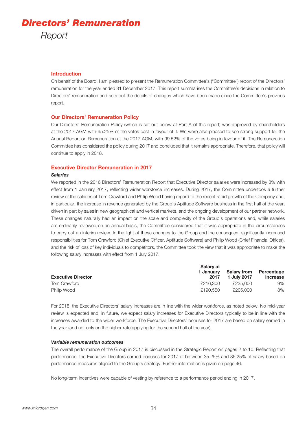# *Directors' Remuneration Report*

# **Introduction**

On behalf of the Board, I am pleased to present the Remuneration Committee's ("Committee") report of the Directors' remuneration for the year ended 31 December 2017. This report summarises the Committee's decisions in relation to Directors' remuneration and sets out the details of changes which have been made since the Committee's previous report.

## **Our Directors' Remuneration Policy**

Our Directors' Remuneration Policy (which is set out below at Part A of this report) was approved by shareholders at the 2017 AGM with 95.25% of the votes cast in favour of it. We were also pleased to see strong support for the Annual Report on Remuneration at the 2017 AGM, with 99.52% of the votes being in favour of it. The Remuneration Committee has considered the policy during 2017 and concluded that it remains appropriate. Therefore, that policy will continue to apply in 2018.

# **Executive Director Remuneration in 2017**

#### *Salaries*

We reported in the 2016 Directors' Remuneration Report that Executive Director salaries were increased by 3% with effect from 1 January 2017, reflecting wider workforce increases. During 2017, the Committee undertook a further review of the salaries of Tom Crawford and Philip Wood having regard to the recent rapid growth of the Company and, in particular, the increase in revenue generated by the Group's Aptitude Software business in the first half of the year, driven in part by sales in new geographical and vertical markets, and the ongoing development of our partner network. These changes naturally had an impact on the scale and complexity of the Group's operations and, while salaries are ordinarily reviewed on an annual basis, the Committee considered that it was appropriate in the circumstances to carry out an interim review. In the light of these changes to the Group and the consequent significantly increased responsibilities for Tom Crawford (Chief Executive Officer, Aptitude Software) and Philip Wood (Chief Financial Officer), and the risk of loss of key individuals to competitors, the Committee took the view that it was appropriate to make the following salary increases with effect from 1 July 2017.

| <b>Executive Director</b> | Salary at<br>1 January<br>2017 | <b>Salary from</b><br>1 July 2017 | Percentage<br><b>Increase</b> |
|---------------------------|--------------------------------|-----------------------------------|-------------------------------|
| Tom Crawford              | £216.300                       | £235,000                          | 9%                            |
| Philip Wood               | £190.550                       | £205,000                          | 8%                            |

For 2018, the Executive Directors' salary increases are in line with the wider workforce, as noted below. No mid-year review is expected and, in future, we expect salary increases for Executive Directors typically to be in line with the increases awarded to the wider workforce. The Executive Directors' bonuses for 2017 are based on salary earned in the year (and not only on the higher rate applying for the second half of the year).

#### *Variable remuneration outcomes*

The overall performance of the Group in 2017 is discussed in the Strategic Report on pages 2 to 10. Reflecting that performance, the Executive Directors earned bonuses for 2017 of between 35.25% and 86.25% of salary based on performance measures aligned to the Group's strategy. Further information is given on page 46.

No long-term incentives were capable of vesting by reference to a performance period ending in 2017.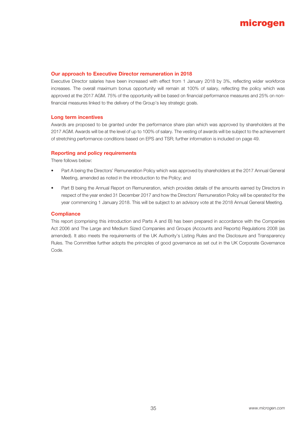

### **Our approach to Executive Director remuneration in 2018**

Executive Director salaries have been increased with effect from 1 January 2018 by 3%, reflecting wider workforce increases. The overall maximum bonus opportunity will remain at 100% of salary, reflecting the policy which was approved at the 2017 AGM. 75% of the opportunity will be based on financial performance measures and 25% on nonfinancial measures linked to the delivery of the Group's key strategic goals.

### **Long term incentives**

Awards are proposed to be granted under the performance share plan which was approved by shareholders at the 2017 AGM. Awards will be at the level of up to 100% of salary. The vesting of awards will be subject to the achievement of stretching performance conditions based on EPS and TSR; further information is included on page 49.

### **Reporting and policy requirements**

There follows below:

- Part A being the Directors' Remuneration Policy which was approved by shareholders at the 2017 Annual General Meeting, amended as noted in the introduction to the Policy; and
- Part B being the Annual Report on Remuneration, which provides details of the amounts earned by Directors in respect of the year ended 31 December 2017 and how the Directors' Remuneration Policy will be operated for the year commencing 1 January 2018. This will be subject to an advisory vote at the 2018 Annual General Meeting.

### **Compliance**

This report (comprising this introduction and Parts A and B) has been prepared in accordance with the Companies Act 2006 and The Large and Medium Sized Companies and Groups (Accounts and Reports) Regulations 2008 (as amended). It also meets the requirements of the UK Authority's Listing Rules and the Disclosure and Transparency Rules. The Committee further adopts the principles of good governance as set out in the UK Corporate Governance Code.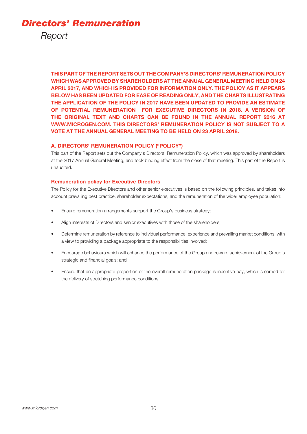# *Directors' Remuneration*

*Report*

**THIS PART OF THE REPORT SETS OUT THE COMPANY'S DIRECTORS' REMUNERATION POLICY WHICH WAS APPROVED BY SHAREHOLDERS AT THE ANNUAL GENERAL MEETING HELD ON 24 APRIL 2017, AND WHICH IS PROVIDED FOR INFORMATION ONLY. THE POLICY AS IT APPEARS BELOW HAS BEEN UPDATED FOR EASE OF READING ONLY, AND THE CHARTS ILLUSTRATING THE APPLICATION OF THE POLICY IN 2017 HAVE BEEN UPDATED TO PROVIDE AN ESTIMATE OF POTENTIAL REMUNERATION FOR EXECUTIVE DIRECTORS IN 2018. A VERSION OF THE ORIGINAL TEXT AND CHARTS CAN BE FOUND IN THE ANNUAL REPORT 2016 AT WWW.MICROGEN.COM. THIS DIRECTORS' REMUNERATION POLICY IS NOT SUBJECT TO A VOTE AT THE ANNUAL GENERAL MEETING TO BE HELD ON 23 APRIL 2018.**

## **A. DIRECTORS' REMUNERATION POLICY ("POLICY")**

This part of the Report sets out the Company's Directors' Remuneration Policy, which was approved by shareholders at the 2017 Annual General Meeting, and took binding effect from the close of that meeting. This part of the Report is unaudited.

## **Remuneration policy for Executive Directors**

The Policy for the Executive Directors and other senior executives is based on the following principles, and takes into account prevailing best practice, shareholder expectations, and the remuneration of the wider employee population:

- Ensure remuneration arrangements support the Group's business strategy;
- Align interests of Directors and senior executives with those of the shareholders;
- Determine remuneration by reference to individual performance, experience and prevailing market conditions, with a view to providing a package appropriate to the responsibilities involved;
- Encourage behaviours which will enhance the performance of the Group and reward achievement of the Group's strategic and financial goals; and
- Ensure that an appropriate proportion of the overall remuneration package is incentive pay, which is earned for the delivery of stretching performance conditions.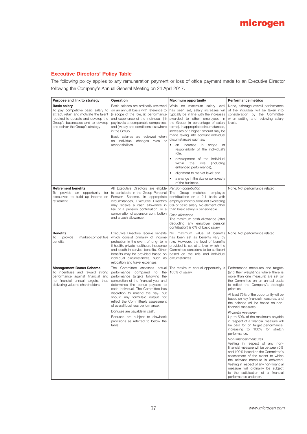# **Executive Directors' Policy Table**

The following policy applies to any remuneration payment or loss of office payment made to an Executive Director following the Company's Annual General Meeting on 24 April 2017.

| Purpose and link to strategy                                                                                                                                                                                         | Operation                                                                                                                                                                                                                                                                                                                                                                                                                                                                               | <b>Maximum opportunity</b>                                                                                                                                                                                                                                                                                                                                                                                                                                                                                                                                                                                          | <b>Performance metrics</b>                                                                                                                                                                                                                                                                                                                                                                                                                                                                                                                                                                                                                                                                                                                                                                                                                                                                                           |
|----------------------------------------------------------------------------------------------------------------------------------------------------------------------------------------------------------------------|-----------------------------------------------------------------------------------------------------------------------------------------------------------------------------------------------------------------------------------------------------------------------------------------------------------------------------------------------------------------------------------------------------------------------------------------------------------------------------------------|---------------------------------------------------------------------------------------------------------------------------------------------------------------------------------------------------------------------------------------------------------------------------------------------------------------------------------------------------------------------------------------------------------------------------------------------------------------------------------------------------------------------------------------------------------------------------------------------------------------------|----------------------------------------------------------------------------------------------------------------------------------------------------------------------------------------------------------------------------------------------------------------------------------------------------------------------------------------------------------------------------------------------------------------------------------------------------------------------------------------------------------------------------------------------------------------------------------------------------------------------------------------------------------------------------------------------------------------------------------------------------------------------------------------------------------------------------------------------------------------------------------------------------------------------|
| <b>Basic salary</b><br>To pay competitive basic salary to<br>attract, retain and motivate the talent<br>required to operate and develop the<br>Group's businesses and to develop<br>and deliver the Group's strategy | Basic salaries are ordinarily reviewed<br>on an annual basis with reference to<br>(i) scope of the role, (ii) performance<br>and experience of the individual, (iii)<br>pay levels at comparable companies,<br>and (iv) pay and conditions elsewhere<br>in the Group.<br>Basic salaries are reviewed when<br>an individual changes roles or<br>responsibilities.                                                                                                                        | While no maximum salary level<br>has been set, salary increases will<br>typically be in line with the increases<br>awarded to other employees in<br>the Group (in percentage of salary<br>terms). In appropriate circumstances,<br>increases of a higher amount may be<br>made taking into account individual<br>circumstances such as:<br>an increase in scope or<br>responsibility of the individual's<br>role;<br>development of the individual<br>within the<br>role<br><i>(including</i><br>enhanced performance);<br>alignment to market level; and<br>a change in the size or complexity<br>of the business. | None, although overall performance<br>of the individual will be taken into<br>consideration by the Committee<br>when setting and reviewing salary<br>levels.                                                                                                                                                                                                                                                                                                                                                                                                                                                                                                                                                                                                                                                                                                                                                         |
| <b>Retirement benefits</b><br>To provide an opportunity for<br>executives to build up income on<br>retirement                                                                                                        | All Executive Directors are eligible<br>to participate in the Group Personal<br>Pension Scheme. In appropriate<br>circumstances, Executive Directors<br>may receive a cash allowance in<br>lieu of a pension contribution, or a<br>combination of a pension contribution<br>and a cash allowance.                                                                                                                                                                                       | Pension contribution<br>The Group matches employee<br>contributions on a 2:1 basis with<br>employer contributions not exceeding<br>6% of basic salary. No element other<br>than basic salary is pensionable.<br>Cash allowance<br>The maximum cash allowance (after<br>deducting any employer pension<br>contribution) is 6% of basic salary.                                                                                                                                                                                                                                                                       | None. Not performance related.                                                                                                                                                                                                                                                                                                                                                                                                                                                                                                                                                                                                                                                                                                                                                                                                                                                                                       |
| <b>Benefits</b><br>To<br>provide<br>market-competitive<br>benefits                                                                                                                                                   | Executive Directors receive benefits<br>which consist primarily of income<br>protection in the event of long-term<br>ill health, private healthcare insurance<br>and death-in-service benefits. Other<br>benefits may be provided based on<br>individual circumstances, such as<br>relocation and travel expenses.                                                                                                                                                                      | No maximum value of benefits<br>has been set as benefits vary by<br>role. However, the level of benefits<br>provided is set at a level which the<br>Committee considers to be sufficient<br>based on the role and individual<br>circumstances.                                                                                                                                                                                                                                                                                                                                                                      | None. Not performance related.                                                                                                                                                                                                                                                                                                                                                                                                                                                                                                                                                                                                                                                                                                                                                                                                                                                                                       |
| <b>Management Bonus Scheme</b><br>To incentivise and reward strong<br>performance against financial and<br>non-financial annual targets, thus<br>delivering value to shareholders                                    | The Committee assesses actual<br>performance compared to the<br>performance targets following the<br>completion of the financial year and<br>determines the bonus payable to<br>each individual. The Committee has<br>discretion to amend the pay- out<br>should any formulaic output not<br>reflect the Committee's assessment<br>of overall business performance.<br>Bonuses are payable in cash.<br>Bonuses are subject to clawback<br>provisions as referred to below the<br>table. | The maximum annual opportunity is<br>100% of salary.                                                                                                                                                                                                                                                                                                                                                                                                                                                                                                                                                                | Performance measures and targets<br>(and their weightings where there is<br>more than one measure) are set by<br>the Committee on an annual basis<br>to reflect the Company's strategic<br>priorities.<br>At least 75% of the opportunity will be<br>based on key financial measures, and<br>the balance will be based on non-<br>financial measures.<br>Financial measures<br>Up to 50% of the maximum payable<br>in respect of a financial measure will<br>be paid for on target performance,<br>increasing to 100% for stretch<br>performance.<br>Non-financial measures<br>Vesting in respect of any non-<br>financial measure will be between 0%<br>and 100% based on the Committee's<br>assessment of the extent to which<br>the relevant measure is achieved.<br>Vesting in respect of any non-financial<br>measure will ordinarily be subject<br>to the satisfaction of a financial<br>performance underpin. |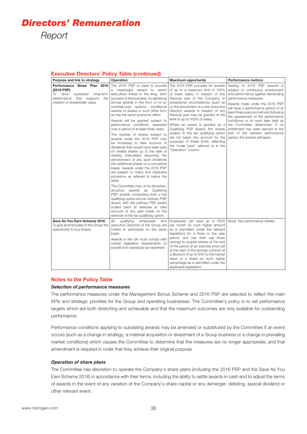# **Executive Directors' Policy Table (continued)**

| Purpose and link to strategy                                                                                                                             | Operation                                                                                                                                                                                                                                                                                                                                                                                                                                                                                                                                                                                                                                                                                                                                                                                                                                                                                                                                                                                                                                                                                                                                                                      | <b>Maximum opportunity</b>                                                                                                                                                                                                                                                                                                                                                                                                                                                                                                                                                                              | <b>Performance metrics</b>                                                                                                                                                                                                                                                                                                                                                                                                                                                       |
|----------------------------------------------------------------------------------------------------------------------------------------------------------|--------------------------------------------------------------------------------------------------------------------------------------------------------------------------------------------------------------------------------------------------------------------------------------------------------------------------------------------------------------------------------------------------------------------------------------------------------------------------------------------------------------------------------------------------------------------------------------------------------------------------------------------------------------------------------------------------------------------------------------------------------------------------------------------------------------------------------------------------------------------------------------------------------------------------------------------------------------------------------------------------------------------------------------------------------------------------------------------------------------------------------------------------------------------------------|---------------------------------------------------------------------------------------------------------------------------------------------------------------------------------------------------------------------------------------------------------------------------------------------------------------------------------------------------------------------------------------------------------------------------------------------------------------------------------------------------------------------------------------------------------------------------------------------------------|----------------------------------------------------------------------------------------------------------------------------------------------------------------------------------------------------------------------------------------------------------------------------------------------------------------------------------------------------------------------------------------------------------------------------------------------------------------------------------|
| Performance Share Plan 2016<br>(2016 PSP)<br>drive<br>sustained<br>long-term<br>To<br>performance that supports<br>the<br>creation of shareholder value. | The 2016 PSP is used to provide<br>a meaningful reward to senior<br>executives linked to the long- term<br>success of the business, by delivering<br>annual awards in the form of nil (or<br>nominal)-cost options, conditional<br>awards of shares or such other form<br>as has the same economic effect.<br>Awards will be granted subject to<br>performance conditions, assessed<br>over a period of at least three years,<br>The number of shares subject to<br>awards under the 2016 PSP may<br>be increased to take account of<br>dividends that would have been paid<br>on vested shares up to the date of<br>vesting (calculated assuming the<br>reinvestment of any such dividends<br>into additional shares on a cumulative<br>basis). Awards under the 2016 PSP<br>are subject to malus and clawback<br>provisions as referred to below the<br>table.<br>The Committee may, at its discretion,<br>structure awards as Qualifying<br>PSP awards comprising both a tax<br>qualifying option and an ordinary PSP<br>award, with the ordinary PSP award<br>scaled back at exercise to take<br>account of any gain made on the<br>exercise of the tax qualifying option. | The 2016 PSP provides for awards<br>of up to a maximum limit of 100%<br>of basic salary in respect of any<br>financial year of the Company. In<br>exceptional circumstances (such as<br>on the recruitment of a new Executive<br>Director) awards in respect of any<br>financial year may be granted at the<br>level of up to 200% of salary.<br>Where an award is granted as a<br>Qualifying PSP Award, the shares<br>subject to the tax qualifying option<br>are not taken into account for the<br>purposes of these limits, reflecting<br>the "scale back" referred to in the<br>"Operation" column. | Vesting of 2016 PSP awards is<br>subject to continuous employment<br>and performance against demanding<br>performance measures.<br>Awards made under the 2016 PSP<br>will have a performance period of at<br>least three years and will vest following<br>the assessment of the performance<br>conditions or on such later date as<br>the Committee determines. If no<br>entitlement has been earned at the<br>end of the relevant performance<br>period, the awards will lapse. |
| Save As You Earn Scheme 2016<br>To give all employees in the Group the<br>opportunity to buy shares.                                                     | All<br>qualifying<br>employees<br>and<br>executive Directors of the Group are<br>invited to participate on the same<br>basis.<br>Awards in the UK must comply with<br>certain legislative requirements to<br>benefit from beneficial tax treatment.                                                                                                                                                                                                                                                                                                                                                                                                                                                                                                                                                                                                                                                                                                                                                                                                                                                                                                                            | Employees can save up to £500<br>per month (or such higher amount<br>as is permitted under the relevant<br>legislation) for a three or five year<br>period, and can then use those<br>savings to acquire shares at the end<br>of the period at an exercise price set<br>at the start of the savings contract at<br>a discount of up to 20% to the market<br>value of a share (or such higher<br>percentage as is permitted under the<br>applicable legislation).                                                                                                                                        | None. Not performance related.                                                                                                                                                                                                                                                                                                                                                                                                                                                   |

# **Notes to the Policy Table**

## *Selection of performance measures*

The performance measures under the Management Bonus Scheme and 2016 PSP are selected to reflect the main KPIs and strategic priorities for the Group and operating businesses. The Committee's policy is to set performance targets which are both stretching and achievable and that the maximum outcomes are only available for outstanding performance.

Performance conditions applying to subsisting awards may be amended or substituted by the Committee if an event occurs (such as a change in strategy, a material acquisition or divestment of a Group business or a change in prevailing market conditions) which causes the Committee to determine that the measures are no longer appropriate, and that amendment is required in order that they achieve their original purpose.

## *Operation of share plans*

The Committee has discretion to operate the Company's share plans (including the 2016 PSP and the Save As You Earn Scheme 2016) in accordance with their terms, including the ability to settle awards in cash and to adjust the terms of awards in the event of any variation of the Company's share capital or any demerger, delisting, special dividend or other relevant event.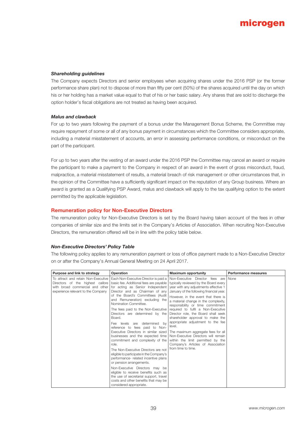### *Shareholding guidelines*

The Company expects Directors and senior employees when acquiring shares under the 2016 PSP (or the former performance share plan) not to dispose of more than fifty per cent (50%) of the shares acquired until the day on which his or her holding has a market value equal to that of his or her basic salary. Any shares that are sold to discharge the option holder's fiscal obligations are not treated as having been acquired.

### *Malus and clawback*

For up to two years following the payment of a bonus under the Management Bonus Scheme, the Committee may require repayment of some or all of any bonus payment in circumstances which the Committee considers appropriate, including a material misstatement of accounts, an error in assessing performance conditions, or misconduct on the part of the participant.

For up to two years after the vesting of an award under the 2016 PSP the Committee may cancel an award or require the participant to make a payment to the Company in respect of an award in the event of gross misconduct, fraud, malpractice, a material misstatement of results, a material breach of risk management or other circumstances that, in the opinion of the Committee have a sufficiently significant impact on the reputation of any Group business. Where an award is granted as a Qualifying PSP Award, malus and clawback will apply to the tax qualifying option to the extent permitted by the applicable legislation.

### **Remuneration policy for Non-Executive Directors**

The remuneration policy for Non-Executive Directors is set by the Board having taken account of the fees in other companies of similar size and the limits set in the Company's Articles of Association. When recruiting Non-Executive Directors, the remuneration offered will be in line with the policy table below.

### *Non-Executive Directors' Policy Table*

The following policy applies to any remuneration payment or loss of office payment made to a Non-Executive Director on or after the Company's Annual General Meeting on 24 April 2017.

| Purpose and link to strategy                                                                                                                       | Operation                                                                                                                                                                                                                                                                                                                                                                                                                                                                                                                                                                                                                                                                                                                                                                                                                                              | <b>Maximum opportunity</b>                                                                                                                                                                                                                                                                                                                                                                                                                                                                                                                                                                                                                                               | <b>Performance measures</b> |
|----------------------------------------------------------------------------------------------------------------------------------------------------|--------------------------------------------------------------------------------------------------------------------------------------------------------------------------------------------------------------------------------------------------------------------------------------------------------------------------------------------------------------------------------------------------------------------------------------------------------------------------------------------------------------------------------------------------------------------------------------------------------------------------------------------------------------------------------------------------------------------------------------------------------------------------------------------------------------------------------------------------------|--------------------------------------------------------------------------------------------------------------------------------------------------------------------------------------------------------------------------------------------------------------------------------------------------------------------------------------------------------------------------------------------------------------------------------------------------------------------------------------------------------------------------------------------------------------------------------------------------------------------------------------------------------------------------|-----------------------------|
| To attract and retain Non-Executive  <br>Directors of the highest calibre<br>with broad commercial and other<br>experience relevant to the Company | Each Non-Executive Director is paid a<br>basic fee. Additional fees are payable<br>for acting as Senior Independent<br>Director and as Chairman of any<br>of the Board's Committees (Audit<br>and Remuneration) excluding the<br>Nomination Committee.<br>The fees paid to the Non-Executive<br>Directors are determined by the<br>Board.<br>levels<br>determined<br>Fee<br>are<br>bv<br>reference to fees paid to Non-<br>businesses and the expected time<br>commitment and complexity of the<br>role.<br>The Non-Executive Directors are not<br>eligible to participate in the Company's<br>performance- related incentive plans<br>or pension arrangements.<br>Non-Executive Directors may be<br>eligible to receive benefits such as<br>the use of secretarial support, travel<br>costs and other benefits that may be<br>considered appropriate. | Non-Executive Director fees are None<br>typically reviewed by the Board every<br>year with any adjustments effective 1<br>January of the following financial year.<br>However, in the event that there is<br>a material change in the complexity,<br>responsibility or time commitment<br>required to fulfil a Non-Executive<br>Director role, the Board shall seek<br>shareholder approval to make the<br>appropriate adjustment to the fee<br>level.<br>Executive Directors in similar sized The maximum aggregate fees for all<br>Non-Executive Directors will remain<br>within the limit permitted by the<br>Company's Articles of Association<br>from time to time. |                             |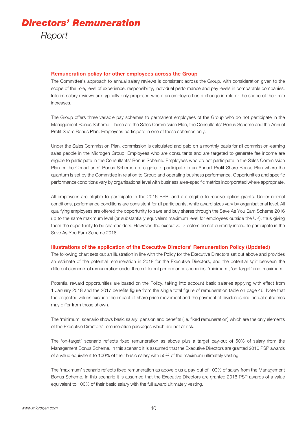## **Remuneration policy for other employees across the Group**

The Committee's approach to annual salary reviews is consistent across the Group, with consideration given to the scope of the role, level of experience, responsibility, individual performance and pay levels in comparable companies. Interim salary reviews are typically only proposed where an employee has a change in role or the scope of their role increases.

The Group offers three variable pay schemes to permanent employees of the Group who do not participate in the Management Bonus Scheme. These are the Sales Commission Plan, the Consultants' Bonus Scheme and the Annual Profit Share Bonus Plan. Employees participate in one of these schemes only.

Under the Sales Commission Plan, commission is calculated and paid on a monthly basis for all commission-earning sales people in the Microgen Group. Employees who are consultants and are targeted to generate fee income are eligible to participate in the Consultants' Bonus Scheme. Employees who do not participate in the Sales Commission Plan or the Consultants' Bonus Scheme are eligible to participate in an Annual Profit Share Bonus Plan where the quantum is set by the Committee in relation to Group and operating business performance. Opportunities and specific performance conditions vary by organisational level with business area-specific metrics incorporated where appropriate.

All employees are eligible to participate in the 2016 PSP, and are eligible to receive option grants. Under normal conditions, performance conditions are consistent for all participants, while award sizes vary by organisational level. All qualifying employees are offered the opportunity to save and buy shares through the Save As You Earn Scheme 2016 up to the same maximum level (or substantially equivalent maximum level for employees outside the UK), thus giving them the opportunity to be shareholders. However, the executive Directors do not currently intend to participate in the Save As You Earn Scheme 2016.

### **Illustrations of the application of the Executive Directors' Remuneration Policy (Updated)**

The following chart sets out an illustration in line with the Policy for the Executive Directors set out above and provides an estimate of the potential remuneration in 2018 for the Executive Directors, and the potential split between the different elements of remuneration under three different performance scenarios: 'minimum', 'on-target' and 'maximum'.

Potential reward opportunities are based on the Policy, taking into account basic salaries applying with effect from 1 January 2018 and the 2017 benefits figure from the single total figure of remuneration table on page 46. Note that the projected values exclude the impact of share price movement and the payment of dividends and actual outcomes may differ from those shown.

The 'minimum' scenario shows basic salary, pension and benefits (i.e. fixed remuneration) which are the only elements of the Executive Directors' remuneration packages which are not at risk.

The 'on-target' scenario reflects fixed remuneration as above plus a target pay-out of 50% of salary from the Management Bonus Scheme. In this scenario it is assumed that the Executive Directors are granted 2016 PSP awards of a value equivalent to 100% of their basic salary with 50% of the maximum ultimately vesting.

The 'maximum' scenario reflects fixed remuneration as above plus a pay-out of 100% of salary from the Management Bonus Scheme. In this scenario it is assumed that the Executive Directors are granted 2016 PSP awards of a value equivalent to 100% of their basic salary with the full award ultimately vesting.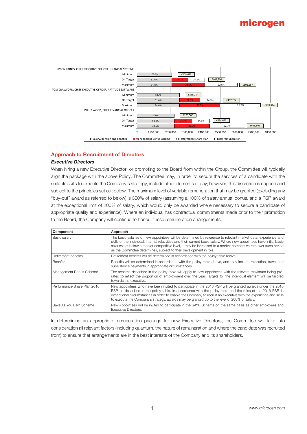

### **Approach to Recruitment of Directors**

### *Executive Directors*

When hiring a new Executive Director, or promoting to the Board from within the Group, the Committee will typically align the package with the above Policy. The Committee may, in order to secure the services of a candidate with the suitable skills to execute the Company's strategy, include other elements of pay; however, this discretion is capped and subject to the principles set out below. The maximum level of variable remuneration that may be granted (excluding any "buy-out" award as referred to below) is 300% of salary (assuming a 100% of salary annual bonus, and a PSP award at the exceptional limit of 200% of salary, which would only be awarded where necessary to secure a candidate of appropriate quality and experience). Where an individual has contractual commitments made prior to their promotion to the Board, the Company will continue to honour these remuneration arrangements.

| Component                   | Approach                                                                                                                                                                                                                                                                                                                                                                                                                                    |
|-----------------------------|---------------------------------------------------------------------------------------------------------------------------------------------------------------------------------------------------------------------------------------------------------------------------------------------------------------------------------------------------------------------------------------------------------------------------------------------|
| Basic salary                | The basic salaries of new appointees will be determined by reference to relevant market data, experience and<br>skills of the individual, internal relativities and their current basic salary. Where new appointees have initial basic<br>salaries set below a market competitive level, it may be increased to a market competitive rate over such period<br>as the Committee determines, subject to their development in role.           |
| Retirement benefits         | Retirement benefits will be determined in accordance with the policy table above.                                                                                                                                                                                                                                                                                                                                                           |
| <b>Benefits</b>             | Benefits will be determined in accordance with the policy table above, and may include relocation, travel and<br>subsistence payments in appropriate circumstances.                                                                                                                                                                                                                                                                         |
| Management Bonus Scheme     | The scheme described in the policy table will apply to new appointees with the relevant maximum being pro-<br>rated to reflect the proportion of employment over the year. Targets for the individual element will be tailored<br>towards the executive.                                                                                                                                                                                    |
| Performance Share Plan 2016 | New appointees who have been invited to participate in the 2016 PSP will be granted awards under the 2016<br>PSP, as described in the policy table. In accordance with the policy table and the rules of the 2016 PSP, in<br>exceptional circumstances in order to enable the Company to recruit an executive with the experience and skills<br>to execute the Company's strategy, awards may be granted up to the level of 200% of salary. |
| Save As You Earn Scheme     | New Appointees will be invited to participate in the SAYE Scheme on the same basis as other employees and<br><b>Executive Directors.</b>                                                                                                                                                                                                                                                                                                    |

In determining an appropriate remuneration package for new Executive Directors, the Committee will take into consideration all relevant factors (including quantum, the nature of remuneration and where the candidate was recruited from) to ensure that arrangements are in the best interests of the Company and its shareholders.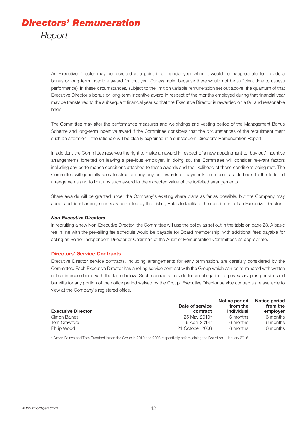

An Executive Director may be recruited at a point in a financial year when it would be inappropriate to provide a bonus or long-term incentive award for that year (for example, because there would not be sufficient time to assess performance). In these circumstances, subject to the limit on variable remuneration set out above, the quantum of that Executive Director's bonus or long-term incentive award in respect of the months employed during that financial year may be transferred to the subsequent financial year so that the Executive Director is rewarded on a fair and reasonable basis.

The Committee may alter the performance measures and weightings and vesting period of the Management Bonus Scheme and long-term incentive award if the Committee considers that the circumstances of the recruitment merit such an alteration – the rationale will be clearly explained in a subsequent Directors' Remuneration Report.

In addition, the Committee reserves the right to make an award in respect of a new appointment to 'buy out' incentive arrangements forfeited on leaving a previous employer. In doing so, the Committee will consider relevant factors including any performance conditions attached to these awards and the likelihood of those conditions being met. The Committee will generally seek to structure any buy-out awards or payments on a comparable basis to the forfeited arrangements and to limit any such award to the expected value of the forfeited arrangements.

Share awards will be granted under the Company's existing share plans as far as possible, but the Company may adopt additional arrangements as permitted by the Listing Rules to facilitate the recruitment of an Executive Director.

#### *Non-Executive Directors*

In recruiting a new Non-Executive Director, the Committee will use the policy as set out in the table on page 23. A basic fee in line with the prevailing fee schedule would be payable for Board membership, with additional fees payable for acting as Senior Independent Director or Chairman of the Audit or Remuneration Committees as appropriate.

### **Directors' Service Contracts**

Executive Director service contracts, including arrangements for early termination, are carefully considered by the Committee. Each Executive Director has a rolling service contract with the Group which can be terminated with written notice in accordance with the table below. Such contracts provide for an obligation to pay salary plus pension and benefits for any portion of the notice period waived by the Group. Executive Director service contracts are available to view at the Company's registered office.

| <b>Executive Director</b> | Date of service<br>contract | Notice period<br>from the<br>individual | Notice period<br>from the<br>employer |
|---------------------------|-----------------------------|-----------------------------------------|---------------------------------------|
| Simon Baines              | 25 May 2010*                | 6 months                                | 6 months                              |
| Tom Crawford              | 6 April 2014*               | 6 months                                | 6 months                              |
| Philip Wood               | 21 October 2006             | 6 months                                | 6 months                              |

\* Simon Baines and Tom Crawford joined the Group in 2010 and 2003 respectively before joining the Board on 1 January 2016.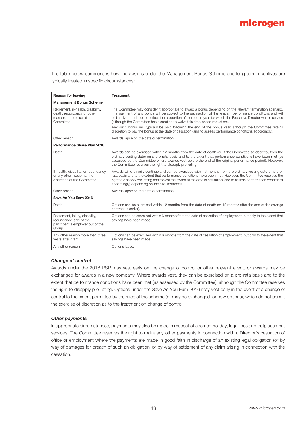The table below summarises how the awards under the Management Bonus Scheme and long-term incentives are typically treated in specific circumstances:

| <b>Reason for leaving</b>                                                                                          | <b>Treatment</b>                                                                                                                                                                                                                                                                                                                                                                                                               |
|--------------------------------------------------------------------------------------------------------------------|--------------------------------------------------------------------------------------------------------------------------------------------------------------------------------------------------------------------------------------------------------------------------------------------------------------------------------------------------------------------------------------------------------------------------------|
| <b>Management Bonus Scheme</b>                                                                                     |                                                                                                                                                                                                                                                                                                                                                                                                                                |
| Retirement, ill-health, disability,<br>death, redundancy or other<br>reasons at the discretion of the<br>Committee | The Committee may consider it appropriate to award a bonus depending on the relevant termination scenario.<br>The payment of any bonus will be subject to the satisfaction of the relevant performance conditions and will<br>ordinarily be reduced to reflect the proportion of the bonus year for which the Executive Director was in service<br>(although the Committee has discretion to waive this time-based reduction). |
|                                                                                                                    | Any such bonus will typically be paid following the end of the bonus year, although the Committee retains<br>discretion to pay the bonus at the date of cessation (and to assess performance conditions accordingly).                                                                                                                                                                                                          |
| Other reason                                                                                                       | Awards lapse on the date of termination.                                                                                                                                                                                                                                                                                                                                                                                       |
| Performance Share Plan 2016                                                                                        |                                                                                                                                                                                                                                                                                                                                                                                                                                |
| Death                                                                                                              | Awards can be exercised within 12 months from the date of death (or, if the Committee so decides, from the<br>ordinary vesting date) on a pro-rata basis and to the extent that performance conditions have been met (as<br>assessed by the Committee where awards vest before the end of the original performance period). However,<br>the Committee reserves the right to disapply pro-rating.                               |
| III-health, disability, or redundancy,<br>or any other reason at the<br>discretion of the Committee                | Awards will ordinarily continue and can be exercised within 6 months from the ordinary vesting date on a pro-<br>rata basis and to the extent that performance conditions have been met. However, the Committee reserves the<br>right to disapply pro-rating and to vest the award at the date of cessation (and to assess performance conditions<br>accordingly) depending on the circumstances.                              |
| Other reason                                                                                                       | Awards lapse on the date of termination.                                                                                                                                                                                                                                                                                                                                                                                       |
| Save As You Earn 2016                                                                                              |                                                                                                                                                                                                                                                                                                                                                                                                                                |
| Death                                                                                                              | Options can be exercised within 12 months from the date of death (or 12 months after the end of the savings<br>contract, if earlier).                                                                                                                                                                                                                                                                                          |
| Retirement, injury, disability,<br>redundancy, sale of the<br>participant's employer out of the<br>Group           | Options can be exercised within 6 months from the date of cessation of employment, but only to the extent that<br>savings have been made.                                                                                                                                                                                                                                                                                      |
| Any other reason more than three<br>years after grant                                                              | Options can be exercised within 6 months from the date of cessation of employment, but only to the extent that<br>savings have been made.                                                                                                                                                                                                                                                                                      |
| Any other reason                                                                                                   | Options lapse.                                                                                                                                                                                                                                                                                                                                                                                                                 |

### *Change of control*

Awards under the 2016 PSP may vest early on the change of control or other relevant event, or awards may be exchanged for awards in a new company. Where awards vest, they can be exercised on a pro-rata basis and to the extent that performance conditions have been met (as assessed by the Committee), although the Committee reserves the right to disapply pro-rating. Options under the Save As You Earn 2016 may vest early in the event of a change of control to the extent permitted by the rules of the scheme (or may be exchanged for new options), which do not permit the exercise of discretion as to the treatment on change of control.

### *Other payments*

In appropriate circumstances, payments may also be made in respect of accrued holiday, legal fees and outplacement services. The Committee reserves the right to make any other payments in connection with a Director's cessation of office or employment where the payments are made in good faith in discharge of an existing legal obligation (or by way of damages for breach of such an obligation) or by way of settlement of any claim arising in connection with the cessation.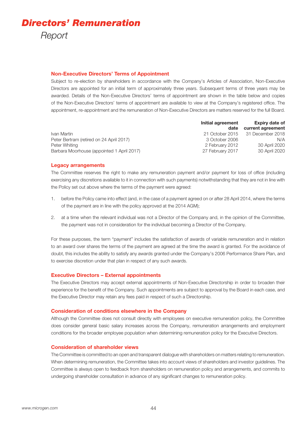## **Non-Executive Directors' Terms of Appointment**

Subject to re-election by shareholders in accordance with the Company's Articles of Association, Non-Executive Directors are appointed for an initial term of approximately three years. Subsequent terms of three years may be awarded. Details of the Non-Executive Directors' terms of appointment are shown in the table below and copies of the Non-Executive Directors' terms of appointment are available to view at the Company's registered office. The appointment, re-appointment and the remuneration of Non-Executive Directors are matters reserved for the full Board.

|                                            | Initial agreement<br>date | <b>Expiry date of</b><br>current agreement |
|--------------------------------------------|---------------------------|--------------------------------------------|
| Ivan Martin                                | 21 October 2015           | 31 December 2018                           |
| Peter Bertram (retired on 24 April 2017)   | 3 October 2006            | N/A                                        |
| Peter Whiting                              | 2 February 2012           | 30 April 2020                              |
| Barbara Moorhouse (appointed 1 April 2017) | 27 February 2017          | 30 April 2020                              |

### **Legacy arrangements**

The Committee reserves the right to make any remuneration payment and/or payment for loss of office (including exercising any discretions available to it in connection with such payments) notwithstanding that they are not in line with the Policy set out above where the terms of the payment were agreed:

- 1. before the Policy came into effect (and, in the case of a payment agreed on or after 28 April 2014, where the terms of the payment are in line with the policy approved at the 2014 AGM);
- 2. at a time when the relevant individual was not a Director of the Company and, in the opinion of the Committee, the payment was not in consideration for the individual becoming a Director of the Company.

For these purposes, the term "payment" includes the satisfaction of awards of variable remuneration and in relation to an award over shares the terms of the payment are agreed at the time the award is granted. For the avoidance of doubt, this includes the ability to satisfy any awards granted under the Company's 2006 Performance Share Plan, and to exercise discretion under that plan in respect of any such awards.

### **Executive Directors – External appointments**

The Executive Directors may accept external appointments of Non-Executive Directorship in order to broaden their experience for the benefit of the Company. Such appointments are subject to approval by the Board in each case, and the Executive Director may retain any fees paid in respect of such a Directorship.

### **Consideration of conditions elsewhere in the Company**

Although the Committee does not consult directly with employees on executive remuneration policy, the Committee does consider general basic salary increases across the Company, remuneration arrangements and employment conditions for the broader employee population when determining remuneration policy for the Executive Directors.

### **Consideration of shareholder views**

The Committee is committed to an open and transparent dialogue with shareholders on matters relating to remuneration. When determining remuneration, the Committee takes into account views of shareholders and investor guidelines. The Committee is always open to feedback from shareholders on remuneration policy and arrangements, and commits to undergoing shareholder consultation in advance of any significant changes to remuneration policy.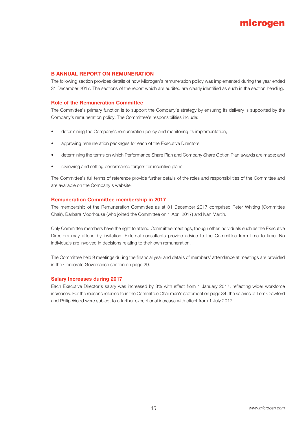## **B ANNUAL REPORT ON REMUNERATION**

The following section provides details of how Microgen's remuneration policy was implemented during the year ended 31 December 2017. The sections of the report which are audited are clearly identified as such in the section heading.

### **Role of the Remuneration Committee**

The Committee's primary function is to support the Company's strategy by ensuring its delivery is supported by the Company's remuneration policy. The Committee's responsibilities include:

- determining the Company's remuneration policy and monitoring its implementation;
- approving remuneration packages for each of the Executive Directors;
- determining the terms on which Performance Share Plan and Company Share Option Plan awards are made; and
- reviewing and setting performance targets for incentive plans.

The Committee's full terms of reference provide further details of the roles and responsibilities of the Committee and are available on the Company's website.

### **Remuneration Committee membership in 2017**

The membership of the Remuneration Committee as at 31 December 2017 comprised Peter Whiting (Committee Chair), Barbara Moorhouse (who joined the Committee on 1 April 2017) and Ivan Martin.

Only Committee members have the right to attend Committee meetings, though other individuals such as the Executive Directors may attend by invitation. External consultants provide advice to the Committee from time to time. No individuals are involved in decisions relating to their own remuneration.

The Committee held 9 meetings during the financial year and details of members' attendance at meetings are provided in the Corporate Governance section on page 29.

### **Salary Increases during 2017**

Each Executive Director's salary was increased by 3% with effect from 1 January 2017, reflecting wider workforce increases. For the reasons referred to in the Committee Chairman's statement on page 34, the salaries of Tom Crawford and Philip Wood were subject to a further exceptional increase with effect from 1 July 2017.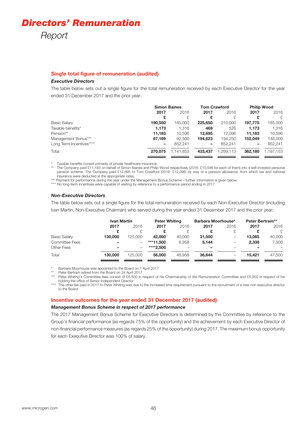## **Single total figure of remuneration (audited)**

### *Executive Directors*

The table below sets out a single figure for the total remuneration received by each Executive Director for the year ended 31 December 2017 and the prior year.

|                          | <b>Simon Baines</b> |           | <b>Tom Crawford</b> |          | <b>Philip Wood</b> |           |
|--------------------------|---------------------|-----------|---------------------|----------|--------------------|-----------|
|                          | 2017                | 2016      | 2017                | 2016     | 2017               | 2016      |
|                          | £                   | £         | £                   | £        |                    | £.        |
| <b>Basic Salary</b>      | 190.550             | 185,000   | 225,650             | 210,000  | 197,775            | 185,000   |
| Taxable benefits*        | 1,173               | 1,316     | 469                 | 526      | 1,173              | 1,316     |
| Pension**                | 11,183              | 10.596    | 12.695              | 12,096   | 11,183             | 10,596    |
| Management Bonus***      | 67,169              | 92,500    | 194,623             | 194.250  | 152.049            | 148,000   |
| Long Term Incentives**** | -                   | 852.241   | -                   | 852.241  | -                  | 852.241   |
| Total                    | 270,075             | 1.141.653 | 433,437             | ,269,113 | 362.180            | 1,197,153 |

\* Taxable benefits consist primarily of private healthcare insurance.

\*\* The Company paid £11,183 on behalf of Simon Baines and Philip Wood respectively (2016: £10,596 for each of them) into a self-invested personal pension scheme. The Company paid £12,695 to Tom Crawford (2016: £12,096) by way of a pension allowance, from which tax and national insurance were deducted at the appropriate rates.

\*\*\* Payment for performance during the year under the Management Bonus Scheme – further information is given below.

\*\*\*\* No long-term incentives were capable of vesting by reference to a performance period ending in 2017.

#### *Non-Executive Directors*

The table below sets out a single figure for the total remuneration received by each Non-Executive Director (including Ivan Martin, Non-Executive Chairman) who served during the year ended 31 December 2017 and the prior year:

|                       |         | <b>Ivan Martin</b> |           | <b>Peter Whiting</b> |        | Barbara Moorhouse* |        | Peter Bertram** |  |
|-----------------------|---------|--------------------|-----------|----------------------|--------|--------------------|--------|-----------------|--|
|                       | 2017    | 2016               | 2017      | 2016                 | 2017   | 2016               | 2017   | 2016            |  |
|                       |         | ᡗ                  |           | ₽                    | £      |                    |        | £               |  |
| <b>Basic Salary</b>   | 130,000 | 125,000            | 42,000    | 40,000               | 31,500 | -                  | 13,085 | 40,000          |  |
| <b>Committee Fees</b> |         | -                  | ***11.500 | 6.958                | 5.144  | -                  | 2.336  | 7,500           |  |
| Other Fees            |         |                    | ****2.500 |                      |        |                    |        |                 |  |
| Total                 | 130,000 | 125,000            | 56,000    | 46.958               | 36,644 |                    | 15.421 | 47.500          |  |

Barbara Moorhouse was appointed to the Board on 1 April 2017

Peter Bertram retired from the Board on 24 April 2017

\*\*\* Peter Whiting's Committee fees consist of £6,500 in respect of his Chairmanship of the Remuneration Committee and £5,000 in respect of his holding the office of Senior Independent Director

\*\*\*\* The other fee paid in 2017 to Peter Whiting was due to the increased time requirement pursuant to the recruitment of a new non-executive director to the Board.

### **Incentive outcomes for the year ended 31 December 2017 (audited)**

### *Management Bonus Scheme in respect of 2017 performance*

The 2017 Management Bonus Scheme for Executive Directors is determined by the Committee by reference to the Group's financial performance (as regards 75% of the opportunity) and the achievement by each Executive Director of non-financial performance measures (as regards 25% of the opportunity) during 2017. The maximum bonus opportunity for each Executive Director was 100% of salary.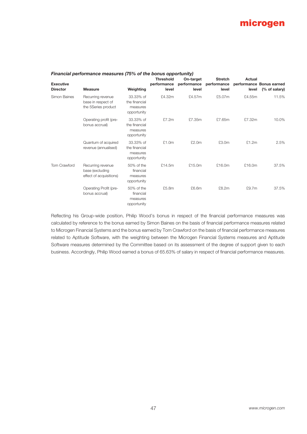| <b>Executive</b><br><b>Director</b> | <b>Measure</b>                                                  | Weighting                                             | <b>Threshold</b><br>performance<br>level | On-target<br>performance<br>level | <b>Stretch</b><br>performance<br>level | Actual<br>level | performance Bonus earned<br>(% of salary) |
|-------------------------------------|-----------------------------------------------------------------|-------------------------------------------------------|------------------------------------------|-----------------------------------|----------------------------------------|-----------------|-------------------------------------------|
| Simon Baines                        | Recurring revenue<br>base in respect of<br>the 5Series product  | 33.33% of<br>the financial<br>measures<br>opportunity | £4.32m                                   | £4.57m                            | £5.07m                                 | £4.55m          | 11.5%                                     |
|                                     | Operating profit (pre-<br>bonus accrual)                        | 33.33% of<br>the financial<br>measures<br>opportunity | £7.2m                                    | £7.35m                            | £7.65m                                 | £7.32m          | 10.0%                                     |
|                                     | Quantum of acquired<br>revenue (annualised)                     | 33.33% of<br>the financial<br>measures<br>opportunity | £1.0m                                    | £2.0m                             | £3.0m                                  | £1.2m           | 2.5%                                      |
| <b>Tom Crawford</b>                 | Recurring revenue<br>base (excluding<br>effect of acquisitions) | 50% of the<br>financial<br>measures<br>opportunity    | £14.5m                                   | £15.0m                            | £16.0m                                 | £16.0m          | 37.5%                                     |
|                                     | Operating Profit (pre-<br>bonus accrual)                        | 50% of the<br>financial<br>measures<br>opportunity    | £5.8m                                    | £6.6m                             | £8.2m                                  | £9.7m           | 37.5%                                     |

### *Financial performance measures (75% of the bonus opportunity)*

Reflecting his Group-wide position, Philip Wood's bonus in respect of the financial performance measures was calculated by reference to the bonus earned by Simon Baines on the basis of financial performance measures related to Microgen Financial Systems and the bonus earned by Tom Crawford on the basis of financial performance measures related to Aptitude Software, with the weighting between the Microgen Financial Systems measures and Aptitude Software measures determined by the Committee based on its assessment of the degree of support given to each business. Accordingly, Philip Wood earned a bonus of 65.63% of salary in respect of financial performance measures.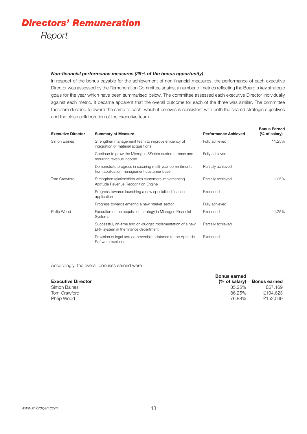

### *Non-financial performance measures (25% of the bonus opportunity)*

In respect of the bonus payable for the achievement of non-financial measures, the performance of each executive Director was assessed by the Remuneration Committee against a number of metrics reflecting the Board's key strategic goals for the year which have been summarised below. The committee assessed each executive Director individually against each metric. It became apparent that the overall outcome for each of the three was similar. The committee therefore decided to award the same to each, which it believes is consistent with both the shared strategic objectives and the close collaboration of the executive team.

| <b>Executive Director</b> | <b>Summary of Measure</b>                                                                            | <b>Performance Achieved</b> | <b>Bonus Earned</b><br>(% of salary) |
|---------------------------|------------------------------------------------------------------------------------------------------|-----------------------------|--------------------------------------|
| Simon Baines              | Strengthen management team to improve efficiency of<br>integration of material acquisitions          | Fully achieved              | 11.25%                               |
|                           | Continue to grow the Microgen 5Series customer base and<br>recurring revenue income                  | Fully achieved              |                                      |
|                           | Demonstrate progress in securing multi-year commitments<br>from application management customer base | Partially achieved          |                                      |
| <b>Tom Crawford</b>       | Strengthen relationships with customers implementing<br>Aptitude Revenue Recognition Engine          | Partially achieved          | 11.25%                               |
|                           | Progress towards launching a new specialised finance<br>application                                  | Exceeded                    |                                      |
|                           | Progress towards entering a new market sector                                                        | Fully achieved              |                                      |
| Philip Wood               | Execution of the acquisition strategy in Microgen Financial<br>Systems                               | Exceeded                    | 11.25%                               |
|                           | Successful, on-time and on-budget implementation of a new<br>ERP system in the finance department    | Partially achieved          |                                      |
|                           | Provision of legal and commercial assistance to the Aptitude<br>Software business                    | Exceeded                    |                                      |

Accordingly, the overall bonuses earned were

|                           | <b>Bonus earned</b> |                     |
|---------------------------|---------------------|---------------------|
| <b>Executive Director</b> | $%$ of salary)      | <b>Bonus earned</b> |
| Simon Baines              | 35.25%              | £67.169             |
| Tom Crawford              | 86.25%              | £194.623            |
| Philip Wood               | 76.88%              | £152.049            |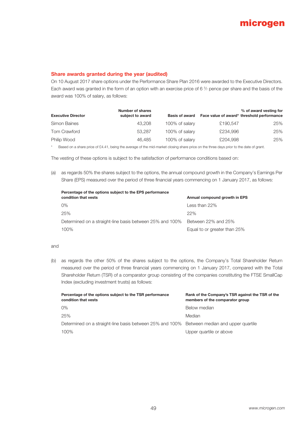## **Share awards granted during the year (audited)**

On 10 August 2017 share options under the Performance Share Plan 2016 were awarded to the Executive Directors. Each award was granted in the form of an option with an exercise price of 6  $\%$  pence per share and the basis of the award was 100% of salary, as follows:

| <b>Executive Director</b> | <b>Number of shares</b><br>subject to award | <b>Basis of award</b> |          | % of award vesting for<br>Face value of award* threshold performance |
|---------------------------|---------------------------------------------|-----------------------|----------|----------------------------------------------------------------------|
| Simon Baines              | 43.208                                      | 100% of salary        | £190,547 | 25%                                                                  |
| Tom Crawford              | 53.287                                      | 100% of salary        | £234,996 | 25%                                                                  |
| Philip Wood               | 46.485                                      | 100% of salary        | £204.998 | 25%                                                                  |

\* Based on a share price of £4.41, being the average of the mid-market closing share price on the three days prior to the date of grant.

The vesting of these options is subject to the satisfaction of performance conditions based on:

(a) as regards 50% the shares subject to the options, the annual compound growth in the Company's Earnings Per Share (EPS) measured over the period of three financial years commencing on 1 January 2017, as follows:

| Percentage of the options subject to the EPS performance<br>condition that vests | Annual compound growth in EPS |
|----------------------------------------------------------------------------------|-------------------------------|
| $0\%$                                                                            | Less than $22\%$              |
| 25%                                                                              | 22%                           |
| Determined on a straight-line basis between 25% and 100%                         | Between 22% and 25%           |
| $100\%$                                                                          | Equal to or greater than 25%  |

#### and

(b) as regards the other 50% of the shares subject to the options, the Company's Total Shareholder Return measured over the period of three financial years commencing on 1 January 2017, compared with the Total Shareholder Return (TSR) of a comparator group consisting of the companies constituting the FTSE SmallCap Index (excluding investment trusts) as follows:

| Percentage of the options subject to the TSR performance<br>condition that vests           | Rank of the Company's TSR against the TSR of the<br>members of the comparator group |
|--------------------------------------------------------------------------------------------|-------------------------------------------------------------------------------------|
| 0%                                                                                         | Below median                                                                        |
| 25%                                                                                        | Median                                                                              |
| Determined on a straight-line basis between 25% and 100% Between median and upper quartile |                                                                                     |
| 100%                                                                                       | Upper quartile or above                                                             |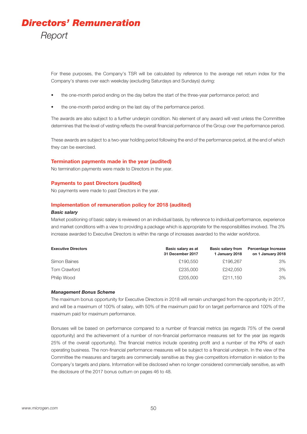For these purposes, the Company's TSR will be calculated by reference to the average net return index for the Company's shares over each weekday (excluding Saturdays and Sundays) during:

- the one-month period ending on the day before the start of the three-year performance period; and
- the one-month period ending on the last day of the performance period.

The awards are also subject to a further underpin condition. No element of any award will vest unless the Committee determines that the level of vesting reflects the overall financial performance of the Group over the performance period.

These awards are subject to a two-year holding period following the end of the performance period, at the end of which they can be exercised.

#### **Termination payments made in the year (audited)**

No termination payments were made to Directors in the year.

#### **Payments to past Directors (audited)**

No payments were made to past Directors in the year.

#### **Implementation of remuneration policy for 2018 (audited)**

#### *Basic salary*

Market positioning of basic salary is reviewed on an individual basis, by reference to individual performance, experience and market conditions with a view to providing a package which is appropriate for the responsibilities involved. The 3% increase awarded to Executive Directors is within the range of increases awarded to the wider workforce.

| <b>Executive Directors</b> | Basic salary as at<br>31 December 2017 | <b>Basic salary from</b><br>1 January 2018 | Percentage Increase<br>on 1 January 2018 |
|----------------------------|----------------------------------------|--------------------------------------------|------------------------------------------|
| Simon Baines               | £190.550                               | £196,267                                   | 3%                                       |
| Tom Crawford               | £235,000                               | £242,050                                   | 3%                                       |
| Philip Wood                | £205,000                               | £211.150                                   | 3%                                       |

#### *Management Bonus Scheme*

The maximum bonus opportunity for Executive Directors in 2018 will remain unchanged from the opportunity in 2017, and will be a maximum of 100% of salary, with 50% of the maximum paid for on target performance and 100% of the maximum paid for maximum performance.

Bonuses will be based on performance compared to a number of financial metrics (as regards 75% of the overall opportunity) and the achievement of a number of non-financial performance measures set for the year (as regards 25% of the overall opportunity). The financial metrics include operating profit and a number of the KPIs of each operating business. The non-financial performance measures will be subject to a financial underpin. In the view of the Committee the measures and targets are commercially sensitive as they give competitors information in relation to the Company's targets and plans. Information will be disclosed when no longer considered commercially sensitive, as with the disclosure of the 2017 bonus outturn on pages 46 to 48.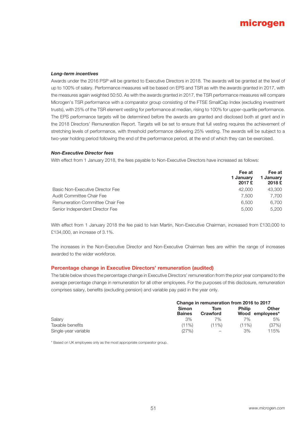### *Long-term incentives*

Awards under the 2016 PSP will be granted to Executive Directors in 2018. The awards will be granted at the level of up to 100% of salary. Performance measures will be based on EPS and TSR as with the awards granted in 2017, with the measures again weighted 50:50. As with the awards granted in 2017, the TSR performance measures will compare Microgen's TSR performance with a comparator group consisting of the FTSE SmallCap Index (excluding investment trusts), with 25% of the TSR element vesting for performance at median, rising to 100% for upper-quartile performance. The EPS performance targets will be determined before the awards are granted and disclosed both at grant and in the 2018 Directors' Remuneration Report. Targets will be set to ensure that full vesting requires the achievement of stretching levels of performance, with threshold performance delivering 25% vesting. The awards will be subject to a two-year holding period following the end of the performance period, at the end of which they can be exercised.

### *Non-Executive Director fees*

With effect from 1 January 2018, the fees payable to Non-Executive Directors have increased as follows:

|                                  | Fee at<br>1 January<br>2017 £ | Fee at<br>1 January<br>2018 £ |
|----------------------------------|-------------------------------|-------------------------------|
| Basic Non-Executive Director Fee | 42,000                        | 43,300                        |
| Audit Committee Chair Fee        | 7.500                         | 7.700                         |
| Remuneration Committee Chair Fee | 6.500                         | 6.700                         |
| Senior Independent Director Fee  | 5.000                         | 5.200                         |

With effect from 1 January 2018 the fee paid to Ivan Martin, Non-Executive Chairman, increased from £130,000 to £134,000, an increase of 3.1%.

The increases in the Non-Executive Director and Non-Executive Chairman fees are within the range of increases awarded to the wider workforce.

### **Percentage change in Executive Directors' remuneration (audited)**

The table below shows the percentage change in Executive Directors' remuneration from the prior year compared to the average percentage change in remuneration for all other employees. For the purposes of this disclosure, remuneration comprises salary, benefits (excluding pension) and variable pay paid in the year only.

|                      |               | Change in remuneration from 2016 to 2017 |               |                          |  |  |
|----------------------|---------------|------------------------------------------|---------------|--------------------------|--|--|
|                      | Simon         | Tom                                      | <b>Philip</b> | Other<br>Wood employees* |  |  |
|                      | <b>Baines</b> | Crawford                                 |               |                          |  |  |
| Salarv               | 3%            | 7%                                       | 7%            | 5%                       |  |  |
| Taxable benefits     | $(11\%)$      | $(11\%)$                                 | $(11\%)$      | (37%)                    |  |  |
| Single-year variable | (27%)         |                                          | 3%            | 115%                     |  |  |

\* Based on UK employees only as the most appropriate comparator group.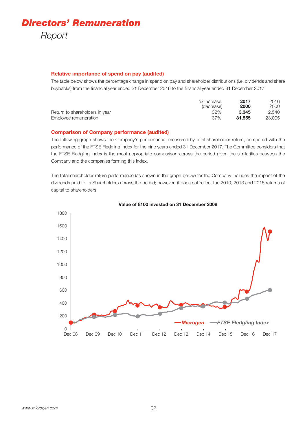## **Relative importance of spend on pay (audited)**

The table below shows the percentage change in spend on pay and shareholder distributions (i.e. dividends and share buybacks) from the financial year ended 31 December 2016 to the financial year ended 31 December 2017.

|                                | % increase | 2017   | 2016   |
|--------------------------------|------------|--------|--------|
|                                | (decrease) | £000   | £000   |
| Return to shareholders in year | 32%        | 3.345  | 2.540  |
| Employee remuneration          | 37%        | 31.555 | 23,005 |

## **Comparison of Company performance (audited)**

The following graph shows the Company's performance, measured by total shareholder return, compared with the performance of the FTSE Fledgling Index for the nine years ended 31 December 2017. The Committee considers that the FTSE Fledgling Index is the most appropriate comparison across the period given the similarities between the Company and the companies forming this index.

The total shareholder return performance (as shown in the graph below) for the Company includes the impact of the dividends paid to its Shareholders across the period; however, it does not reflect the 2010, 2013 and 2015 returns of capital to shareholders.



## **Value of £100 invested on 31 December 2008**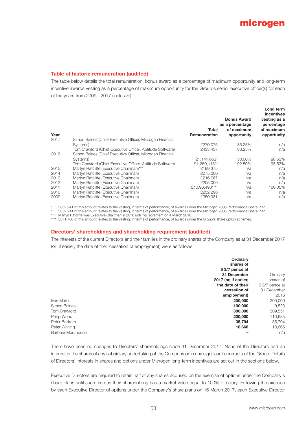## **Table of historic remuneration (audited)**

The table below details the total remuneration, bonus award as a percentage of maximum opportunity and long-term incentive awards vesting as a percentage of maximum opportunity for the Group's senior executive officer(s) for each of the years from 2009 - 2017 (inclusive).

|      |                                                           |                     | <b>Bonus Award</b><br>as a percentage | Long term<br><i>incentives</i><br>vesting as a<br>percentage |
|------|-----------------------------------------------------------|---------------------|---------------------------------------|--------------------------------------------------------------|
|      |                                                           | Total               | of maximum                            | of maximum                                                   |
| Year |                                                           | <b>Remuneration</b> | opportunity                           | opportunity                                                  |
| 2017 | Simon Baines (Chief Executive Officer, Microgen Financial |                     |                                       |                                                              |
|      | Systems)                                                  | £270.075            | 35.25%                                | n/a                                                          |
|      | Tom Crawford (Chief Executive Officer, Aptitude Software) | £433.437            | 86.25%                                | n/a                                                          |
| 2016 | Simon Baines (Chief Executive Officer, Microgen Financial |                     |                                       |                                                              |
|      | Systems)                                                  | £1,141,653*         | 50.00%                                | 98.53%                                                       |
|      | Tom Crawford (Chief Executive Officer, Aptitude Software) | £1,269,113**        | 92.50%                                | 98.53%                                                       |
| 2015 | Martyn Ratcliffe (Executive Chairman)***                  | £199,375            | n/a                                   | n/a                                                          |
| 2014 | Martyn Ratcliffe (Executive Chairman)                     | £275,000            | n/a                                   | n/a                                                          |
| 2013 | Martyn Ratcliffe (Executive Chairman)                     | £216,667            | n/a                                   | n/a                                                          |
| 2012 | Martyn Ratcliffe (Executive Chairman)                     | £205,000            | n/a                                   | n/a                                                          |
| 2011 | Martyn Ratcliffe (Executive Chairman)                     | £1,096,498****      | n/a                                   | 100.00%                                                      |
| 2010 | Martyn Ratcliffe (Executive Chairman)                     | £252.296            | n/a                                   | n/a                                                          |
| 2009 | Martyn Ratcliffe (Executive Chairman)                     | £350.931            | n/a                                   | n/a                                                          |
|      |                                                           |                     |                                       |                                                              |

\* £852,241 of this amount relates to the vesting, in terms of performance, of awards under the Microgen 2006 Performance Share Plan<br>\*\* 2009 84 this arguest which the vesting in terms of authorizes of awards under the Micro

£852,241 of this amount relates to the vesting, in terms of performance, of awards under the Microgen 2006 Performance Share Plan

\*\*\* Martyn Ratcliffe was Executive Chairman in 2016 until his retirement on 4 March 2016.

\*\*\*\* £871,700 of this amount relates to the vesting, in terms of performance, of awards under the Group's share option schemes.

#### **Directors' shareholdings and shareholding requirement (audited)**

The interests of the current Directors and their families in the ordinary shares of the Company as at 31 December 2017 (or, if earlier, the date of their cessation of employment) were as follows:

|                   | Ordinary              |                |
|-------------------|-----------------------|----------------|
|                   | shares of             |                |
|                   | 63/7 pence at         |                |
|                   | 31 December           | Ordinary       |
|                   | 2017 (or, if earlier, | shares of      |
|                   | the date of their     | 6 3/7 pence at |
|                   | cessation of          | 31 December    |
|                   | employment)           | 2016           |
| Ivan Martin       | 200,000               | 200,000        |
| Simon Baines      | 100,000               | 9,523          |
| Tom Crawford      | 380,000               | 309,551        |
| Philip Wood       | 200,000               | 110,635        |
| Peter Bertram     | 35,794                | 35,794         |
| Peter Whiting     | 18,666                | 18,666         |
| Barbara Moorhouse |                       | n/a            |

There have been no changes to Directors' shareholdings since 31 December 2017. None of the Directors had an interest in the shares of any subsidiary undertaking of the Company or in any significant contracts of the Group. Details of Directors' interests in shares and options under Microgen long-term incentives are set out in the sections below.

Executive Directors are required to retain half of any shares acquired on the exercise of options under the Company's share plans until such time as their shareholding has a market value equal to 100% of salary. Following the exercise by each Executive Director of options under the Company's share plans on 16 March 2017, each Executive Director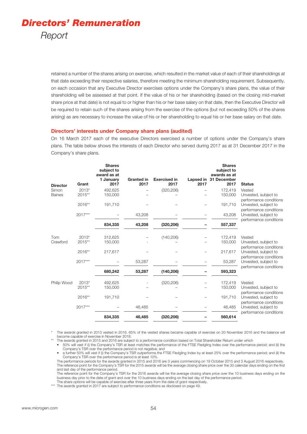retained a number of the shares arising on exercise, which resulted in the market value of each of their shareholdings at that date exceeding their respective salaries, therefore meeting the minimum shareholding requirement. Subsequently, on each occasion that any Executive Director exercises options under the Company's share plans, the value of their shareholding will be assessed at that point. If the value of his or her shareholding (based on the closing mid-market share price at that date) is not equal to or higher than his or her base salary on that date, then the Executive Director will be required to retain such of the shares arising from the exercise of the options (but not exceeding 50% of the shares arising) as are necessary to increase the value of his or her shareholding to equal his or her base salary on that date.

### **Directors' interests under Company share plans (audited)**

On 16 March 2017 each of the executive Directors exercised a number of options under the Company's share plans. The table below shows the interests of each Director who served during 2017 as at 31 December 2017 in the Company's share plans.

|                        |                   | <b>Shares</b><br>subject to<br>award as at |                           |                             |                   | <b>Shares</b><br>subject to<br>awards as at |                                                |
|------------------------|-------------------|--------------------------------------------|---------------------------|-----------------------------|-------------------|---------------------------------------------|------------------------------------------------|
|                        | Grant             | 1 January<br>2017                          | <b>Granted in</b><br>2017 | <b>Exercised in</b><br>2017 | Lapsed in<br>2017 | 31 December<br>2017                         | <b>Status</b>                                  |
| <b>Director</b>        |                   |                                            |                           |                             |                   |                                             |                                                |
| Simon<br><b>Baines</b> | $2013*$<br>2015** | 492,625<br>150,000                         |                           | (320, 206)                  |                   | 172,419<br>150,000                          | Vested                                         |
|                        |                   |                                            |                           |                             |                   |                                             | Unvested, subject to<br>performance conditions |
|                        | 2016**            | 191,710                                    |                           |                             |                   | 191,710                                     | Unvested, subject to                           |
|                        |                   |                                            |                           |                             |                   |                                             | performance conditions                         |
|                        | 2017***           |                                            | 43,208                    |                             |                   | 43,208                                      | Unvested, subject to                           |
|                        |                   |                                            |                           |                             |                   |                                             | performance conditions                         |
|                        |                   | 834,335                                    | 43,208                    | (320, 206)                  |                   | 557,337                                     |                                                |
|                        |                   |                                            |                           |                             |                   |                                             |                                                |
| Tom                    | $2013*$           | 312,625                                    |                           | (140, 206)                  |                   | 172,419                                     | Vested                                         |
| Crawford               | 2015**            | 150,000                                    |                           |                             |                   | 150,000                                     | Unvested, subject to                           |
|                        |                   |                                            |                           |                             |                   |                                             | performance conditions                         |
|                        | 2016**            | 217,617                                    |                           |                             |                   | 217,617                                     | Unvested, subject to                           |
|                        |                   |                                            |                           |                             |                   |                                             | performance conditions                         |
|                        | $2017***$         |                                            | 53,287                    |                             |                   | 53,287                                      | Unvested, subject to                           |
|                        |                   |                                            |                           |                             |                   |                                             | performance conditions                         |
|                        |                   | 680,242                                    | 53,287                    | (140, 206)                  |                   | 593,323                                     |                                                |
|                        |                   |                                            |                           |                             |                   |                                             |                                                |
| Philip Wood            | $2013*$           | 492.625                                    |                           | (320, 206)                  |                   | 172,419                                     | Vested                                         |
|                        | 2015**            | 150,000                                    |                           |                             |                   | 150,000                                     | Unvested, subject to                           |
|                        |                   |                                            |                           |                             |                   |                                             | performance conditions                         |
|                        | 2016**            | 191,710                                    |                           |                             |                   | 191,710                                     | Unvested, subject to                           |
|                        |                   |                                            |                           |                             |                   |                                             | performance conditions                         |
|                        | 2017***           |                                            | 46,485                    |                             |                   | 46,485                                      | Unvested, subject to                           |
|                        |                   | 834,335                                    | 46,485                    | (320, 206)                  |                   | 560,614                                     | performance conditions                         |
|                        |                   |                                            |                           |                             |                   |                                             |                                                |

The awards granted in 2013 vested in 2016. 65% of the vested shares became capable of exercise on 20 November 2016 and the balance will become capable of exercise in November 2018.

The awards granted in 2015 and 2016 are subject to a performance condition based on Total Shareholder Return under which

 • 50% will vest if (i) the Company's TSR at least matches the performance of the FTSE Fledgling Index over the performance period; and (ii) the Company's TSR over the performance period is not negative; and

 • a further 50% will vest if (i) the Company's TSR outperforms the FTSE Fledgling Index by at least 25% over the performance period; and (ii) the Company's TSR over the performance period is at least 10%.

 The performance periods for the awards granted in 2015 and 2016 are 3 years commencing on 19 October 2015 and 3 August 2016 respectively. The reference point for the Company's TSR for the 2015 awards will be the average closing share price over the 30 calendar days ending on the first and last day of the performance period.

 The reference point for the Company's TSR for the 2016 awards will be the average closing share price over the 10 business days ending on the business day prior to the date of grant and over the 10 business days ending on the last day of the performance period.

The share options will be capable of exercise after three years from the date of grant respectively. \*\*\* The awards granted in 2017 are subject to performance conditions as disclosed on page 49.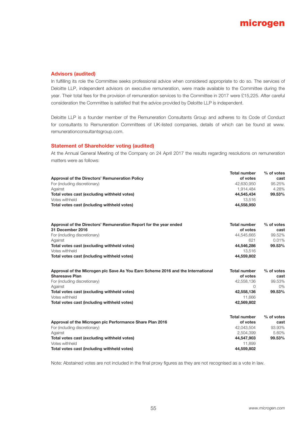## **Advisors (audited)**

In fulfilling its role the Committee seeks professional advice when considered appropriate to do so. The services of Deloitte LLP, independent advisors on executive remuneration, were made available to the Committee during the year. Their total fees for the provision of remuneration services to the Committee in 2017 were £15,225. After careful consideration the Committee is satisfied that the advice provided by Deloitte LLP is independent.

Deloitte LLP is a founder member of the Remuneration Consultants Group and adheres to its Code of Conduct for consultants to Remuneration Committees of UK-listed companies, details of which can be found at www. remunerationconsultantsgroup.com.

### **Statement of Shareholder voting (audited)**

At the Annual General Meeting of the Company on 24 April 2017 the results regarding resolutions on remuneration matters were as follows:

|                                                                                 | <b>Total number</b> | % of votes |
|---------------------------------------------------------------------------------|---------------------|------------|
| Approval of the Directors' Remuneration Policy                                  | of votes            | cast       |
| For (including discretionary)                                                   | 42,630,950          | 95.25%     |
| Against                                                                         | 1,914,484           | 4.28%      |
| Total votes cast (excluding withheld votes)                                     | 44,545,434          | 99.53%     |
| Votes withheld                                                                  | 13.516              |            |
| Total votes cast (including withheld votes)                                     | 44,558,950          |            |
| Approval of the Directors' Remuneration Report for the year ended               | <b>Total number</b> | % of votes |
| 31 December 2016                                                                | of votes            | cast       |
| For (including discretionary)                                                   | 44,545,665          | 99.52%     |
| Against                                                                         | 621                 | 0.01%      |
| Total votes cast (excluding withheld votes)                                     | 44,546,286          | 99.53%     |
| Votes withheld                                                                  | 13,516              |            |
| Total votes cast (including withheld votes)                                     | 44,559,802          |            |
| Approval of the Microgen plc Save As You Earn Scheme 2016 and the International | <b>Total number</b> | % of votes |
| <b>Sharesave Plan</b>                                                           | of votes            | cast       |
| For (including discretionary)                                                   | 42,558,136          | 99.53%     |
| Against                                                                         | $\Omega$            | 0%         |
| Total votes cast (excluding withheld votes)                                     | 42,558,136          | 99.53%     |
| Votes withheld                                                                  | 11,666              |            |
| Total votes cast (including withheld votes)                                     | 42.569.802          |            |
|                                                                                 | <b>Total number</b> | % of votes |
| Approval of the Microgen plc Performance Share Plan 2016                        | of votes            | cast       |
| For (including discretionary)                                                   | 42,043,504          | 93.93%     |
| Against                                                                         | 2,504,399           | 5.60%      |
| Total votes cast (excluding withheld votes)                                     | 44,547,903          | 99.53%     |
| Votes withheld                                                                  | 11,899              |            |
| Total votes cast (including withheld votes)                                     | 44,559,802          |            |

Note: Abstained votes are not included in the final proxy figures as they are not recognised as a vote in law.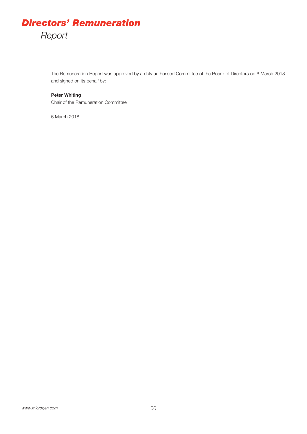The Remuneration Report was approved by a duly authorised Committee of the Board of Directors on 6 March 2018 and signed on its behalf by:

## **Peter Whiting**

Chair of the Remuneration Committee

6 March 2018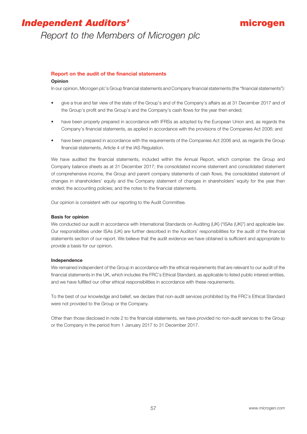# *Independent Auditors'*

# **microgen**

# *Report to the Members of Microgen plc*

## **Report on the audit of the financial statements**

### **Opinion**

In our opinion, Microgen plc's Group financial statements and Company financial statements (the "financial statements"):

- give a true and fair view of the state of the Group's and of the Company's affairs as at 31 December 2017 and of the Group's profit and the Group's and the Company's cash flows for the year then ended;
- have been properly prepared in accordance with IFRSs as adopted by the European Union and, as regards the Company's financial statements, as applied in accordance with the provisions of the Companies Act 2006; and
- have been prepared in accordance with the requirements of the Companies Act 2006 and, as regards the Group financial statements, Article 4 of the IAS Regulation.

We have audited the financial statements, included within the Annual Report, which comprise: the Group and Company balance sheets as at 31 December 2017; the consolidated income statement and consolidated statement of comprehensive income, the Group and parent company statements of cash flows, the consolidated statement of changes in shareholders' equity and the Company statement of changes in shareholders' equity for the year then ended; the accounting policies; and the notes to the financial statements.

Our opinion is consistent with our reporting to the Audit Committee.

### **Basis for opinion**

We conducted our audit in accordance with International Standards on Auditing (UK) ("ISAs (UK)") and applicable law. Our responsibilities under ISAs (UK) are further described in the Auditors' responsibilities for the audit of the financial statements section of our report. We believe that the audit evidence we have obtained is sufficient and appropriate to provide a basis for our opinion.

#### **Independence**

We remained independent of the Group in accordance with the ethical requirements that are relevant to our audit of the financial statements in the UK, which includes the FRC's Ethical Standard, as applicable to listed public interest entities, and we have fulfilled our other ethical responsibilities in accordance with these requirements.

To the best of our knowledge and belief, we declare that non-audit services prohibited by the FRC's Ethical Standard were not provided to the Group or the Company.

Other than those disclosed in note 2 to the financial statements, we have provided no non-audit services to the Group or the Company in the period from 1 January 2017 to 31 December 2017.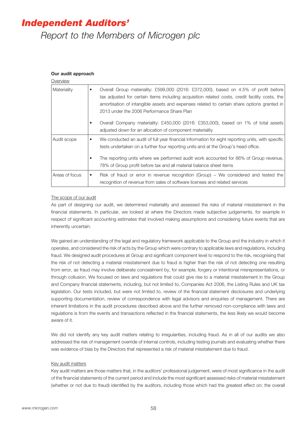# *Independent Auditors'*

*Report to the Members of Microgen plc*

### **Our audit approach**

| Overview       |                                                                                                                                                                                                                                                                                                                                         |
|----------------|-----------------------------------------------------------------------------------------------------------------------------------------------------------------------------------------------------------------------------------------------------------------------------------------------------------------------------------------|
| Materiality    | Overall Group materiality: £599,000 (2016: £372,000), based on 4.5% of profit before<br>٠<br>tax adjusted for certain items including acquisition related costs, credit facility costs, the<br>amortisation of intangible assets and expenses related to certain share options granted in<br>2013 under the 2006 Performance Share Plan |
|                | Overall Company materiality: £450,000 (2016: £353,000), based on 1% of total assets<br>adjusted down for an allocation of component materiality                                                                                                                                                                                         |
| Audit scope    | We conducted an audit of full year financial information for eight reporting units, with specific<br>٠<br>tests undertaken on a further four reporting units and at the Group's head office.                                                                                                                                            |
|                | The reporting units where we performed audit work accounted for 86% of Group revenue,<br>78% of Group profit before tax and all material balance sheet items                                                                                                                                                                            |
| Areas of focus | Risk of fraud or error in revenue recognition (Group) – We considered and tested the<br>$\bullet$<br>recognition of revenue from sales of software licenses and related services                                                                                                                                                        |

### The scope of our audit

As part of designing our audit, we determined materiality and assessed the risks of material misstatement in the financial statements. In particular, we looked at where the Directors made subjective judgements, for example in respect of significant accounting estimates that involved making assumptions and considering future events that are inherently uncertain.

We gained an understanding of the legal and regulatory framework applicable to the Group and the industry in which it operates, and considered the risk of acts by the Group which were contrary to applicable laws and regulations, including fraud. We designed audit procedures at Group and significant component level to respond to the risk, recognising that the risk of not detecting a material misstatement due to fraud is higher than the risk of not detecting one resulting from error, as fraud may involve deliberate concealment by, for example, forgery or intentional misrepresentations, or through collusion. We focused on laws and regulations that could give rise to a material misstatement in the Group and Company financial statements, including, but not limited to, Companies Act 2006, the Listing Rules and UK tax legislation. Our tests included, but were not limited to, review of the financial statement disclosures and underlying supporting documentation, review of correspondence with legal advisors and enquiries of management. There are inherent limitations in the audit procedures described above and the further removed non-compliance with laws and regulations is from the events and transactions reflected in the financial statements, the less likely we would become aware of it.

We did not identify any key audit matters relating to irregularities, including fraud. As in all of our audits we also addressed the risk of management override of internal controls, including testing journals and evaluating whether there was evidence of bias by the Directors that represented a risk of material misstatement due to fraud.

## Key audit matters

Key audit matters are those matters that, in the auditors' professional judgement, were of most significance in the audit of the financial statements of the current period and include the most significant assessed risks of material misstatement (whether or not due to fraud) identified by the auditors, including those which had the greatest effect on: the overall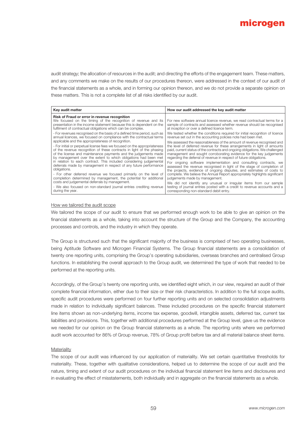audit strategy; the allocation of resources in the audit; and directing the efforts of the engagement team. These matters, and any comments we make on the results of our procedures thereon, were addressed in the context of our audit of the financial statements as a whole, and in forming our opinion thereon, and we do not provide a separate opinion on these matters. This is not a complete list of all risks identified by our audit.

| Key audit matter                                                                                                                                                                                                                                        | How our audit addressed the key audit matter                                                                                                                                                      |  |  |  |
|---------------------------------------------------------------------------------------------------------------------------------------------------------------------------------------------------------------------------------------------------------|---------------------------------------------------------------------------------------------------------------------------------------------------------------------------------------------------|--|--|--|
| Risk of Fraud or error in revenue recognition<br>We focused on the timing of the recognition of revenue and its<br>presentation in the income statement because this is dependent on the<br>fulfilment of contractual obligations which can be complex. | For new software annual licence revenue, we read contractual terms for a<br>sample of contracts and assessed whether revenue should be recognised<br>at inception or over a defined licence term. |  |  |  |
| - For revenues recognised on the basis of a defined time period, such as                                                                                                                                                                                | We tested whether the conditions required for initial recognition of licence                                                                                                                      |  |  |  |
| annual licences, we focused on compliance with the contractual terms                                                                                                                                                                                    | revenue set out in the accounting policies note had been met.                                                                                                                                     |  |  |  |
| applicable and the appropriateness of recognition.                                                                                                                                                                                                      | We assessed the reasonableness of the amount of revenue recognised and                                                                                                                            |  |  |  |
| - For initial or perpetual license fees we focused on the appropriateness                                                                                                                                                                               | the level of deferred revenue for these arrangements in light of amounts                                                                                                                          |  |  |  |
| of the revenue recognition of these contracts in light of the phasing                                                                                                                                                                                   | paid, current status of the contracts and ongoing obligations. We challenged                                                                                                                      |  |  |  |
| of the license and maintenance payments and the judgements made                                                                                                                                                                                         | management and sought corroborating evidence for the key judgements                                                                                                                               |  |  |  |
| by management over the extent to which obligations had been met                                                                                                                                                                                         | regarding the deferral of revenue in respect of future obligations.                                                                                                                               |  |  |  |
| in relation to each contract. This included considering judgemental                                                                                                                                                                                     | For ongoing software implementation and consulting contracts, we                                                                                                                                  |  |  |  |
| deferrals made by management in respect of any future performance                                                                                                                                                                                       | assessed the revenue recognised in light of the stage of completion of                                                                                                                            |  |  |  |
| obligations.                                                                                                                                                                                                                                            | the projects, evidence of ongoing disputes, and estimates of costs to                                                                                                                             |  |  |  |
| - For other deferred revenue we focused primarily on the level of                                                                                                                                                                                       | complete. We believe the Annual Report appropriately highlights significant                                                                                                                       |  |  |  |
| completion determined by management, the potential for additional                                                                                                                                                                                       | judgements made by management.                                                                                                                                                                    |  |  |  |
| costs and judgemental deferrals by management.                                                                                                                                                                                                          | We did not identify any unusual or irregular items from our sample                                                                                                                                |  |  |  |
| - We also focused on non-standard journal entries crediting revenue                                                                                                                                                                                     | testing of journal entries posted with a credit to revenue accounts and a                                                                                                                         |  |  |  |
| during the year.                                                                                                                                                                                                                                        | corresponding non-standard debit entry.                                                                                                                                                           |  |  |  |

#### How we tailored the audit scope

We tailored the scope of our audit to ensure that we performed enough work to be able to give an opinion on the financial statements as a whole, taking into account the structure of the Group and the Company, the accounting processes and controls, and the industry in which they operate.

The Group is structured such that the significant majority of the business is comprised of two operating businesses, being Aptitude Software and Microgen Financial Systems. The Group financial statements are a consolidation of twenty one reporting units, comprising the Group's operating subsidiaries, overseas branches and centralised Group functions. In establishing the overall approach to the Group audit, we determined the type of work that needed to be performed at the reporting units.

Accordingly, of the Group's twenty one reporting units, we identified eight which, in our view, required an audit of their complete financial information, either due to their size or their risk characteristics. In addition to the full scope audits, specific audit procedures were performed on four further reporting units and on selected consolidation adjustments made in relation to individually significant balances. These included procedures on the specific financial statement line items shown as non-underlying items, income tax expense, goodwill, intangible assets, deferred tax, current tax liabilities and provisions. This, together with additional procedures performed at the Group level, gave us the evidence we needed for our opinion on the Group financial statements as a whole. The reporting units where we performed audit work accounted for 86% of Group revenue, 78% of Group profit before tax and all material balance sheet items.

### Materiality

The scope of our audit was influenced by our application of materiality. We set certain quantitative thresholds for materiality. These, together with qualitative considerations, helped us to determine the scope of our audit and the nature, timing and extent of our audit procedures on the individual financial statement line items and disclosures and in evaluating the effect of misstatements, both individually and in aggregate on the financial statements as a whole.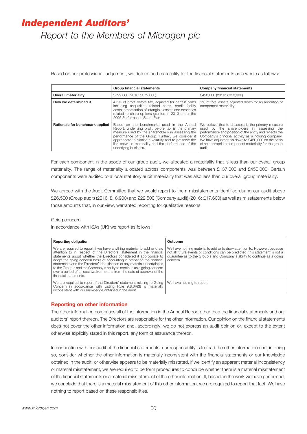# *Independent Auditors'*

# *Report to the Members of Microgen plc*

Based on our professional judgement, we determined materiality for the financial statements as a whole as follows:

|                                 | <b>Group financial statements</b>                                                                                                                                                                                                                                                                                                                     | <b>Company financial statements</b>                                                                                                                                                                                                                                                                                                         |
|---------------------------------|-------------------------------------------------------------------------------------------------------------------------------------------------------------------------------------------------------------------------------------------------------------------------------------------------------------------------------------------------------|---------------------------------------------------------------------------------------------------------------------------------------------------------------------------------------------------------------------------------------------------------------------------------------------------------------------------------------------|
| <b>Overall materiality</b>      | £599,000 (2016: £372,000).                                                                                                                                                                                                                                                                                                                            | £450,000 (2016: £353,000).                                                                                                                                                                                                                                                                                                                  |
| How we determined it            | 4.5% of profit before tax, adjusted for certain items<br>including acquisition related costs, credit facility<br>costs, amortisation of intangible assets and expenses<br>related to share options granted in 2013 under the<br>2006 Performance Share Plan                                                                                           | 1% of total assets adjusted down for an allocation of<br>component materiality                                                                                                                                                                                                                                                              |
| Rationale for benchmark applied | Based on the benchmarks used in the Annual<br>Report, underlying profit before tax is the primary<br>measure used by the shareholders in assessing the<br>performance of the Group. Further, we consider it<br>appropriate to eliminate volatility and to preserve the<br>link between materiality and the performance of the<br>underlying business. | We believe that total assets is the primary measure<br>used by the shareholders in assessing the<br>performance and position of the entity and reflects the<br>Company's principal activity as a holding company.<br>We have adjusted this down to £450,000 on the basis<br>of an appropriate component materiality for the group<br>audit. |

For each component in the scope of our group audit, we allocated a materiality that is less than our overall group materiality. The range of materiality allocated across components was between £137,000 and £450,000. Certain components were audited to a local statutory audit materiality that was also less than our overall group materiality.

We agreed with the Audit Committee that we would report to them misstatements identified during our audit above £26,500 (Group audit) (2016: £18,900) and £22,500 (Company audit) (2016: £17,600) as well as misstatements below those amounts that, in our view, warranted reporting for qualitative reasons.

### Going concern

In accordance with ISAs (UK) we report as follows:

| <b>Reporting obligation</b>                                                                                                                                                                                                                                                                                                                                                                                                                                                                                                                                  | Outcome                                                                                                                                                                                                                                            |
|--------------------------------------------------------------------------------------------------------------------------------------------------------------------------------------------------------------------------------------------------------------------------------------------------------------------------------------------------------------------------------------------------------------------------------------------------------------------------------------------------------------------------------------------------------------|----------------------------------------------------------------------------------------------------------------------------------------------------------------------------------------------------------------------------------------------------|
| We are required to report if we have anything material to add or draw<br>attention to in respect of the Directors' statement in the financial<br>statements about whether the Directors considered it appropriate to<br>adopt the going concern basis of accounting in preparing the financial<br>statements and the Directors' identification of any material uncertainties<br>to the Group's and the Company's ability to continue as a going concern<br>over a period of at least twelve months from the date of approval of the<br>financial statements. | We have nothing material to add or to draw attention to. However, because<br>not all future events or conditions can be predicted, this statement is not a<br>quarantee as to the Group's and Company's ability to continue as a going<br>concern. |
| We are required to report if the Directors' statement relating to Going<br>Concern in accordance with Listing Rule 9.8.6R(3) is materially<br>inconsistent with our knowledge obtained in the audit.                                                                                                                                                                                                                                                                                                                                                         | We have nothing to report.                                                                                                                                                                                                                         |

## **Reporting on other information**

The other information comprises all of the information in the Annual Report other than the financial statements and our auditors' report thereon. The Directors are responsible for the other information. Our opinion on the financial statements does not cover the other information and, accordingly, we do not express an audit opinion or, except to the extent otherwise explicitly stated in this report, any form of assurance thereon.

In connection with our audit of the financial statements, our responsibility is to read the other information and, in doing so, consider whether the other information is materially inconsistent with the financial statements or our knowledge obtained in the audit, or otherwise appears to be materially misstated. If we identify an apparent material inconsistency or material misstatement, we are required to perform procedures to conclude whether there is a material misstatement of the financial statements or a material misstatement of the other information. If, based on the work we have performed, we conclude that there is a material misstatement of this other information, we are required to report that fact. We have nothing to report based on these responsibilities.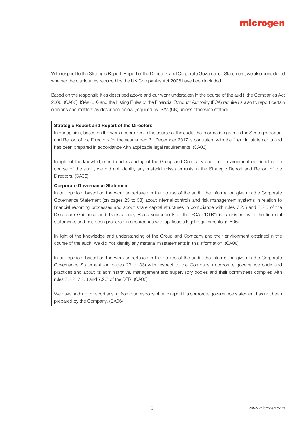With respect to the Strategic Report, Report of the Directors and Corporate Governance Statement, we also considered whether the disclosures required by the UK Companies Act 2006 have been included.

Based on the responsibilities described above and our work undertaken in the course of the audit, the Companies Act 2006, (CA06), ISAs (UK) and the Listing Rules of the Financial Conduct Authority (FCA) require us also to report certain opinions and matters as described below (required by ISAs (UK) unless otherwise stated).

#### **Strategic Report and Report of the Directors**

In our opinion, based on the work undertaken in the course of the audit, the information given in the Strategic Report and Report of the Directors for the year ended 31 December 2017 is consistent with the financial statements and has been prepared in accordance with applicable legal requirements. (CA06)

In light of the knowledge and understanding of the Group and Company and their environment obtained in the course of the audit, we did not identify any material misstatements in the Strategic Report and Report of the Directors. (CA06)

### **Corporate Governance Statement**

In our opinion, based on the work undertaken in the course of the audit, the information given in the Corporate Governance Statement (on pages 23 to 33) about internal controls and risk management systems in relation to financial reporting processes and about share capital structures in compliance with rules 7.2.5 and 7.2.6 of the Disclosure Guidance and Transparency Rules sourcebook of the FCA ("DTR") is consistent with the financial statements and has been prepared in accordance with applicable legal requirements. (CA06)

In light of the knowledge and understanding of the Group and Company and their environment obtained in the course of the audit, we did not identify any material misstatements in this information. (CA06)

In our opinion, based on the work undertaken in the course of the audit, the information given in the Corporate Governance Statement (on pages 23 to 33) with respect to the Company's corporate governance code and practices and about its administrative, management and supervisory bodies and their committees complies with rules 7.2.2, 7.2.3 and 7.2.7 of the DTR. (CA06)

We have nothing to report arising from our responsibility to report if a corporate governance statement has not been prepared by the Company. (CA06)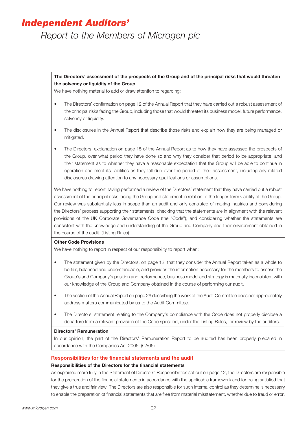# *Independent Auditors'*

# *Report to the Members of Microgen plc*

## **The Directors' assessment of the prospects of the Group and of the principal risks that would threaten the solvency or liquidity of the Group**

We have nothing material to add or draw attention to regarding:

- The Directors' confirmation on page 12 of the Annual Report that they have carried out a robust assessment of the principal risks facing the Group, including those that would threaten its business model, future performance, solvency or liquidity.
- The disclosures in the Annual Report that describe those risks and explain how they are being managed or mitigated.
- The Directors' explanation on page 15 of the Annual Report as to how they have assessed the prospects of the Group, over what period they have done so and why they consider that period to be appropriate, and their statement as to whether they have a reasonable expectation that the Group will be able to continue in operation and meet its liabilities as they fall due over the period of their assessment, including any related disclosures drawing attention to any necessary qualifications or assumptions.

We have nothing to report having performed a review of the Directors' statement that they have carried out a robust assessment of the principal risks facing the Group and statement in relation to the longer-term viability of the Group. Our review was substantially less in scope than an audit and only consisted of making inquiries and considering the Directors' process supporting their statements; checking that the statements are in alignment with the relevant provisions of the UK Corporate Governance Code (the "Code"); and considering whether the statements are consistent with the knowledge and understanding of the Group and Company and their environment obtained in the course of the audit. (Listing Rules)

#### **Other Code Provisions**

We have nothing to report in respect of our responsibility to report when:

- The statement given by the Directors, on page 12, that they consider the Annual Report taken as a whole to be fair, balanced and understandable, and provides the information necessary for the members to assess the Group's and Company's position and performance, business model and strategy is materially inconsistent with our knowledge of the Group and Company obtained in the course of performing our audit.
- The section of the Annual Report on page 26 describing the work of the Audit Committee does not appropriately address matters communicated by us to the Audit Committee.
- The Directors' statement relating to the Company's compliance with the Code does not properly disclose a departure from a relevant provision of the Code specified, under the Listing Rules, for review by the auditors.

#### **Directors' Remuneration**

In our opinion, the part of the Directors' Remuneration Report to be audited has been properly prepared in accordance with the Companies Act 2006. (CA06)

### **Responsibilities for the financial statements and the audit**

#### **Responsibilities of the Directors for the financial statements**

As explained more fully in the Statement of Directors' Responsibilities set out on page 12, the Directors are responsible for the preparation of the financial statements in accordance with the applicable framework and for being satisfied that they give a true and fair view. The Directors are also responsible for such internal control as they determine is necessary to enable the preparation of financial statements that are free from material misstatement, whether due to fraud or error.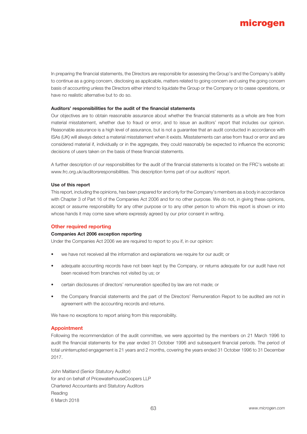In preparing the financial statements, the Directors are responsible for assessing the Group's and the Company's ability to continue as a going concern, disclosing as applicable, matters related to going concern and using the going concern basis of accounting unless the Directors either intend to liquidate the Group or the Company or to cease operations, or have no realistic alternative but to do so.

### **Auditors' responsibilities for the audit of the financial statements**

Our objectives are to obtain reasonable assurance about whether the financial statements as a whole are free from material misstatement, whether due to fraud or error, and to issue an auditors' report that includes our opinion. Reasonable assurance is a high level of assurance, but is not a guarantee that an audit conducted in accordance with ISAs (UK) will always detect a material misstatement when it exists. Misstatements can arise from fraud or error and are considered material if, individually or in the aggregate, they could reasonably be expected to influence the economic decisions of users taken on the basis of these financial statements.

A further description of our responsibilities for the audit of the financial statements is located on the FRC's website at: www.frc.org.uk/auditorsresponsibilities. This description forms part of our auditors' report.

#### **Use of this report**

This report, including the opinions, has been prepared for and only for the Company's members as a body in accordance with Chapter 3 of Part 16 of the Companies Act 2006 and for no other purpose. We do not, in giving these opinions, accept or assume responsibility for any other purpose or to any other person to whom this report is shown or into whose hands it may come save where expressly agreed by our prior consent in writing.

### **Other required reporting**

#### **Companies Act 2006 exception reporting**

Under the Companies Act 2006 we are required to report to you if, in our opinion:

- we have not received all the information and explanations we require for our audit; or
- adequate accounting records have not been kept by the Company, or returns adequate for our audit have not been received from branches not visited by us; or
- certain disclosures of directors' remuneration specified by law are not made; or
- the Company financial statements and the part of the Directors' Remuneration Report to be audited are not in agreement with the accounting records and returns.

We have no exceptions to report arising from this responsibility.

#### **Appointment**

Following the recommendation of the audit committee, we were appointed by the members on 21 March 1996 to audit the financial statements for the year ended 31 October 1996 and subsequent financial periods. The period of total uninterrupted engagement is 21 years and 2 months, covering the years ended 31 October 1996 to 31 December 2017.

John Maitland (Senior Statutory Auditor) for and on behalf of PricewaterhouseCoopers LLP Chartered Accountants and Statutory Auditors Reading 6 March 2018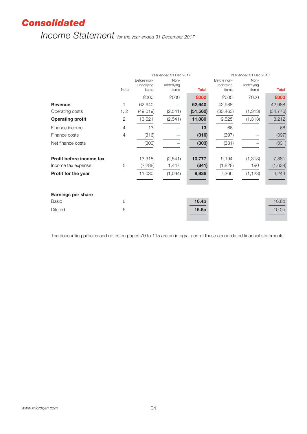# *Consolidated*

*Income Statement for the year ended 31 December 2017*

|                           | Note           | Before non-<br>underlying<br>items | Year ended 31 Dec 2017<br>Non-<br>underlying<br><b>Total</b><br>items |           | Before non-<br>underlying<br>items | Year ended 31 Dec 2016<br>Non-<br>underlying<br>items | <b>Total</b> |  |
|---------------------------|----------------|------------------------------------|-----------------------------------------------------------------------|-----------|------------------------------------|-------------------------------------------------------|--------------|--|
|                           |                | £000                               | £000                                                                  | £000      | £000                               | £000                                                  | £000         |  |
| <b>Revenue</b>            | 1              | 62,640                             |                                                                       | 62,640    | 42,988                             |                                                       | 42,988       |  |
| Operating costs           | 1, 2           | (49, 019)                          | (2, 541)                                                              | (51, 560) | (33, 463)                          | (1, 313)                                              | (34, 776)    |  |
| <b>Operating profit</b>   | $\overline{2}$ | 13,621                             | (2, 541)                                                              | 11,080    | 9,525                              | (1, 313)                                              | 8,212        |  |
| Finance income            | 4              | 13                                 |                                                                       | 13        | 66                                 |                                                       | 66           |  |
| Finance costs             | 4              | (316)                              |                                                                       | (316)     | (397)                              |                                                       | (397)        |  |
| Net finance costs         |                | (303)                              |                                                                       | (303)     | (331)                              |                                                       | (331)        |  |
| Profit before income tax  |                | 13,318                             | (2,541)                                                               | 10,777    | 9,194                              | (1, 313)                                              | 7,881        |  |
| Income tax expense        | 5              | (2, 288)                           | 1,447                                                                 | (841)     | (1,828)                            | 190                                                   | (1,638)      |  |
| Profit for the year       |                | 11,030                             | (1,094)                                                               | 9,936     | 7,366                              | (1, 123)                                              | 6,243        |  |
|                           |                |                                    |                                                                       |           |                                    |                                                       |              |  |
| <b>Earnings per share</b> |                |                                    |                                                                       |           |                                    |                                                       |              |  |
| <b>Basic</b>              | 6              |                                    |                                                                       | 16.4p     |                                    |                                                       | 10.6p        |  |
| <b>Diluted</b>            | 6              |                                    |                                                                       | 15.6p     |                                    |                                                       | 10.0p        |  |

The accounting policies and notes on pages 70 to 115 are an integral part of these consolidated financial statements.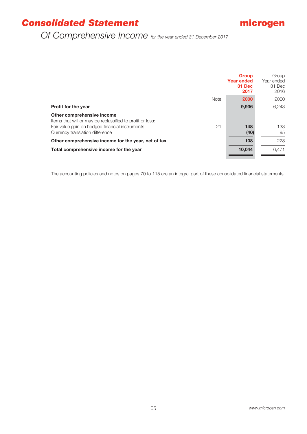# *Consolidated Statement*



*Of Comprehensive Income for the year ended 31 December 2017*

|                                                                                                                                                                               |    | <b>Group</b><br><b>Year ended</b><br>31 Dec<br>2017 | Group<br>Year ended<br>31 Dec<br>2016 |
|-------------------------------------------------------------------------------------------------------------------------------------------------------------------------------|----|-----------------------------------------------------|---------------------------------------|
| <b>Note</b>                                                                                                                                                                   |    | £000                                                | £000                                  |
| <b>Profit for the year</b>                                                                                                                                                    |    | 9,936                                               | 6.243                                 |
| Other comprehensive income<br>Items that will or may be reclassified to profit or loss:<br>Fair value gain on hedged financial instruments<br>Currency translation difference | 21 | 148<br>(40)                                         | 133<br>95                             |
| Other comprehensive income for the year, net of tax                                                                                                                           |    | 108                                                 | 228                                   |
| Total comprehensive income for the year                                                                                                                                       |    | 10.044                                              | 6.471                                 |

The accounting policies and notes on pages 70 to 115 are an integral part of these consolidated financial statements.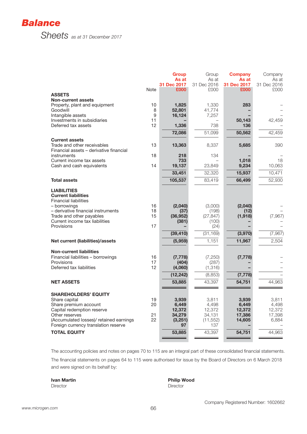

*Sheets as at 31 December 2017*

|                                                                |             | <b>Group</b>         | Group                | <b>Company</b>       | Company              |
|----------------------------------------------------------------|-------------|----------------------|----------------------|----------------------|----------------------|
|                                                                |             | As at<br>31 Dec 2017 | As at<br>31 Dec 2016 | As at<br>31 Dec 2017 | As at<br>31 Dec 2016 |
|                                                                | <b>Note</b> | £000                 | £000                 | £000                 | £000                 |
| <b>ASSETS</b>                                                  |             |                      |                      |                      |                      |
| <b>Non-current assets</b>                                      |             |                      |                      |                      |                      |
| Property, plant and equipment<br>Goodwill                      | 10<br>8     | 1,825                | 1,330<br>41,774      | 283                  |                      |
| Intangible assets                                              | 9           | 52,801<br>16,124     | 7,257                |                      |                      |
| Investments in subsidiaries                                    | 11          |                      |                      | 50,143               | 42,459               |
| Deferred tax assets                                            | 12          | 1,336                | 738                  | 136                  |                      |
|                                                                |             | 72,086               | 51,099               | 50,562               | 42,459               |
| <b>Current assets</b>                                          |             |                      |                      |                      |                      |
| Trade and other receivables                                    | 13          | 13,363               | 8,337                | 5,685                | 390                  |
| Financial assets - derivative financial                        |             |                      |                      |                      |                      |
| instruments                                                    | 18          | 218                  | 134                  |                      |                      |
| Current income tax assets                                      |             | 733                  |                      | 1,018                | 18                   |
| Cash and cash equivalents                                      | 14          | 19,137               | 23,849               | 9,234                | 10,063               |
|                                                                |             | 33,451               | 32,320               | 15,937               | 10,471               |
| <b>Total assets</b>                                            |             | 105,537              | 83,419               | 66,499               | 52,930               |
| <b>LIABILITIES</b>                                             |             |                      |                      |                      |                      |
| <b>Current liabilities</b>                                     |             |                      |                      |                      |                      |
| <b>Financial liabilities</b>                                   |             |                      |                      |                      |                      |
| – borrowings                                                   | 16          | (2,040)              | (3,000)              | (2,040)              |                      |
| - derivative financial instruments<br>Trade and other payables | 18<br>15    | (37)<br>(36, 952)    | (198)<br>(27, 847)   | (12)<br>(1, 918)     | (7,967)              |
| Current income tax liabilities                                 |             | (381)                | (100)                |                      |                      |
| Provisions                                                     | 17          |                      | (24)                 |                      |                      |
|                                                                |             | (39, 410)            | (31, 169)            | (3,970)              | (7,967)              |
| Net current (liabilities)/assets                               |             | (5,959)              | 1,151                | 11,967               | 2,504                |
| <b>Non-current liabilities</b>                                 |             |                      |                      |                      |                      |
| Financial liabilities - borrowings                             | 16          | (7, 778)             | (7, 250)             | (7, 778)             |                      |
| Provisions                                                     | 17          | (404)                | (287)                |                      |                      |
| Deferred tax liabilities                                       | 12          | (4,060)              | (1,316)              |                      |                      |
|                                                                |             | (12,242)             | (8,853)              | (7, 778)             |                      |
| <b>NET ASSETS</b>                                              |             | 53,885               | 43,397               | 54,751               | 44,963               |
|                                                                |             |                      |                      |                      |                      |
| <b>SHAREHOLDERS' EQUITY</b>                                    |             |                      |                      |                      |                      |
| Share capital                                                  | 19          | 3,939                | 3,811                | 3,939                | 3,811                |
| Share premium account<br>Capital redemption reserve            | 20          | 6,449                | 4,498                | 6,449                | 4,498                |
| Other reserves                                                 | 21          | 12,372<br>34,279     | 12,372<br>34,131     | 12,372<br>17,386     | 12,372<br>17,398     |
| (Accumulated losses)/ retained earnings                        | 22          | (3,251)              | (11, 552)            | 14,605               | 6,884                |
| Foreign currency translation reserve                           |             | 97                   | 137                  |                      |                      |
| <b>TOTAL EQUITY</b>                                            |             | 53,885               | 43,397               | 54,751               | 44,963               |
|                                                                |             |                      |                      |                      |                      |

The accounting policies and notes on pages 70 to 115 are an integral part of these consolidated financial statements. The financial statements on pages 64 to 115 were authorised for issue by the Board of Directors on 6 March 2018 and were signed on its behalf by:

Director

**Ivan Martin Philip Wood Director Philip Wood Director**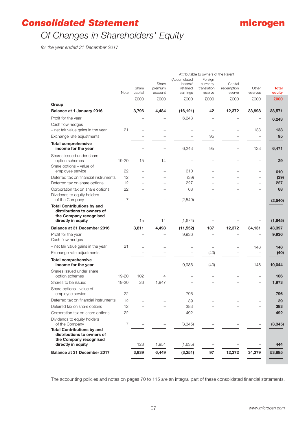# *Consolidated Statement*

# **microgen**

# *Of Changes in Shareholders' Equity*

*for the year ended 31 December 2017*

|                                                                   |                |                 |                 |                          | Attributable to owners of the Parent |                 |                          |                |
|-------------------------------------------------------------------|----------------|-----------------|-----------------|--------------------------|--------------------------------------|-----------------|--------------------------|----------------|
|                                                                   |                |                 | Share           | (Accumulated<br>losses)/ | Foreign<br>currency                  | Capital         |                          |                |
|                                                                   |                | Share           | premium         | retained                 | translation                          | redemption      | Other                    | <b>Total</b>   |
|                                                                   | Note           | capital<br>£000 | account<br>£000 | earnings<br>£000         | reserve<br>£000                      | reserve<br>£000 | reserves<br>£000         | equity<br>£000 |
| Group                                                             |                |                 |                 |                          |                                      |                 |                          |                |
| <b>Balance at 1 January 2016</b>                                  |                | 3,796           | 4,484           | (16, 121)                | 42                                   | 12,372          | 33,998                   | 38,571         |
| Profit for the year                                               |                |                 |                 | 6,243                    |                                      |                 |                          | 6,243          |
| Cash flow hedges                                                  |                |                 |                 |                          |                                      |                 |                          |                |
| - net fair value gains in the year                                | 21             |                 |                 |                          |                                      |                 | 133                      | 133            |
| Exchange rate adjustments                                         |                |                 |                 |                          | 95                                   |                 | $\overline{\phantom{0}}$ | 95             |
| <b>Total comprehensive</b>                                        |                |                 |                 | 6,243                    | 95                                   |                 | 133                      | 6,471          |
| income for the year                                               |                |                 |                 |                          |                                      |                 |                          |                |
| Shares issued under share<br>option schemes                       | 19-20          | 15              | 14              |                          |                                      |                 |                          | 29             |
| Share options - value of                                          |                |                 |                 |                          |                                      |                 |                          |                |
| employee service                                                  | 22             |                 |                 | 610                      |                                      |                 |                          | 610            |
| Deferred tax on financial instruments                             | 12<br>12       |                 |                 | (39)                     |                                      |                 |                          | (39)<br>227    |
| Deferred tax on share options<br>Corporation tax on share options | 22             |                 |                 | 227<br>68                |                                      |                 |                          | 68             |
| Dividends to equity holders                                       |                |                 |                 |                          |                                      |                 |                          |                |
| of the Company                                                    | 7              |                 |                 | (2,540)                  |                                      |                 |                          | (2, 540)       |
| <b>Total Contributions by and</b>                                 |                |                 |                 |                          |                                      |                 |                          |                |
| distributions to owners of<br>the Company recognised              |                |                 |                 |                          |                                      |                 |                          |                |
| directly in equity                                                |                | 15              | 14              | (1,674)                  |                                      |                 |                          | (1,645)        |
| <b>Balance at 31 December 2016</b>                                |                | 3,811           | 4,498           | (11, 552)                | 137                                  | 12,372          | 34,131                   | 43,397         |
| Profit for the year                                               |                |                 |                 | 9,936                    |                                      |                 |                          | 9,936          |
| Cash flow hedges                                                  |                |                 |                 |                          |                                      |                 |                          |                |
| - net fair value gains in the year                                | 21             |                 |                 |                          |                                      |                 | 148                      | 148            |
| Exchange rate adjustments                                         |                |                 |                 |                          | (40)                                 |                 | $\overline{\phantom{0}}$ | (40)           |
| <b>Total comprehensive</b><br>income for the year                 |                |                 |                 | 9,936                    | (40)                                 |                 | 148                      | 10,044         |
| Shares issued under share                                         |                |                 |                 |                          |                                      |                 |                          |                |
| option schemes                                                    | 19-20          | 102             | $\overline{4}$  |                          |                                      |                 |                          | 106            |
| Shares to be issued                                               | 19-20          | 26              | 1,947           |                          |                                      |                 |                          | 1,973          |
| Share options - value of<br>employee service                      | 22             |                 |                 | 796                      |                                      |                 |                          | 796            |
| Deferred tax on financial instruments                             | 12             |                 |                 | 39                       |                                      |                 |                          | 39             |
| Deferred tax on share options                                     | 12             |                 |                 | 383                      |                                      |                 |                          | 383            |
| Corporation tax on share options                                  | 22             |                 |                 | 492                      |                                      |                 |                          | 492            |
| Dividends to equity holders                                       |                |                 |                 |                          |                                      |                 |                          |                |
| of the Company<br><b>Total Contributions by and</b>               | $\overline{7}$ |                 |                 | (3, 345)                 |                                      |                 |                          | (3, 345)       |
| distributions to owners of                                        |                |                 |                 |                          |                                      |                 |                          |                |
| the Company recognised<br>directly in equity                      |                | 128             | 1,951           | (1,635)                  |                                      |                 |                          | 444            |
|                                                                   |                |                 |                 |                          |                                      |                 |                          |                |
| Balance at 31 December 2017                                       |                | 3,939           | 6,449           | (3, 251)                 | 97                                   | 12,372          | 34,279                   | 53,885         |

The accounting policies and notes on pages 70 to 115 are an integral part of these consolidated financial statements.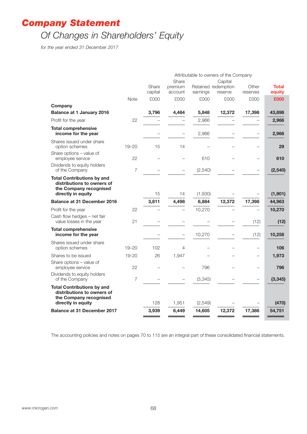# *Company Statement*

# *Of Changes in Shareholders' Equity*

*for the year ended 31 December 2017*

|                                                                                                                 | Attributable to owners of the Company |                  |                    |                                 |         |                   |                        |  |
|-----------------------------------------------------------------------------------------------------------------|---------------------------------------|------------------|--------------------|---------------------------------|---------|-------------------|------------------------|--|
|                                                                                                                 | Share<br>Capital                      |                  |                    |                                 |         |                   |                        |  |
|                                                                                                                 |                                       | Share<br>capital | premium<br>account | Retained redemption<br>earnings | reserve | Other<br>reserves | <b>Total</b><br>equity |  |
|                                                                                                                 | Note                                  | £000             | £000               | £000                            | £000    | £000              | £000                   |  |
| Company                                                                                                         |                                       |                  |                    |                                 |         |                   |                        |  |
| <b>Balance at 1 January 2016</b>                                                                                |                                       | 3,796            | 4,484              | 5,848                           | 12,372  | 17,398            | 43,898                 |  |
| Profit for the year                                                                                             | 22                                    |                  |                    | 2,966                           |         |                   | 2,966                  |  |
| <b>Total comprehensive</b><br>income for the year                                                               |                                       |                  |                    | 2,966                           |         |                   | 2,966                  |  |
| Shares issued under share<br>option schemes                                                                     | $19 - 20$                             | 15               | 14                 |                                 |         |                   | 29                     |  |
| Share options - value of<br>employee service                                                                    | 22                                    |                  |                    | 610                             |         |                   | 610                    |  |
| Dividends to equity holders<br>of the Company                                                                   | $\overline{7}$                        |                  |                    | (2,540)                         |         |                   | (2,540)                |  |
| <b>Total Contributions by and</b><br>distributions to owners of<br>the Company recognised                       |                                       |                  |                    |                                 |         |                   |                        |  |
| directly in equity                                                                                              |                                       | 15               | 14                 | (1,930)                         |         |                   | (1,901)                |  |
| <b>Balance at 31 December 2016</b>                                                                              |                                       | 3,811            | 4,498              | 6,884                           | 12,372  | 17,398            | 44,963                 |  |
| Profit for the year                                                                                             | 22                                    |                  |                    | 10,270                          |         |                   | 10,270                 |  |
| Cash flow hedges - net fair<br>value losses in the year                                                         | 21                                    |                  |                    |                                 |         | (12)              | (12)                   |  |
| <b>Total comprehensive</b><br>income for the year                                                               |                                       |                  |                    | 10,270                          |         | (12)              | 10,258                 |  |
| Shares issued under share<br>option schemes                                                                     | $19 - 20$                             | 102              | 4                  |                                 |         |                   | 106                    |  |
| Shares to be issued                                                                                             | 19-20                                 | 26               | 1,947              |                                 |         |                   | 1,973                  |  |
| Share options - value of<br>employee service                                                                    | 22                                    |                  |                    | 796                             |         |                   | 796                    |  |
| Dividends to equity holders<br>of the Company                                                                   | $\overline{7}$                        |                  |                    | (3, 345)                        |         |                   | (3, 345)               |  |
| <b>Total Contributions by and</b><br>distributions to owners of<br>the Company recognised<br>directly in equity |                                       | 128              | 1,951              | (2, 549)                        |         |                   | (470)                  |  |
| <b>Balance at 31 December 2017</b>                                                                              |                                       | 3,939            | 6,449              | 14,605                          | 12,372  | 17,386            | 54,751                 |  |
|                                                                                                                 |                                       |                  |                    |                                 |         |                   |                        |  |

The accounting policies and notes on pages 70 to 115 are an integral part of these consolidated financial statements.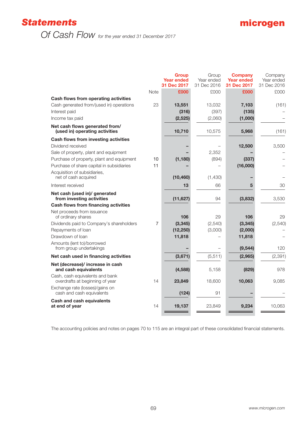# *Statements*

# *Of Cash Flow for the year ended 31 December 2017*

|                                                                    |             | Group<br><b>Year ended</b><br>31 Dec 2017 | Group<br>Year ended<br>31 Dec 2016 | <b>Company</b><br><b>Year ended</b><br>31 Dec 2017 | Company<br>Year ended<br>31 Dec 2016 |
|--------------------------------------------------------------------|-------------|-------------------------------------------|------------------------------------|----------------------------------------------------|--------------------------------------|
|                                                                    | <b>Note</b> | £000                                      | £000                               | £000                                               | £000                                 |
| Cash flows from operating activities                               |             |                                           |                                    |                                                    |                                      |
| Cash generated from/(used in) operations                           | 23          | 13,551                                    | 13,032                             | 7,103                                              | (161)                                |
| Interest paid                                                      |             | (316)                                     | (397)                              | (135)                                              |                                      |
| Income tax paid                                                    |             | (2, 525)                                  | (2,060)                            | (1,000)                                            |                                      |
| Net cash flows generated from/<br>(used in) operating activities   |             | 10,710                                    | 10,575                             | 5,968                                              | (161)                                |
| Cash flows from investing activities                               |             |                                           |                                    |                                                    |                                      |
| Dividend received                                                  |             |                                           |                                    | 12,500                                             | 3,500                                |
| Sale of property, plant and equipment                              |             |                                           | 2,352                              |                                                    |                                      |
| Purchase of property, plant and equipment                          | 10          | (1, 180)                                  | (894)                              | (337)                                              |                                      |
| Purchase of share capital in subsidiaries                          | 11          |                                           |                                    | (16,000)                                           |                                      |
| Acquisition of subsidiaries,<br>net of cash acquired               |             | (10, 460)                                 | (1,430)                            |                                                    |                                      |
| Interest received                                                  |             | 13                                        | 66                                 | 5                                                  | 30                                   |
| Net cash (used in)/ generated<br>from investing activities         |             | (11, 627)                                 | 94                                 | (3,832)                                            | 3,530                                |
| Cash flows from financing activities                               |             |                                           |                                    |                                                    |                                      |
| Net proceeds from issuance<br>of ordinary shares                   |             | 106                                       | 29                                 | 106                                                | 29                                   |
| Dividends paid to Company's shareholders                           | 7           | (3, 345)                                  | (2,540)                            | (3, 345)                                           | (2,540)                              |
| Repayments of loan                                                 |             | (12, 250)                                 | (3,000)                            | (2,000)                                            |                                      |
| Drawdown of Ioan                                                   |             | 11,818                                    |                                    | 11,818                                             |                                      |
| Amounts (lent to)/borrowed<br>from group undertakings              |             |                                           |                                    | (9, 544)                                           | 120                                  |
| Net cash used in financing activities                              |             | (3,671)                                   | (5, 511)                           | (2,965)                                            | (2, 391)                             |
| Net (decrease)/ increase in cash<br>and cash equivalents           |             | (4, 588)                                  | 5.158                              | (829)                                              | 978                                  |
| Cash, cash equivalents and bank<br>overdrafts at beginning of year | 14          | 23,849                                    | 18,600                             | 10,063                                             | 9,085                                |
| Exchange rate (losses)/gains on<br>cash and cash equivalents       |             | (124)                                     | 91                                 |                                                    |                                      |
| <b>Cash and cash equivalents</b><br>at end of year                 | 14          | 19,137                                    | 23,849                             | 9,234                                              | 10,063                               |
|                                                                    |             |                                           |                                    |                                                    |                                      |

The accounting policies and notes on pages 70 to 115 are an integral part of these consolidated financial statements.

**microgen**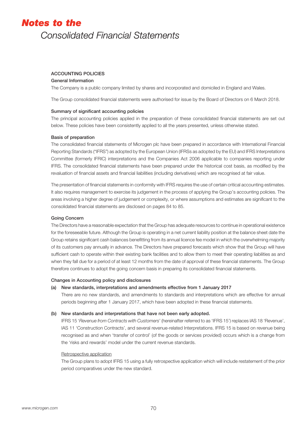# *Notes to the Consolidated Financial Statements*

## **ACCOUNTING POLICIES**

### **General Information**

The Company is a public company limited by shares and incorporated and domiciled in England and Wales.

The Group consolidated financial statements were authorised for issue by the Board of Directors on 6 March 2018.

### **Summary of significant accounting policies**

The principal accounting policies applied in the preparation of these consolidated financial statements are set out below. These policies have been consistently applied to all the years presented, unless otherwise stated.

### **Basis of preparation**

The consolidated financial statements of Microgen plc have been prepared in accordance with International Financial Reporting Standards ("IFRS") as adopted by the European Union (IFRSs as adopted by the EU) and IFRS Interpretations Committee (formerly IFRIC) interpretations and the Companies Act 2006 applicable to companies reporting under IFRS. The consolidated financial statements have been prepared under the historical cost basis, as modified by the revaluation of financial assets and financial liabilities (including derivatives) which are recognised at fair value.

The presentation of financial statements in conformity with IFRS requires the use of certain critical accounting estimates. It also requires management to exercise its judgement in the process of applying the Group's accounting policies. The areas involving a higher degree of judgement or complexity, or where assumptions and estimates are significant to the consolidated financial statements are disclosed on pages 84 to 85.

### **Going Concern**

The Directors have a reasonable expectation that the Group has adequate resources to continue in operational existence for the foreseeable future. Although the Group is operating in a net current liability position at the balance sheet date the Group retains significant cash balances benefitting from its annual licence fee model in which the overwhelming majority of its customers pay annually in advance. The Directors have prepared forecasts which show that the Group will have sufficient cash to operate within their existing bank facilities and to allow them to meet their operating liabilities as and when they fall due for a period of at least 12 months from the date of approval of these financial statements. The Group therefore continues to adopt the going concern basis in preparing its consolidated financial statements.

### **Changes in Accounting policy and disclosures**

#### **(a) New standards, interpretations and amendments effective from 1 January 2017**

There are no new standards, and amendments to standards and interpretations which are effective for annual periods beginning after 1 January 2017, which have been adopted in these financial statements.

#### **(b) New standards and interpretations that have not been early adopted.**

IFRS 15 '*Revenue from Contracts with Customers*' (hereinafter referred to as 'IFRS 15') replaces IAS 18 'Revenue', IAS 11 'Construction Contracts', and several revenue-related Interpretations. IFRS 15 is based on revenue being recognised as and when 'transfer of control' (of the goods or services provided) occurs which is a change from the 'risks and rewards' model under the current revenue standards.

### Retrospective application

The Group plans to adopt IFRS 15 using a fully retrospective application which will include restatement of the prior period comparatives under the new standard.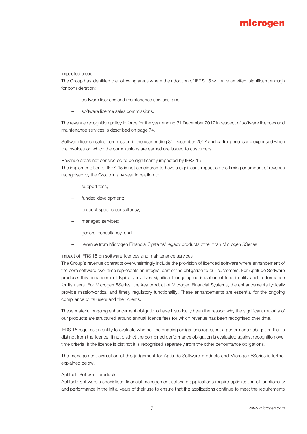## Impacted areas

The Group has identified the following areas where the adoption of IFRS 15 will have an effect significant enough for consideration:

- software licences and maintenance services; and
- software licence sales commissions.

The revenue recognition policy in force for the year ending 31 December 2017 in respect of software licences and maintenance services is described on page 74.

Software licence sales commission in the year ending 31 December 2017 and earlier periods are expensed when the invoices on which the commissions are earned are issued to customers.

### Revenue areas not considered to be significantly impacted by IFRS 15

The implementation of IFRS 15 is not considered to have a significant impact on the timing or amount of revenue recognised by the Group in any year in relation to:

- support fees;
- funded development;
- product specific consultancy;
- managed services;
- general consultancy; and
- revenue from Microgen Financial Systems' legacy products other than Microgen 5Series.

## Impact of IFRS 15 on software licences and maintenance services

The Group's revenue contracts overwhelmingly include the provision of licenced software where enhancement of the core software over time represents an integral part of the obligation to our customers. For Aptitude Software products this enhancement typically involves significant ongoing optimisation of functionality and performance for its users. For Microgen 5Series, the key product of Microgen Financial Systems, the enhancements typically provide mission-critical and timely regulatory functionality. These enhancements are essential for the ongoing compliance of its users and their clients.

These material ongoing enhancement obligations have historically been the reason why the significant majority of our products are structured around annual licence fees for which revenue has been recognised over time.

IFRS 15 requires an entity to evaluate whether the ongoing obligations represent a performance obligation that is distinct from the licence. If not distinct the combined performance obligation is evaluated against recognition over time criteria. If the licence is distinct it is recognised separately from the other performance obligations.

The management evaluation of this judgement for Aptitude Software products and Microgen 5Series is further explained below.

## Aptitude Software products

Aptitude Software's specialised financial management software applications require optimisation of functionality and performance in the initial years of their use to ensure that the applications continue to meet the requirements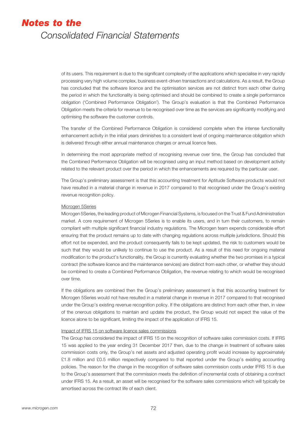of its users. This requirement is due to the significant complexity of the applications which specialise in very rapidly processing very high volume complex, business event-driven transactions and calculations. As a result, the Group has concluded that the software licence and the optimisation services are not distinct from each other during the period in which the functionality is being optimised and should be combined to create a single performance obligation ('Combined Performance Obligation'). The Group's evaluation is that the Combined Performance Obligation meets the criteria for revenue to be recognised over time as the services are significantly modifying and optimising the software the customer controls.

The transfer of the Combined Performance Obligation is considered complete when the intense functionality enhancement activity in the initial years diminishes to a consistent level of ongoing maintenance obligation which is delivered through either annual maintenance charges or annual licence fees.

In determining the most appropriate method of recognising revenue over time, the Group has concluded that the Combined Performance Obligation will be recognised using an input method based on development activity related to the relevant product over the period in which the enhancements are required by the particular user.

The Group's preliminary assessment is that this accounting treatment for Aptitude Software products would not have resulted in a material change in revenue in 2017 compared to that recognised under the Group's existing revenue recognition policy.

#### Microgen 5Series

Microgen 5Series, the leading product of Microgen Financial Systems, is focused on the Trust & Fund Administration market. A core requirement of Microgen 5Series is to enable its users, and in turn their customers, to remain compliant with multiple significant financial industry regulations. The Microgen team expends considerable effort ensuring that the product remains up to date with changing regulations across multiple jurisdictions. Should this effort not be expended, and the product consequently fails to be kept updated, the risk to customers would be such that they would be unlikely to continue to use the product. As a result of this need for ongoing material modification to the product's functionality, the Group is currently evaluating whether the two promises in a typical contract (the software licence and the maintenance services) are distinct from each other, or whether they should be combined to create a Combined Performance Obligation, the revenue relating to which would be recognised over time.

If the obligations are combined then the Group's preliminary assessment is that this accounting treatment for Microgen 5Series would not have resulted in a material change in revenue in 2017 compared to that recognised under the Group's existing revenue recognition policy. If the obligations are distinct from each other then, in view of the onerous obligations to maintain and update the product, the Group would not expect the value of the licence alone to be significant, limiting the impact of the application of IFRS 15.

#### Impact of IFRS 15 on software licence sales commissions

The Group has considered the impact of IFRS 15 on the recognition of software sales commission costs. If IFRS 15 was applied to the year ending 31 December 2017 then, due to the change in treatment of software sales commission costs only, the Group's net assets and adjusted operating profit would increase by approximately £1.8 million and £0.5 million respectively compared to that reported under the Group's existing accounting policies. The reason for the change in the recognition of software sales commission costs under IFRS 15 is due to the Group's assessment that the commission meets the definition of incremental costs of obtaining a contract under IFRS 15. As a result, an asset will be recognised for the software sales commissions which will typically be amortised across the contract life of each client.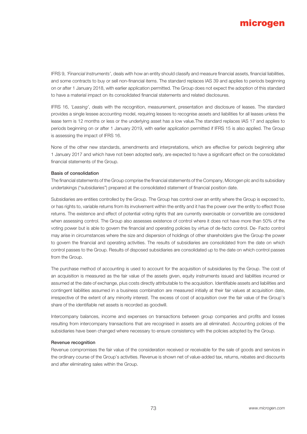IFRS 9, *'Financial Instruments'*, deals with how an entity should classify and measure financial assets, financial liabilities, and some contracts to buy or sell non-financial items. The standard replaces IAS 39 and applies to periods beginning on or after 1 January 2018, with earlier application permitted. The Group does not expect the adoption of this standard to have a material impact on its consolidated financial statements and related disclosures.

IFRS 16, *'Leasing'*, deals with the recognition, measurement, presentation and disclosure of leases. The standard provides a single lessee accounting model, requiring lessees to recognise assets and liabilities for all leases unless the lease term is 12 months or less or the underlying asset has a low value.The standard replaces IAS 17 and applies to periods beginning on or after 1 January 2019, with earlier application permitted if IFRS 15 is also applied. The Group is assessing the impact of IFRS 16.

None of the other new standards, amendments and interpretations, which are effective for periods beginning after 1 January 2017 and which have not been adopted early, are expected to have a significant effect on the consolidated financial statements of the Group.

### **Basis of consolidation**

The financial statements of the Group comprise the financial statements of the Company, Microgen plc and its subsidiary undertakings ("subsidiaries") prepared at the consolidated statement of financial position date.

Subsidiaries are entities controlled by the Group. The Group has control over an entity where the Group is exposed to, or has rights to, variable returns from its involvement within the entity and it has the power over the entity to effect those returns. The existence and effect of potential voting rights that are currently exercisable or convertible are considered when assessing control. The Group also assesses existence of control where it does not have more than 50% of the voting power but is able to govern the financial and operating policies by virtue of de-facto control. De- Facto control may arise in circumstances where the size and dispersion of holdings of other shareholders give the Group the power to govern the financial and operating activities. The results of subsidiaries are consolidated from the date on which control passes to the Group. Results of disposed subsidiaries are consolidated up to the date on which control passes from the Group.

The purchase method of accounting is used to account for the acquisition of subsidiaries by the Group. The cost of an acquisition is measured as the fair value of the assets given, equity instruments issued and liabilities incurred or assumed at the date of exchange, plus costs directly attributable to the acquisition. Identifiable assets and liabilities and contingent liabilities assumed in a business combination are measured initially at their fair values at acquisition date, irrespective of the extent of any minority interest. The excess of cost of acquisition over the fair value of the Group's share of the identifiable net assets is recorded as goodwill.

Intercompany balances, income and expenses on transactions between group companies and profits and losses resulting from intercompany transactions that are recognised in assets are all eliminated. Accounting policies of the subsidiaries have been changed where necessary to ensure consistency with the policies adopted by the Group.

#### **Revenue recognition**

Revenue compromises the fair value of the consideration received or receivable for the sale of goods and services in the ordinary course of the Group's activities. Revenue is shown net of value-added tax, returns, rebates and discounts and after eliminating sales within the Group.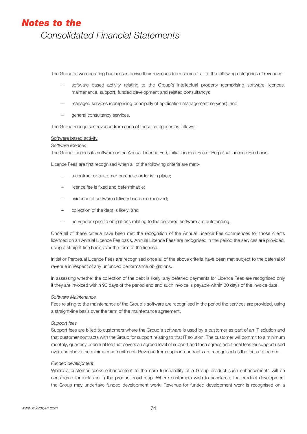The Group's two operating businesses derive their revenues from some or all of the following categories of revenue:-

- software based activity relating to the Group's intellectual property (comprising software licences, maintenance, support, funded development and related consultancy);
- managed services (comprising principally of application management services); and
- general consultancy services.

The Group recognises revenue from each of these categories as follows:-

## Software based activity

## *Software licences*

The Group licences its software on an Annual Licence Fee, Initial Licence Fee or Perpetual Licence Fee basis.

Licence Fees are first recognised when all of the following criteria are met:-

- a contract or customer purchase order is in place;
- licence fee is fixed and determinable;
- evidence of software delivery has been received;
- collection of the debt is likely; and
- no vendor specific obligations relating to the delivered software are outstanding.

Once all of these criteria have been met the recognition of the Annual Licence Fee commences for those clients licenced on an Annual Licence Fee basis. Annual Licence Fees are recognised in the period the services are provided, using a straight-line basis over the term of the licence.

Initial or Perpetual Licence Fees are recognised once all of the above criteria have been met subject to the deferral of revenue in respect of any unfunded performance obligations.

In assessing whether the collection of the debt is likely, any deferred payments for Licence Fees are recognised only if they are invoiced within 90 days of the period end and such invoice is payable within 30 days of the invoice date.

### *Software Maintenance*

Fees relating to the maintenance of the Group's software are recognised in the period the services are provided, using a straight-line basis over the term of the maintenance agreement.

### *Support fees*

Support fees are billed to customers where the Group's software is used by a customer as part of an IT solution and that customer contracts with the Group for support relating to that IT solution. The customer will commit to a minimum monthly, quarterly or annual fee that covers an agreed level of support and then agrees additional fees for support used over and above the minimum commitment. Revenue from support contracts are recognised as the fees are earned.

## *Funded development*

Where a customer seeks enhancement to the core functionality of a Group product such enhancements will be considered for inclusion in the product road map. Where customers wish to accelerate the product development the Group may undertake funded development work. Revenue for funded development work is recognised on a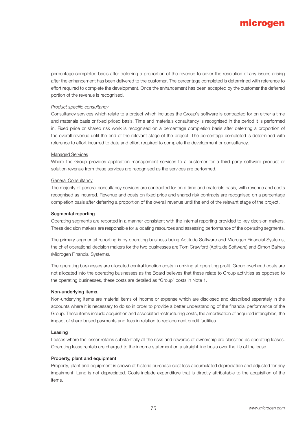percentage completed basis after deferring a proportion of the revenue to cover the resolution of any issues arising after the enhancement has been delivered to the customer. The percentage completed is determined with reference to effort required to complete the development. Once the enhancement has been accepted by the customer the deferred portion of the revenue is recognised.

## *Product specific consultancy*

Consultancy services which relate to a project which includes the Group's software is contracted for on either a time and materials basis or fixed priced basis. Time and materials consultancy is recognised in the period it is performed in. Fixed price or shared risk work is recognised on a percentage completion basis after deferring a proportion of the overall revenue until the end of the relevant stage of the project. The percentage completed is determined with reference to effort incurred to date and effort required to complete the development or consultancy.

### Managed Services

Where the Group provides application management services to a customer for a third party software product or solution revenue from these services are recognised as the services are performed.

### General Consultancy

The majority of general consultancy services are contracted for on a time and materials basis, with revenue and costs recognised as incurred. Revenue and costs on fixed price and shared risk contracts are recognised on a percentage completion basis after deferring a proportion of the overall revenue until the end of the relevant stage of the project.

### **Segmental reporting**

Operating segments are reported in a manner consistent with the internal reporting provided to key decision makers. These decision makers are responsible for allocating resources and assessing performance of the operating segments.

The primary segmental reporting is by operating business being Aptitude Software and Microgen Financial Systems, the chief operational decision makers for the two businesses are Tom Crawford (Aptitude Software) and Simon Baines (Microgen Financial Systems).

The operating businesses are allocated central function costs in arriving at operating profit. Group overhead costs are not allocated into the operating businesses as the Board believes that these relate to Group activities as opposed to the operating businesses, these costs are detailed as "Group" costs in Note 1.

### **Non-underlying items.**

Non-underlying items are material items of income or expense which are disclosed and described separately in the accounts where it is necessary to do so in order to provide a better understanding of the financial performance of the Group. These items include acquisition and associated restructuring costs, the amortisation of acquired intangibles, the impact of share based payments and fees in relation to replacement credit facilities.

### **Leasing**

Leases where the lessor retains substantially all the risks and rewards of ownership are classified as operating leases. Operating lease rentals are charged to the income statement on a straight line basis over the life of the lease.

### **Property, plant and equipment**

Property, plant and equipment is shown at historic purchase cost less accumulated depreciation and adjusted for any impairment. Land is not depreciated. Costs include expenditure that is directly attributable to the acquisition of the items.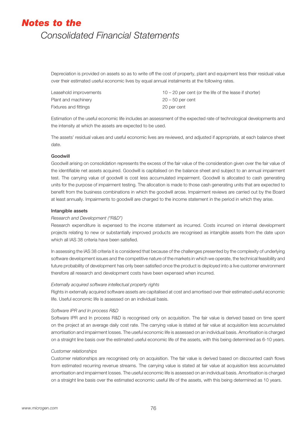Depreciation is provided on assets so as to write off the cost of property, plant and equipment less their residual value over their estimated useful economic lives by equal annual instalments at the following rates.

| Leasehold improvements | $10 - 20$ per cent (or the life of the lease if shorter) |
|------------------------|----------------------------------------------------------|
| Plant and machinery    | $20 - 50$ per cent                                       |
| Fixtures and fittings  | 20 per cent                                              |

Estimation of the useful economic life includes an assessment of the expected rate of technological developments and the intensity at which the assets are expected to be used.

The assets' residual values and useful economic lives are reviewed, and adjusted if appropriate, at each balance sheet date.

### **Goodwill**

Goodwill arising on consolidation represents the excess of the fair value of the consideration given over the fair value of the identifiable net assets acquired. Goodwill is capitalised on the balance sheet and subject to an annual impairment test. The carrying value of goodwill is cost less accumulated impairment. Goodwill is allocated to cash generating units for the purpose of impairment testing. The allocation is made to those cash generating units that are expected to benefit from the business combinations in which the goodwill arose. Impairment reviews are carried out by the Board at least annually. Impairments to goodwill are charged to the income statement in the period in which they arise.

## **Intangible assets**

## *Research and Development ("R&D")*

Research expenditure is expensed to the income statement as incurred. Costs incurred on internal development projects relating to new or substantially improved products are recognised as intangible assets from the date upon which all IAS 38 criteria have been satisfied.

In assessing the IAS 38 criteria it is considered that because of the challenges presented by the complexity of underlying software development issues and the competitive nature of the markets in which we operate, the technical feasibility and future probability of development has only been satisfied once the product is deployed into a live customer environment therefore all research and development costs have been expensed when incurred.

### *Externally acquired software intellectual property rights*

Rights in externally acquired software assets are capitalised at cost and amortised over their estimated useful economic life. Useful economic life is assessed on an individual basis.

### *Software IPR and In process R&D*

Software IPR and In process R&D is recognised only on acquisition. The fair value is derived based on time spent on the project at an average daily cost rate. The carrying value is stated at fair value at acquisition less accumulated amortisation and impairment losses. The useful economic life is assessed on an individual basis. Amortisation is charged on a straight line basis over the estimated useful economic life of the assets, with this being determined as 6-10 years.

## *Customer relationships*

Customer relationships are recognised only on acquisition. The fair value is derived based on discounted cash flows from estimated recurring revenue streams. The carrying value is stated at fair value at acquisition less accumulated amortisation and impairment losses. The useful economic life is assessed on an individual basis. Amortisation is charged on a straight line basis over the estimated economic useful life of the assets, with this being determined as 10 years.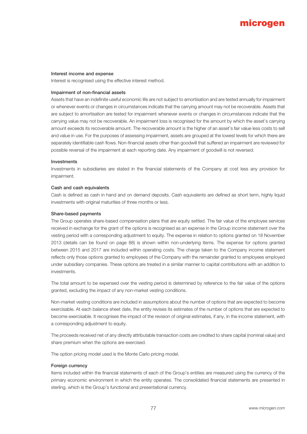#### **Interest income and expense**

Interest is recognised using the effective interest method.

#### **Impairment of non-financial assets**

Assets that have an indefinite useful economic life are not subject to amortisation and are tested annually for impairment or whenever events or changes in circumstances indicate that the carrying amount may not be recoverable. Assets that are subject to amortisation are tested for impairment whenever events or changes in circumstances indicate that the carrying value may not be recoverable. An impairment loss is recognised for the amount by which the asset's carrying amount exceeds its recoverable amount. The recoverable amount is the higher of an asset's fair value less costs to sell and value in use. For the purposes of assessing impairment, assets are grouped at the lowest levels for which there are separately identifiable cash flows. Non-financial assets other than goodwill that suffered an impairment are reviewed for possible reversal of the impairment at each reporting date. Any impairment of goodwill is not reversed.

#### **Investments**

Investments in subsidiaries are stated in the financial statements of the Company at cost less any provision for impairment.

#### **Cash and cash equivalents**

Cash is defined as cash in hand and on demand deposits. Cash equivalents are defined as short term, highly liquid investments with original maturities of three months or less.

#### **Share-based payments**

The Group operates share-based compensation plans that are equity settled. The fair value of the employee services received in exchange for the grant of the options is recognised as an expense in the Group income statement over the vesting period with a corresponding adjustment to equity. The expense in relation to options granted on 18 November 2013 (details can be found on page 88) is shown within non-underlying items. The expense for options granted between 2015 and 2017 are included within operating costs. The charge taken to the Company income statement reflects only those options granted to employees of the Company with the remainder granted to employees employed under subsidiary companies. These options are treated in a similar manner to capital contributions with an addition to investments.

The total amount to be expensed over the vesting period is determined by reference to the fair value of the options granted, excluding the impact of any non-market vesting conditions.

Non-market vesting conditions are included in assumptions about the number of options that are expected to become exercisable. At each balance sheet date, the entity revises its estimates of the number of options that are expected to become exercisable. It recognises the impact of the revision of original estimates, if any, in the income statement, with a corresponding adjustment to equity.

The proceeds received net of any directly attributable transaction costs are credited to share capital (nominal value) and share premium when the options are exercised.

The option pricing model used is the Monte Carlo pricing model.

### **Foreign currency**

Items included within the financial statements of each of the Group's entities are measured using the currency of the primary economic environment in which the entity operates. The consolidated financial statements are presented in sterling, which is the Group's functional and presentational currency.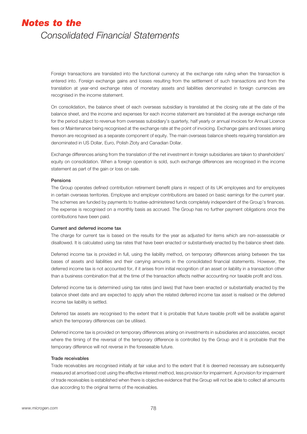Foreign transactions are translated into the functional currency at the exchange rate ruling when the transaction is entered into. Foreign exchange gains and losses resulting from the settlement of such transactions and from the translation at year-end exchange rates of monetary assets and liabilities denominated in foreign currencies are recognised in the income statement.

On consolidation, the balance sheet of each overseas subsidiary is translated at the closing rate at the date of the balance sheet, and the income and expenses for each income statement are translated at the average exchange rate for the period subject to revenue from overseas subsidiary's quarterly, half yearly or annual invoices for Annual Licence fees or Maintenance being recognised at the exchange rate at the point of invoicing. Exchange gains and losses arising thereon are recognised as a separate component of equity. The main overseas balance sheets requiring translation are denominated in US Dollar, Euro, Polish Zloty and Canadian Dollar.

Exchange differences arising from the translation of the net investment in foreign subsidiaries are taken to shareholders' equity on consolidation. When a foreign operation is sold, such exchange differences are recognised in the income statement as part of the gain or loss on sale.

### **Pensions**

The Group operates defined contribution retirement benefit plans in respect of its UK employees and for employees in certain overseas territories. Employee and employer contributions are based on basic earnings for the current year. The schemes are funded by payments to trustee-administered funds completely independent of the Group's finances. The expense is recognised on a monthly basis as accrued. The Group has no further payment obligations once the contributions have been paid.

### **Current and deferred income tax**

The charge for current tax is based on the results for the year as adjusted for items which are non-assessable or disallowed. It is calculated using tax rates that have been enacted or substantively enacted by the balance sheet date.

Deferred income tax is provided in full, using the liability method, on temporary differences arising between the tax bases of assets and liabilities and their carrying amounts in the consolidated financial statements. However, the deferred income tax is not accounted for, if it arises from initial recognition of an asset or liability in a transaction other than a business combination that at the time of the transaction affects neither accounting nor taxable profit and loss.

Deferred income tax is determined using tax rates (and laws) that have been enacted or substantially enacted by the balance sheet date and are expected to apply when the related deferred income tax asset is realised or the deferred income tax liability is settled.

Deferred tax assets are recognised to the extent that it is probable that future taxable profit will be available against which the temporary differences can be utilised.

Deferred income tax is provided on temporary differences arising on investments in subsidiaries and associates, except where the timing of the reversal of the temporary difference is controlled by the Group and it is probable that the temporary difference will not reverse in the foreseeable future.

### **Trade receivables**

Trade receivables are recognised initially at fair value and to the extent that it is deemed necessary are subsequently measured at amortised cost using the effective interest method, less provision for impairment. A provision for impairment of trade receivables is established when there is objective evidence that the Group will not be able to collect all amounts due according to the original terms of the receivables.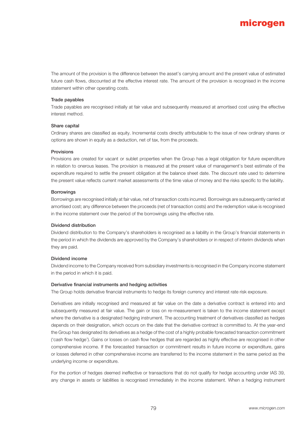

The amount of the provision is the difference between the asset's carrying amount and the present value of estimated future cash flows, discounted at the effective interest rate. The amount of the provision is recognised in the income statement within other operating costs.

## **Trade payables**

Trade payables are recognised initially at fair value and subsequently measured at amortised cost using the effective interest method.

### **Share capital**

Ordinary shares are classified as equity. Incremental costs directly attributable to the issue of new ordinary shares or options are shown in equity as a deduction, net of tax, from the proceeds.

### **Provisions**

Provisions are created for vacant or sublet properties when the Group has a legal obligation for future expenditure in relation to onerous leases. The provision is measured at the present value of management's best estimate of the expenditure required to settle the present obligation at the balance sheet date. The discount rate used to determine the present value reflects current market assessments of the time value of money and the risks specific to the liability.

### **Borrowings**

Borrowings are recognised initially at fair value, net of transaction costs incurred. Borrowings are subsequently carried at amortised cost; any difference between the proceeds (net of transaction costs) and the redemption value is recognised in the income statement over the period of the borrowings using the effective rate.

### **Dividend distribution**

Dividend distribution to the Company's shareholders is recognised as a liability in the Group's financial statements in the period in which the dividends are approved by the Company's shareholders or in respect of interim dividends when they are paid.

### **Dividend income**

Dividend income to the Company received from subsidiary investments is recognised in the Company income statement in the period in which it is paid.

### **Derivative financial instruments and hedging activities**

The Group holds derivative financial instruments to hedge its foreign currency and interest rate risk exposure.

Derivatives are initially recognised and measured at fair value on the date a derivative contract is entered into and subsequently measured at fair value. The gain or loss on re-measurement is taken to the income statement except where the derivative is a designated hedging instrument. The accounting treatment of derivatives classified as hedges depends on their designation, which occurs on the date that the derivative contract is committed to. At the year-end the Group has designated its derivatives as a hedge of the cost of a highly probable forecasted transaction commitment ('cash flow hedge'). Gains or losses on cash flow hedges that are regarded as highly effective are recognised in other comprehensive income. If the forecasted transaction or commitment results in future income or expenditure, gains or losses deferred in other comprehensive income are transferred to the income statement in the same period as the underlying income or expenditure.

For the portion of hedges deemed ineffective or transactions that do not qualify for hedge accounting under IAS 39, any change in assets or liabilities is recognised immediately in the income statement. When a hedging instrument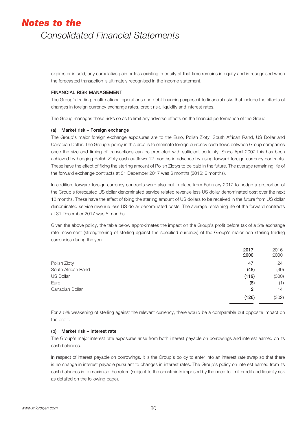expires or is sold, any cumulative gain or loss existing in equity at that time remains in equity and is recognised when the forecasted transaction is ultimately recognised in the income statement.

## **FINANCIAL RISK MANAGEMENT**

The Group's trading, multi-national operations and debt financing expose it to financial risks that include the effects of changes in foreign currency exchange rates, credit risk, liquidity and interest rates.

The Group manages these risks so as to limit any adverse effects on the financial performance of the Group.

## **(a) Market risk – Foreign exchange**

The Group's major foreign exchange exposures are to the Euro, Polish Zloty, South African Rand, US Dollar and Canadian Dollar. The Group's policy in this area is to eliminate foreign currency cash flows between Group companies once the size and timing of transactions can be predicted with sufficient certainty. Since April 2007 this has been achieved by hedging Polish Zloty cash outflows 12 months in advance by using forward foreign currency contracts. These have the effect of fixing the sterling amount of Polish Zlotys to be paid in the future. The average remaining life of the forward exchange contracts at 31 December 2017 was 6 months (2016: 6 months).

In addition, forward foreign currency contracts were also put in place from February 2017 to hedge a proportion of the Group's forecasted US dollar denominated service related revenue less US dollar denominated cost over the next 12 months. These have the effect of fixing the sterling amount of US dollars to be received in the future from US dollar denominated service revenue less US dollar denominated costs. The average remaining life of the forward contracts at 31 December 2017 was 5 months.

Given the above policy, the table below approximates the impact on the Group's profit before tax of a 5% exchange rate movement (strengthening of sterling against the specified currency) of the Group's major non sterling trading currencies during the year.

|                    | 2017<br>£000   | 2016<br>£000 |
|--------------------|----------------|--------------|
| Polish Zloty       | 47             | 24           |
| South African Rand | (48)           | (39)         |
| <b>US Dollar</b>   | (119)          | (300)        |
| Euro               | (8)            | (1)          |
| Canadian Dollar    | $\overline{2}$ | 14           |
|                    | (126)          | (302)        |

For a 5% weakening of sterling against the relevant currency, there would be a comparable but opposite impact on the profit.

## **(b) Market risk – Interest rate**

The Group's major interest rate exposures arise from both interest payable on borrowings and interest earned on its cash balances.

In respect of interest payable on borrowings, it is the Group's policy to enter into an interest rate swap so that there is no change in interest payable pursuant to changes in interest rates. The Group's policy on interest earned from its cash balances is to maximise the return (subject to the constraints imposed by the need to limit credit and liquidity risk as detailed on the following page).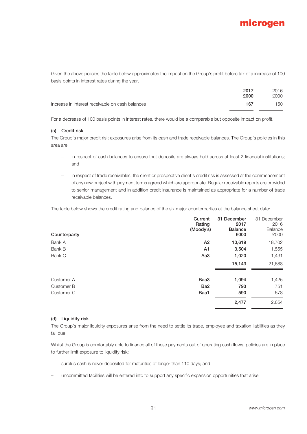

Given the above policies the table below approximates the impact on the Group's profit before tax of a increase of 100 basis points in interest rates during the year.

| 2017                                                    | 2016 |
|---------------------------------------------------------|------|
| £000                                                    | £000 |
| 167<br>Increase in interest receivable on cash balances | 150  |

For a decrease of 100 basis points in interest rates, there would be a comparable but opposite impact on profit.

## **(c) Credit risk**

The Group's major credit risk exposures arise from its cash and trade receivable balances. The Group's policies in this area are:

- in respect of cash balances to ensure that deposits are always held across at least 2 financial institutions; and
- in respect of trade receivables, the client or prospective client's credit risk is assessed at the commencement of any new project with payment terms agreed which are appropriate. Regular receivable reports are provided to senior management and in addition credit insurance is maintained as appropriate for a number of trade receivable balances.

The table below shows the credit rating and balance of the six major counterparties at the balance sheet date:

| Counterparty | Current<br>Rating<br>(Moody's) | 31 December<br>2017<br><b>Balance</b><br>£000 | 31 December<br>2016<br>Balance<br>£000 |
|--------------|--------------------------------|-----------------------------------------------|----------------------------------------|
| Bank A       | A <sub>2</sub>                 | 10,619                                        | 18,702                                 |
| Bank B       | A1                             | 3,504                                         | 1,555                                  |
| Bank C       | Aa <sub>3</sub>                | 1,020                                         | 1,431                                  |
|              |                                | 15,143                                        | 21,688                                 |
| Customer A   | Baa3                           | 1,094                                         | 1,425                                  |
| Customer B   | Ba <sub>2</sub>                | 793                                           | 751                                    |
| Customer C   | Baa1                           | 590                                           | 678                                    |
|              |                                | 2,477                                         | 2,854                                  |

## **(d) Liquidity risk**

The Group's major liquidity exposures arise from the need to settle its trade, employee and taxation liabilities as they fall due.

Whilst the Group is comfortably able to finance all of these payments out of operating cash flows, policies are in place to further limit exposure to liquidity risk:

- surplus cash is never deposited for maturities of longer than 110 days; and
- uncommitted facilities will be entered into to support any specific expansion opportunities that arise.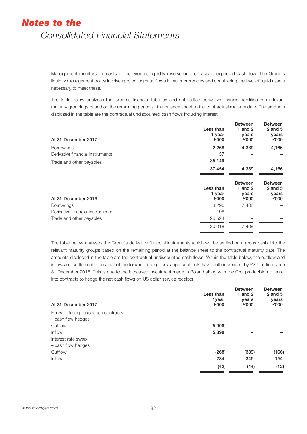Management monitors forecasts of the Group's liquidity reserve on the basis of expected cash flow. The Group's liquidity management policy involves projecting cash flows in major currencies and considering the level of liquid assets necessary to meet these.

The table below analyses the Group's financial liabilities and net-settled derivative financial liabilities into relevant maturity groupings based on the remaining period at the balance sheet to the contractual maturity date. The amounts disclosed in the table are the contractual undiscounted cash flows including interest.

|                                  | Less than<br>1 year         | <b>Between</b><br>1 and $2$<br>years       | <b>Between</b><br>2 and $5$<br>years         |
|----------------------------------|-----------------------------|--------------------------------------------|----------------------------------------------|
| At 31 December 2017              | £000                        | £000                                       | £000                                         |
| <b>Borrowings</b>                | 2,268                       | 4,389                                      | 4,166                                        |
| Derivative financial instruments | 37                          |                                            |                                              |
| Trade and other payables         | 35,149                      |                                            |                                              |
|                                  | 37,454                      | 4,389                                      | 4,166                                        |
|                                  |                             |                                            |                                              |
| At 31 December 2016              | Less than<br>1 year<br>£000 | <b>Between</b><br>1 and 2<br>years<br>£000 | <b>Between</b><br>2 and $5$<br>years<br>£000 |
| <b>Borrowings</b>                | 3,296                       | 7,408                                      |                                              |
| Derivative financial instruments | 198                         |                                            |                                              |
| Trade and other payables         | 26,524                      |                                            |                                              |
|                                  | 30,018                      | 7,408                                      |                                              |
|                                  |                             |                                            |                                              |

The table below analyses the Group's derivative financial instruments which will be settled on a gross basis into the relevant maturity groups based on the remaining period at the balance sheet to the contractual maturity date. The amounts disclosed in the table are the contractual undiscounted cash flows. Within the table below, the outflow and inflows on settlement in respect of the forward foreign exchange contracts have both increased by £2.1 million since 31 December 2016. This is due to the increased investment made in Poland along with the Groups decision to enter into contracts to hedge the net cash flows on US dollar service receipts.

| At 31 December 2017                | Less than<br>1year<br>£000 | <b>Between</b><br>1 and $2$<br>years<br>£000 | <b>Between</b><br>$2$ and $5$<br>years<br>£000 |
|------------------------------------|----------------------------|----------------------------------------------|------------------------------------------------|
| Forward foreign exchange contracts |                            |                                              |                                                |
| - cash flow hedges                 |                            |                                              |                                                |
| Outflow                            | (5,906)                    |                                              |                                                |
| Inflow                             | 5,898                      |                                              |                                                |
| Interest rate swap                 |                            |                                              |                                                |
| - cash flow hedges                 |                            |                                              |                                                |
| Outflow                            | (268)                      | (389)                                        | (166)                                          |
| Inflow                             | 234                        | 345                                          | 154                                            |
|                                    | (42)                       | (44)                                         | (12)                                           |
|                                    |                            |                                              |                                                |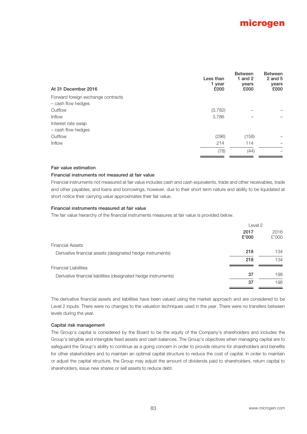

| At 31 December 2016                | Less than<br>1 year<br>£000 | <b>Between</b><br>1 and $2$<br>years<br>£000 | <b>Between</b><br>$2$ and $5$<br>years<br>£000 |
|------------------------------------|-----------------------------|----------------------------------------------|------------------------------------------------|
| Forward foreign exchange contracts |                             |                                              |                                                |
| - cash flow hedges                 |                             |                                              |                                                |
| Outflow                            | (3,782)                     |                                              |                                                |
| Inflow                             | 3,786                       |                                              |                                                |
| Interest rate swap                 |                             |                                              |                                                |
| - cash flow hedges                 |                             |                                              |                                                |
| Outflow                            | (296)                       | (158)                                        |                                                |
| Inflow                             | 214                         | 114                                          |                                                |
|                                    | (78)                        | (44)                                         |                                                |
|                                    |                             |                                              |                                                |

## **Fair value estimation**

### **Financial instruments not measured at fair value**

Financial instruments not measured at fair value includes cash and cash equivalents, trade and other receivables, trade and other payables, and loans and borrowings, however, due to their short term nature and ability to be liquidated at short notice their carrying value approximates their fair value.

#### **Financial instruments measured at fair value**

The fair value hierarchy of the financial instruments measures at fair value is provided below.

|                                                                 | Level 2       |               |
|-----------------------------------------------------------------|---------------|---------------|
|                                                                 | 2017<br>£'000 | 2016<br>£'000 |
| <b>Financial Assets</b>                                         |               |               |
| Derivative financial assets (designated hedge instruments)      | 218           | 134           |
|                                                                 | 218           | 134           |
| <b>Financial Liabilities</b>                                    |               |               |
| Derivative financial liabilities (designated hedge instruments) | 37            | 198           |
|                                                                 | 37            | 198           |

The derivative financial assets and liabilities have been valued using the market approach and are considered to be Level 2 inputs. There were no changes to the valuation techniques used in the year. There were no transfers between levels during the year.

### **Capital risk management**

The Group's capital is considered by the Board to be the equity of the Company's shareholders and includes the Group's tangible and intangible fixed assets and cash balances. The Group's objectives when managing capital are to safeguard the Group's ability to continue as a going concern in order to provide returns for shareholders and benefits for other stakeholders and to maintain an optimal capital structure to reduce the cost of capital. In order to maintain or adjust the capital structure, the Group may adjust the amount of dividends paid to shareholders, return capital to shareholders, issue new shares or sell assets to reduce debt.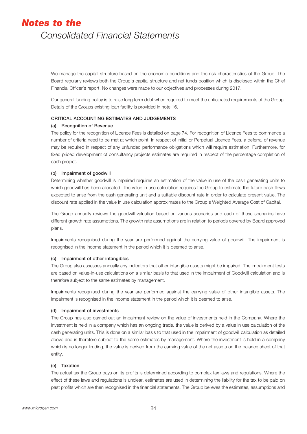We manage the capital structure based on the economic conditions and the risk characteristics of the Group. The Board regularly reviews both the Group's capital structure and net funds position which is disclosed within the Chief Financial Officer's report. No changes were made to our objectives and processes during 2017.

Our general funding policy is to raise long term debt when required to meet the anticipated requirements of the Group. Details of the Groups existing loan facility is provided in note 16.

## **CRITICAL ACCOUNTING ESTIMATES AND JUDGEMENTS**

### **(a) Recognition of Revenue**

The policy for the recognition of Licence Fees is detailed on page 74. For recognition of Licence Fees to commence a number of criteria need to be met at which point, in respect of Initial or Perpetual Licence Fees, a deferral of revenue may be required in respect of any unfunded performance obligations which will require estimation. Furthermore, for fixed priced development of consultancy projects estimates are required in respect of the percentage completion of each project.

## **(b) Impairment of goodwill**

Determining whether goodwill is impaired requires an estimation of the value in use of the cash generating units to which goodwill has been allocated. The value in use calculation requires the Group to estimate the future cash flows expected to arise from the cash generating unit and a suitable discount rate in order to calculate present value. The discount rate applied in the value in use calculation approximates to the Group's Weighted Average Cost of Capital.

The Group annually reviews the goodwill valuation based on various scenarios and each of these scenarios have different growth rate assumptions. The growth rate assumptions are in relation to periods covered by Board approved plans.

Impairments recognised during the year are performed against the carrying value of goodwill. The impairment is recognised in the income statement in the period which it is deemed to arise.

### **(c) Impairment of other intangibles**

The Group also assesses annually any indicators that other intangible assets might be impaired. The impairment tests are based on value-in-use calculations on a similar basis to that used in the impairment of Goodwill calculation and is therefore subject to the same estimates by management.

Impairments recognised during the year are performed against the carrying value of other intangible assets. The impairment is recognised in the income statement in the period which it is deemed to arise.

### **(d) Impairment of investments**

The Group has also carried out an impairment review on the value of investments held in the Company. Where the investment is held in a company which has an ongoing trade, the value is derived by a value in use calculation of the cash generating units. This is done on a similar basis to that used in the impairment of goodwill calculation as detailed above and is therefore subject to the same estimates by management. Where the investment is held in a company which is no longer trading, the value is derived from the carrying value of the net assets on the balance sheet of that entity.

## **(e) Taxation**

The actual tax the Group pays on its profits is determined according to complex tax laws and regulations. Where the effect of these laws and regulations is unclear, estimates are used in determining the liability for the tax to be paid on past profits which are then recognised in the financial statements. The Group believes the estimates, assumptions and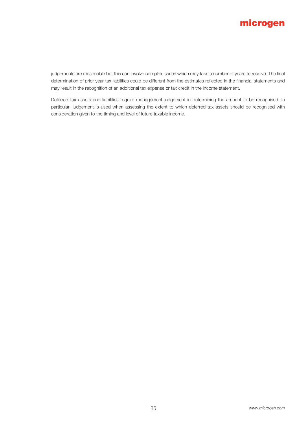judgements are reasonable but this can involve complex issues which may take a number of years to resolve. The final determination of prior year tax liabilities could be different from the estimates reflected in the financial statements and may result in the recognition of an additional tax expense or tax credit in the income statement.

Deferred tax assets and liabilities require management judgement in determining the amount to be recognised. In particular, judgement is used when assessing the extent to which deferred tax assets should be recognised with consideration given to the timing and level of future taxable income.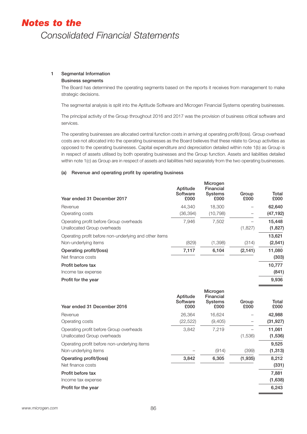## **1 Segmental Information**

## **Business segments**

The Board has determined the operating segments based on the reports it receives from management to make strategic decisions.

The segmental analysis is split into the Aptitude Software and Microgen Financial Systems operating businesses.

The principal activity of the Group throughout 2016 and 2017 was the provision of business critical software and services.

The operating businesses are allocated central function costs in arriving at operating profit/(loss). Group overhead costs are not allocated into the operating businesses as the Board believes that these relate to Group activities as opposed to the operating businesses. Capital expenditure and depreciation detailed within note 1(b) as Group is in respect of assets utilised by both operating businesses and the Group function. Assets and liabilities detailed within note 1(c) as Group are in respect of assets and liabilities held separately from the two operating businesses.

## **(a) Revenue and operating profit by operating business**

| Year ended 31 December 2017                            | Aptitude<br>Software<br>£000 | Microgen<br>Financial<br><b>Systems</b><br>£000 | Group<br>£000 | Total<br>£000 |
|--------------------------------------------------------|------------------------------|-------------------------------------------------|---------------|---------------|
| Revenue                                                | 44,340                       | 18,300                                          |               | 62,640        |
| Operating costs                                        | (36, 394)                    | (10, 798)                                       |               | (47, 192)     |
| Operating profit before Group overheads                | 7,946                        | 7,502                                           |               | 15,448        |
| Unallocated Group overheads                            |                              |                                                 | (1,827)       | (1,827)       |
| Operating profit before non-underlying and other items |                              |                                                 |               | 13,621        |
| Non-underlying items                                   | (829)                        | (1,398)                                         | (314)         | (2, 541)      |
| Operating profit/(loss)                                | 7,117                        | 6,104                                           | (2, 141)      | 11,080        |
| Net finance costs                                      |                              |                                                 |               | (303)         |
| Profit before tax                                      |                              |                                                 |               | 10,777        |
| Income tax expense                                     |                              |                                                 |               | (841)         |
| Profit for the year                                    |                              |                                                 |               | 9,936         |
| Year ended 31 December 2016                            | Aptitude<br>Software<br>£000 | Microgen<br>Financial<br><b>Systems</b><br>£000 | Group<br>£000 | Total<br>£000 |
| Revenue                                                | 26,364                       | 16,624                                          |               | 42,988        |
| Operating costs                                        | (22, 522)                    | (9,405)                                         |               | (31, 927)     |
| Operating profit before Group overheads                | 3,842                        | 7,219                                           |               | 11,061        |
| Unallocated Group overheads                            |                              |                                                 | (1,536)       | (1, 536)      |
| Operating profit before non-underlying items           |                              |                                                 |               | 9,525         |
| Non-underlying items                                   |                              | (914)                                           | (399)         | (1, 313)      |
| Operating profit/(loss)                                | 3,842                        | 6,305                                           | (1, 935)      | 8,212         |
| Net finance costs                                      |                              |                                                 |               | (331)         |
| Profit before tax                                      |                              |                                                 |               | 7,881         |
| Income tax expense                                     |                              |                                                 |               | (1,638)       |
| Profit for the year                                    |                              |                                                 |               |               |
|                                                        |                              |                                                 |               | 6,243         |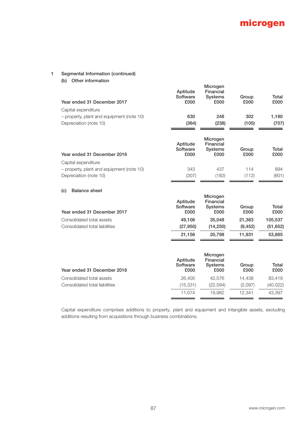## **1 Segmental Information (continued)**

 **(b) Other information**

| Year ended 31 December 2017                                                                | Aptitude<br>Software<br>£000 | Microgen<br>Financial<br><b>Systems</b><br>£000 | Group<br>£000 | Total<br>£000  |
|--------------------------------------------------------------------------------------------|------------------------------|-------------------------------------------------|---------------|----------------|
| Capital expenditure<br>- property, plant and equipment (note 10)<br>Depreciation (note 10) | 630<br>(364)                 | 248<br>(238)                                    | 302<br>(105)  | 1,180<br>(707) |
|                                                                                            | Aptitude<br>Software         | Microgen<br>Financial<br><b>Systems</b>         | Group         | Total          |

| Year ended 31 December 2016               | £000  | £000  | £000  | £000  |
|-------------------------------------------|-------|-------|-------|-------|
| Capital expenditure                       |       |       |       |       |
| - property, plant and equipment (note 10) | 343   | 437   | 114   | 894   |
| Depreciation (note 10)                    | (307) | (182) | (112) | (601) |

## **(c) Balance sheet**

| Year ended 31 December 2017    | Aptitude<br>Software<br>£000 | Microgen<br>Financial<br><b>Systems</b><br>£000 | Group<br>£000 | Total<br>£000 |
|--------------------------------|------------------------------|-------------------------------------------------|---------------|---------------|
| Consolidated total assets      | 49.106                       | 35,048                                          | 21.383        | 105,537       |
| Consolidated total liabilities | (27,950)                     | (14,250)                                        | (9, 452)      | (51, 652)     |
|                                | 21.156                       | 20,798                                          | 11.931        | 53,885        |

| Year ended 31 December 2016    | Aptitude<br>Software<br>£000 | Microgen<br>Financial<br><b>Systems</b><br>£000 | Group<br>£000 | Total<br>£000 |
|--------------------------------|------------------------------|-------------------------------------------------|---------------|---------------|
| Consolidated total assets      | 26,405                       | 42.576                                          | 14.438        | 83.419        |
| Consolidated total liabilities | (15,331)                     | (22, 594)                                       | (2,097)       | (40, 022)     |
|                                | 11.074                       | 19.982                                          | 12.341        | 43.397        |

Capital expenditure comprises additions to property, plant and equipment and intangible assets, excluding additions resulting from acquisitions through business combinations.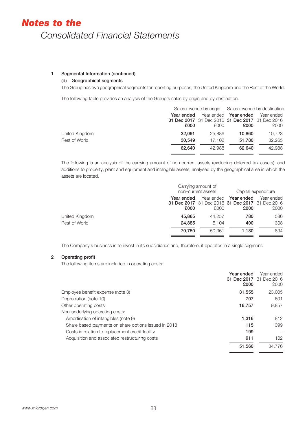## **1 Segmental Information (continued)**

## **(d) Geographical segments**

The Group has two geographical segments for reporting purposes, the United Kingdom and the Rest of the World.

The following table provides an analysis of the Group's sales by origin and by destination.

|                | Sales revenue by origin Sales revenue by destination |                    |                                                                       |                    |  |
|----------------|------------------------------------------------------|--------------------|-----------------------------------------------------------------------|--------------------|--|
|                | Year ended<br>£000                                   | Year ended<br>£000 | Year ended<br>31 Dec 2017 31 Dec 2016 31 Dec 2017 31 Dec 2016<br>£000 | Year ended<br>£000 |  |
| United Kingdom | 32.091                                               | 25,886             | 10,860                                                                | 10.723             |  |
| Rest of World  | 30,549                                               | 17.102             | 51.780                                                                | 32,265             |  |
|                | 62.640                                               | 42.988             | 62,640                                                                | 42.988             |  |

The following is an analysis of the carrying amount of non-current assets (excluding deferred tax assets), and additions to property, plant and equipment and intangible assets, analysed by the geographical area in which the assets are located.

|                |                                                                                             | Carrying amount of<br>non-current assets |                    | Capital expenditure |  |
|----------------|---------------------------------------------------------------------------------------------|------------------------------------------|--------------------|---------------------|--|
|                | Year ended<br>Year ended<br>31 Dec 2017 31 Dec 2016 31 Dec 2017 31 Dec 2016<br>£000<br>£000 |                                          | Year ended<br>£000 | Year ended<br>£000  |  |
| United Kingdom | 45,865                                                                                      | 44,257                                   | 780                | 586                 |  |
| Rest of World  | 24,885                                                                                      | 6.104                                    | 400                | 308                 |  |
|                | 70.750                                                                                      | 50,361                                   | 1.180              | 894                 |  |

The Company's business is to invest in its subsidiaries and, therefore, it operates in a single segment.

## **2 Operating profit**

The following items are included in operating costs:

|                                                      | Year ended<br>£000 | Year ended<br>31 Dec 2017 31 Dec 2016<br>£000 |
|------------------------------------------------------|--------------------|-----------------------------------------------|
| Employee benefit expense (note 3)                    | 31,555             | 23,005                                        |
| Depreciation (note 10)                               | 707                | 601                                           |
| Other operating costs                                | 16,757             | 9,857                                         |
| Non-underlying operating costs:                      |                    |                                               |
| Amortisation of intangibles (note 9)                 | 1,316              | 812                                           |
| Share based payments on share options issued in 2013 | 115                | 399                                           |
| Costs in relation to replacement credit facility     | 199                |                                               |
| Acquisition and associated restructuring costs       | 911                | 102                                           |
|                                                      | 51,560             | 34.776                                        |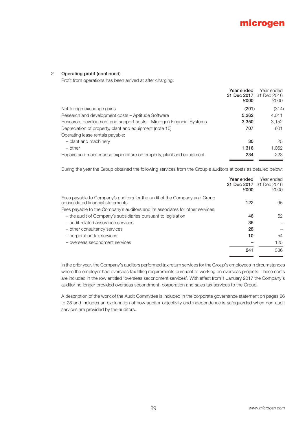## **2 Operating profit (continued)**

Profit from operations has been arrived at after charging:

|                                                                      | Year ended<br>31 Dec 2017 31 Dec 2016<br>£000 | Year ended<br>£000 |
|----------------------------------------------------------------------|-----------------------------------------------|--------------------|
| Net foreign exchange gains                                           | (201)                                         | (314)              |
| Research and development costs – Aptitude Software                   | 5,262                                         | 4,011              |
| Research, development and support costs - Microgen Financial Systems | 3,350                                         | 3,152              |
| Depreciation of property, plant and equipment (note 10)              | 707                                           | 601                |
| Operating lease rentals payable:                                     |                                               |                    |
| - plant and machinery                                                | 30                                            | 25                 |
| - other                                                              | 1.316                                         | 1.062              |
| Repairs and maintenance expenditure on property, plant and equipment | 234                                           | 223                |

During the year the Group obtained the following services from the Group's auditors at costs as detailed below:

|                                                                                                                | Year ended<br>£000 | Year ended<br>31 Dec 2017 31 Dec 2016<br>£000 |
|----------------------------------------------------------------------------------------------------------------|--------------------|-----------------------------------------------|
| Fees payable to Company's auditors for the audit of the Company and Group<br>consolidated financial statements | 122                | 95                                            |
| Fees payable to the Company's auditors and its associates for other services:                                  |                    |                                               |
| - the audit of Company's subsidiaries pursuant to legislation                                                  | 46                 | 62                                            |
| - audit related assurance services                                                                             | 35                 |                                               |
| - other consultancy services                                                                                   | 28                 |                                               |
| - corporation tax services                                                                                     | 10                 | 54                                            |
| - overseas secondment services                                                                                 |                    | 125                                           |
|                                                                                                                | 241                | 336                                           |

In the prior year, the Company's auditors performed tax return services for the Group's employees in circumstances where the employer had overseas tax filling requirements pursuant to working on overseas projects. These costs are included in the row entitled 'overseas secondment services'. With effect from 1 January 2017 the Company's auditor no longer provided overseas secondment, corporation and sales tax services to the Group.

A description of the work of the Audit Committee is included in the corporate governance statement on pages 26 to 28 and includes an explanation of how auditor objectivity and independence is safeguarded when non-audit services are provided by the auditors.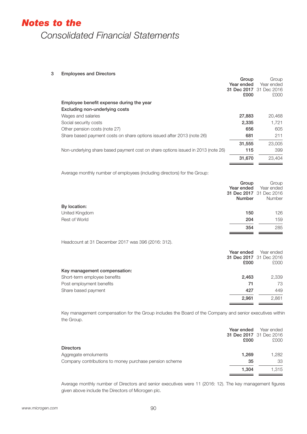## **3 Employees and Directors**

|                                                                                   | Group<br>Year ended<br>31 Dec 2017 31 Dec 2016 | Group<br>Year ended |
|-----------------------------------------------------------------------------------|------------------------------------------------|---------------------|
|                                                                                   | £000                                           | £000                |
| Employee benefit expense during the year                                          |                                                |                     |
| Excluding non-underlying costs                                                    |                                                |                     |
| Wages and salaries                                                                | 27,883                                         | 20,468              |
| Social security costs                                                             | 2,335                                          | 1.721               |
| Other pension costs (note 27)                                                     | 656                                            | 605                 |
| Share based payment costs on share options issued after 2013 (note 26)            | 681                                            | 211                 |
|                                                                                   | 31,555                                         | 23,005              |
| Non-underlying share based payment cost on share options issued in 2013 (note 26) | 115                                            | 399                 |
|                                                                                   | 31,670                                         | 23,404              |
|                                                                                   |                                                |                     |

Average monthly number of employees (including directors) for the Group:

|                                                    | Group         | Group                   |
|----------------------------------------------------|---------------|-------------------------|
|                                                    | Year ended    | Year ended              |
|                                                    |               | 31 Dec 2017 31 Dec 2016 |
|                                                    | <b>Number</b> | Number                  |
| By location:                                       |               |                         |
| United Kingdom                                     | 150           | 126                     |
| <b>Rest of World</b>                               | 204           | 159                     |
|                                                    | 354           | 285                     |
|                                                    |               |                         |
| Headcount at 31 December 2017 was 396 (2016: 312). |               |                         |
|                                                    | Year ended    | Year ended              |
|                                                    |               | 31 Dec 2017 31 Dec 2016 |
|                                                    | £000          | £000                    |
| Key management compensation:                       |               |                         |
| Short-term employee benefits                       | 2,463         | 2,339                   |
| Post employment benefits                           | 71            | 73                      |
| Share based payment                                | 427           | 449                     |

Key management compensation for the Group includes the Board of the Company and senior executives within the Group.

**2,961** 2,861

|                                                        | Year ended<br>£000 | Year ended<br>31 Dec 2017 31 Dec 2016<br>£000 |
|--------------------------------------------------------|--------------------|-----------------------------------------------|
| <b>Directors</b>                                       |                    |                                               |
| Aggregate emoluments                                   | 1.269              | 1.282                                         |
| Company contributions to money purchase pension scheme | 35                 | 33                                            |
|                                                        | 1.304              | 1.315                                         |

Average monthly number of Directors and senior executives were 11 (2016: 12). The key management figures given above include the Directors of Microgen plc.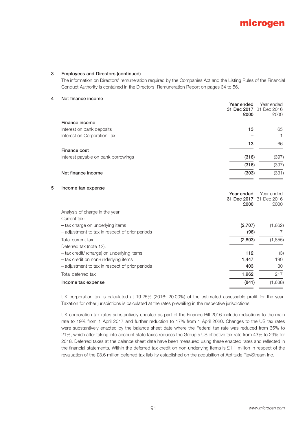## **3 Employees and Directors (continued)**

The information on Directors' remuneration required by the Companies Act and the Listing Rules of the Financial Conduct Authority is contained in the Directors' Remuneration Report on pages 34 to 56.

### **4 Net finance income**

| 13                                |                                   |
|-----------------------------------|-----------------------------------|
|                                   |                                   |
|                                   | 65                                |
|                                   | -1                                |
| 13                                | 66                                |
|                                   |                                   |
| (316)                             | (397)                             |
| (316)                             | (397)                             |
| (303)                             | (331)                             |
|                                   |                                   |
| Year ended<br>31 Dec 2017<br>£000 | Year ended<br>31 Dec 2016<br>£000 |
|                                   |                                   |
|                                   |                                   |
| (2,707)                           | (1,862)                           |
| (96)                              | 7                                 |
| (2,803)                           | (1,855)                           |
|                                   |                                   |
|                                   | (3)                               |
|                                   | 190                               |
|                                   | 30                                |
|                                   | 217                               |
| (841)                             | (1,638)                           |
|                                   | 112<br>1,447<br>403<br>1,962      |

UK corporation tax is calculated at 19.25% (2016: 20.00%) of the estimated assessable profit for the year. Taxation for other jurisdictions is calculated at the rates prevailing in the respective jurisdictions.

UK corporation tax rates substantively enacted as part of the Finance Bill 2016 include reductions to the main rate to 19% from 1 April 2017 and further reduction to 17% from 1 April 2020. Changes to the US tax rates were substantively enacted by the balance sheet date where the Federal tax rate was reduced from 35% to 21%, which after taking into account state taxes reduces the Group's US effective tax rate from 43% to 29% for 2018. Deferred taxes at the balance sheet date have been measured using these enacted rates and reflected in the financial statements. Within the deferred tax credit on non-underlying items is £1.1 million in respect of the revaluation of the £3.6 million deferred tax liability established on the acquisition of Aptitude RevStream Inc.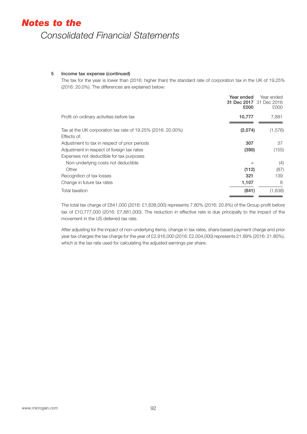## **5 Income tax expense (continued)**

The tax for the year is lower than (2016: higher than) the standard rate of corporation tax in the UK of 19.25% (2016: 20.0%). The differences are explained below:

|                                                                            | Year ended<br>£000 | Year ended<br><b>31 Dec 2017</b> 31 Dec 2016<br>£000 |
|----------------------------------------------------------------------------|--------------------|------------------------------------------------------|
| Profit on ordinary activities before tax                                   | 10,777             | 7,881                                                |
| Tax at the UK corporation tax rate of 19.25% (2016: 20.00%)<br>Effects of: | (2,074)            | (1,576)                                              |
| Adjustment to tax in respect of prior periods                              | 307                | 37                                                   |
| Adjustment in respect of foreign tax rates                                 | (390)              | (155)                                                |
| Expenses not deductible for tax purposes                                   |                    |                                                      |
| Non-underlying costs not deductible                                        |                    | (4)                                                  |
| Other                                                                      | (112)              | (87)                                                 |
| Recognition of tax losses                                                  | 321                | 139                                                  |
| Change in future tax rates                                                 | 1,107              | 8                                                    |
| Total taxation                                                             | (841)              | (1,638)                                              |

The total tax charge of £841,000 (2016: £1,638,000) represents 7.80% (2016: 20.8%) of the Group profit before tax of £10,777,000 (2016: £7,881,000). The reduction in effective rate is due principally to the impact of the movement in the US deferred tax rate.

After adjusting for the impact of non-underlying items, change in tax rates, share based payment charge and prior year tax charges the tax charge for the year of £2,916,000 (2016: £2,004,000) represents 21.89% (2016: 21.80%), which is the tax rate used for calculating the adjusted earnings per share.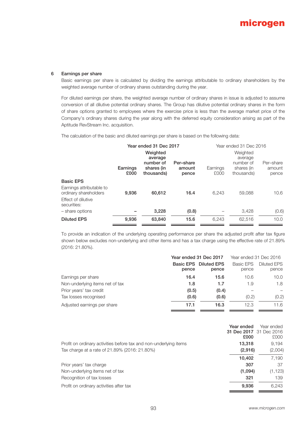## **6 Earnings per share**

Basic earnings per share is calculated by dividing the earnings attributable to ordinary shareholders by the weighted average number of ordinary shares outstanding during the year.

For diluted earnings per share, the weighted average number of ordinary shares in issue is adjusted to assume conversion of all dilutive potential ordinary shares. The Group has dilutive potential ordinary shares in the form of share options granted to employees where the exercise price is less than the average market price of the Company's ordinary shares during the year along with the deferred equity consideration arising as part of the Aptitude RevStream Inc. acquisition.

The calculation of the basic and diluted earnings per share is based on the following data:

|                                                   | Year ended 31 Dec 2017 |                                                              | Year ended 31 Dec 2016       |                  |                                                              |                              |
|---------------------------------------------------|------------------------|--------------------------------------------------------------|------------------------------|------------------|--------------------------------------------------------------|------------------------------|
|                                                   | Earnings<br>£000       | Weighted<br>average<br>number of<br>shares (in<br>thousands) | Per-share<br>amount<br>pence | Earnings<br>£000 | Weighted<br>average<br>number of<br>shares (in<br>thousands) | Per-share<br>amount<br>pence |
| <b>Basic EPS</b>                                  |                        |                                                              |                              |                  |                                                              |                              |
| Earnings attributable to<br>ordinary shareholders | 9.936                  | 60.612                                                       | 16.4                         | 6.243            | 59.088                                                       | 10.6                         |
| Effect of dilutive<br>securities:                 |                        |                                                              |                              |                  |                                                              |                              |
| - share options                                   |                        | 3,228                                                        | (0.8)                        |                  | 3,428                                                        | (0.6)                        |
| <b>Diluted EPS</b>                                | 9,936                  | 63,840                                                       | 15.6                         | 6.243            | 62,516                                                       | 10.0                         |

To provide an indication of the underlying operating performance per share the adjusted profit after tax figure shown below excludes non-underlying and other items and has a tax charge using the effective rate of 21.89% (2016: 21.80%).

|                                 | Year ended 31 Dec 2017<br>Year ended 31 Dec 2016 |                             |                           |                      |
|---------------------------------|--------------------------------------------------|-----------------------------|---------------------------|----------------------|
|                                 | <b>Basic EPS</b><br>pence                        | <b>Diluted EPS</b><br>pence | <b>Basic EPS</b><br>pence | Diluted EPS<br>pence |
| Earnings per share              | 16.4                                             | 15.6                        | 10.6                      | 10.0                 |
| Non-underlying items net of tax | 1.8                                              | 1.7                         | 1.9                       | 1.8                  |
| Prior years' tax credit         | (0.5)                                            | (0.4)                       |                           |                      |
| Tax losses recognised           | (0.6)                                            | (0.6)                       | (0.2)                     | (0.2)                |
| Adjusted earnings per share     | 17.1                                             | 16.3                        | 12.3                      | 11.6                 |

|                                                                   | Year ended<br>£000 | Year ended<br>31 Dec 2017 31 Dec 2016<br>£000 |
|-------------------------------------------------------------------|--------------------|-----------------------------------------------|
| Profit on ordinary activities before tax and non-underlying items | 13,318             | 9.194                                         |
| Tax charge at a rate of 21.89% (2016: 21.80%)                     | (2,916)            | (2,004)                                       |
|                                                                   | 10,402             | 7.190                                         |
| Prior years' tax charge                                           | 307                | 37                                            |
| Non-underlying items net of tax                                   | (1,094)            | (1, 123)                                      |
| Recognition of tax losses                                         | 321                | 139                                           |
| Profit on ordinary activities after tax                           | 9.936              | 6.243                                         |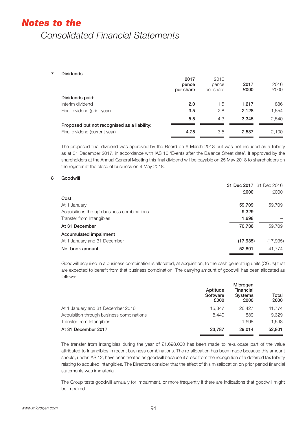## **7 Dividends**

|                                             | 2017<br>pence<br>per share | 2016<br>pence<br>per share | 2017<br>£000 | 2016<br>£000 |
|---------------------------------------------|----------------------------|----------------------------|--------------|--------------|
| Dividends paid:                             |                            |                            |              |              |
| Interim dividend                            | 2.0                        | 1.5                        | 1,217        | 886          |
| Final dividend (prior year)                 | 3.5                        | 2.8                        | 2.128        | 1,654        |
|                                             | 5.5                        | 4.3                        | 3.345        | 2,540        |
| Proposed but not recognised as a liability: |                            |                            |              |              |
| Final dividend (current year)               | 4.25                       | 3.5                        | 2,587        | 2,100        |

The proposed final dividend was approved by the Board on 6 March 2018 but was not included as a liability as at 31 December 2017, in accordance with IAS 10 'Events after the Balance Sheet date'. If approved by the shareholders at the Annual General Meeting this final dividend will be payable on 25 May 2018 to shareholders on the register at the close of business on 4 May 2018.

## **8 Goodwill**

|                                            |           | 31 Dec 2017 31 Dec 2016 |
|--------------------------------------------|-----------|-------------------------|
|                                            | £000      | £000                    |
| Cost                                       |           |                         |
| At 1 January                               | 59,709    | 59.709                  |
| Acquisitions through business combinations | 9,329     |                         |
| Transfer from Intangibles                  | 1,698     |                         |
| At 31 December                             | 70,736    | 59,709                  |
| Accumulated impairment                     |           |                         |
| At 1 January and 31 December               | (17, 935) | (17, 935)               |
| Net book amount                            | 52,801    | 41,774                  |

Goodwill acquired in a business combination is allocated, at acquisition, to the cash generating units (CGUs) that are expected to benefit from that business combination. The carrying amount of goodwill has been allocated as follows:

|                                           | Aptitude<br>Software<br>£000 | Microgen<br>Financial<br><b>Systems</b><br>£000 | Total<br>£000 |
|-------------------------------------------|------------------------------|-------------------------------------------------|---------------|
| At 1 January and 31 December 2016         | 15.347                       | 26.427                                          | 41.774        |
| Acquisition through business combinations | 8.440                        | 889                                             | 9.329         |
| Transfer from Intangibles                 |                              | 1.698                                           | 1.698         |
| At 31 December 2017                       | 23,787                       | 29,014                                          | 52,801        |

The transfer from Intangibles during the year of £1,698,000 has been made to re-allocate part of the value attributed to Intangibles in recent business combinations. The re-allocation has been made because this amount should, under IAS 12, have been treated as goodwill because it arose from the recognition of a deferred tax liability relating to acquired Intangibles. The Directors consider that the effect of this misallocation on prior period financial statements was immaterial.

The Group tests goodwill annually for impairment, or more frequently if there are indications that goodwill might be impaired.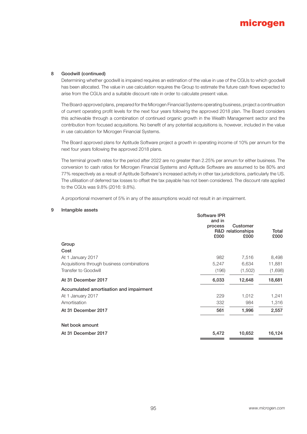## **8 Goodwill (continued)**

Determining whether goodwill is impaired requires an estimation of the value in use of the CGUs to which goodwill has been allocated. The value in use calculation requires the Group to estimate the future cash flows expected to arise from the CGUs and a suitable discount rate in order to calculate present value.

The Board-approved plans, prepared for the Microgen Financial Systems operating business, project a continuation of current operating profit levels for the next four years following the approved 2018 plan. The Board considers this achievable through a combination of continued organic growth in the Wealth Management sector and the contribution from focused acquisitions. No benefit of any potential acquisitions is, however, included in the value in use calculation for Microgen Financial Systems.

The Board approved plans for Aptitude Software project a growth in operating income of 10% per annum for the next four years following the approved 2018 plans.

The terminal growth rates for the period after 2022 are no greater than 2.25% per annum for either business. The conversion to cash ratios for Microgen Financial Systems and Aptitude Software are assumed to be 80% and 77% respectively as a result of Aptitude Software's increased activity in other tax jurisdictions, particularly the US. The utilisation of deferred tax losses to offset the tax payable has not been considered. The discount rate applied to the CGUs was 9.8% (2016: 9.8%).

A proportional movement of 5% in any of the assumptions would not result in an impairment.

#### **9 Intangible assets**

|                                            | Software IPR<br>and in<br>process<br>£000 | Customer<br>R&D relationships<br>£000 | Total<br>£000 |
|--------------------------------------------|-------------------------------------------|---------------------------------------|---------------|
| Group                                      |                                           |                                       |               |
| Cost                                       |                                           |                                       |               |
| At 1 January 2017                          | 982                                       | 7,516                                 | 8,498         |
| Acquisitions through business combinations | 5,247                                     | 6,634                                 | 11,881        |
| Transfer to Goodwill                       | (196)                                     | (1,502)                               | (1,698)       |
| At 31 December 2017                        | 6,033                                     | 12,648                                | 18,681        |
| Accumulated amortisation and impairment    |                                           |                                       |               |
| At 1 January 2017                          | 229                                       | 1,012                                 | 1,241         |
| Amortisation                               | 332                                       | 984                                   | 1,316         |
| At 31 December 2017                        | 561                                       | 1,996                                 | 2,557         |
| Net book amount                            |                                           |                                       |               |
| At 31 December 2017                        | 5,472                                     | 10,652                                | 16,124        |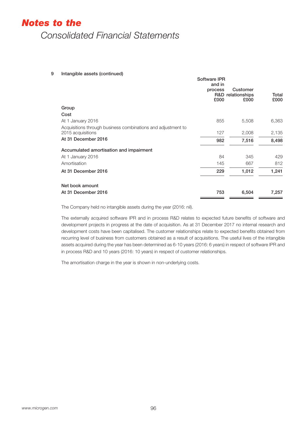## **9 Intangible assets (continued)**

|                                                                                   | <b>Software IPR</b><br>and in<br>process<br>£000 | Customer<br>R&D relationships<br>£000 | Total<br>£000 |
|-----------------------------------------------------------------------------------|--------------------------------------------------|---------------------------------------|---------------|
| Group                                                                             |                                                  |                                       |               |
| Cost                                                                              |                                                  |                                       |               |
| At 1 January 2016                                                                 | 855                                              | 5,508                                 | 6,363         |
| Acquisitions through business combinations and adjustment to<br>2015 acquisitions | 127                                              | 2,008                                 | 2,135         |
| At 31 December 2016                                                               | 982                                              | 7,516                                 | 8,498         |
| Accumulated amortisation and impairment                                           |                                                  |                                       |               |
| At 1 January 2016                                                                 | 84                                               | 345                                   | 429           |
| Amortisation                                                                      | 145                                              | 667                                   | 812           |
| At 31 December 2016                                                               | 229                                              | 1,012                                 | 1,241         |
| Net book amount                                                                   |                                                  |                                       |               |
| At 31 December 2016                                                               | 753                                              | 6,504                                 | 7,257         |

The Company held no intangible assets during the year (2016: nil).

The externally acquired software IPR and in process R&D relates to expected future benefits of software and development projects in progress at the date of acquisition. As at 31 December 2017 no internal research and development costs have been capitalised. The customer relationships relate to expected benefits obtained from recurring level of business from customers obtained as a result of acquisitions. The useful lives of the intangible assets acquired during the year has been determined as 6-10 years (2016: 6 years) in respect of software IPR and in process R&D and 10 years (2016: 10 years) in respect of customer relationships.

The amortisation charge in the year is shown in non-underlying costs.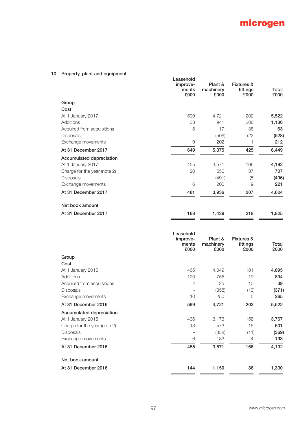## **10 Property, plant and equipment**

|                              | Leasehold<br>improve-<br>ments<br>£000 | Plant &<br>machinery<br>£000 | <b>Fixtures &amp;</b><br>fittings<br>£000 | Total<br>£000 |
|------------------------------|----------------------------------------|------------------------------|-------------------------------------------|---------------|
| Group                        |                                        |                              |                                           |               |
| Cost                         |                                        |                              |                                           |               |
| At 1 January 2017            | 599                                    | 4,721                        | 202                                       | 5,522         |
| Additions                    | 33                                     | 941                          | 206                                       | 1,180         |
| Acquired from acquisitions   | 8                                      | 17                           | 38                                        | 63            |
| <b>Disposals</b>             |                                        | (506)                        | (22)                                      | (528)         |
| Exchange movements           | 9                                      | 202                          | 1                                         | 212           |
| At 31 December 2017          | 649                                    | 5,375                        | 425                                       | 6,449         |
| Accumulated depreciation     |                                        |                              |                                           |               |
| At 1 January 2017            | 455                                    | 3,571                        | 166                                       | 4,192         |
| Charge for the year (note 2) | 20                                     | 650                          | 37                                        | 707           |
| <b>Disposals</b>             |                                        | (491)                        | (5)                                       | (496)         |
| Exchange movements           | 6                                      | 206                          | 9                                         | 221           |
| At 31 December 2017          | 481                                    | 3,936                        | 207                                       | 4,624         |
| Net book amount              |                                        |                              |                                           |               |
| At 31 December 2017          | 168                                    | 1,439                        | 218                                       | 1,825         |

|                              | Leasehold<br>improve-<br>ments<br>£000 | Plant &<br>machinery<br>£000 | <b>Fixtures &amp;</b><br>fittings<br>£000 | Total<br>£000 |
|------------------------------|----------------------------------------|------------------------------|-------------------------------------------|---------------|
| Group                        |                                        |                              |                                           |               |
| Cost                         |                                        |                              |                                           |               |
| At 1 January 2016            | 465                                    | 4,049                        | 181                                       | 4,695         |
| Additions                    | 120                                    | 755                          | 19                                        | 894           |
| Acquired from acquisitions   | 4                                      | 25                           | 10                                        | 39            |
| <b>Disposals</b>             |                                        | (358)                        | (13)                                      | (371)         |
| Exchange movements           | 10                                     | 250                          | 5                                         | 265           |
| At 31 December 2016          | 599                                    | 4,721                        | 202                                       | 5,522         |
| Accumulated depreciation     |                                        |                              |                                           |               |
| At 1 January 2016            | 436                                    | 3,173                        | 158                                       | 3,767         |
| Charge for the year (note 2) | 13                                     | 573                          | 15                                        | 601           |
| <b>Disposals</b>             |                                        | (358)                        | (11)                                      | (369)         |
| Exchange movements           | 6                                      | 183                          | 4                                         | 193           |
| At 31 December 2016          | 455                                    | 3,571                        | 166                                       | 4,192         |
| Net book amount              |                                        |                              |                                           |               |
| At 31 December 2016          | 144                                    | 1,150                        | 36                                        | 1,330         |
|                              |                                        |                              |                                           |               |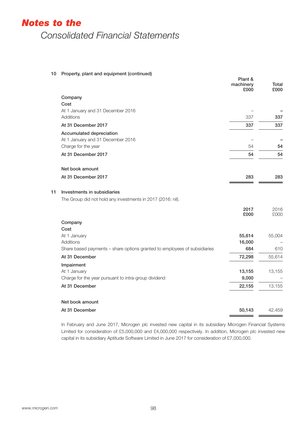## **10 Property, plant and equipment (continued)**

|    | <b>Tropolly, plant and equipment (commaca)</b>                                         | Plant &<br>machinery<br>£000 | Total<br>£000 |
|----|----------------------------------------------------------------------------------------|------------------------------|---------------|
|    | Company                                                                                |                              |               |
|    | Cost                                                                                   |                              |               |
|    | At 1 January and 31 December 2016<br><b>Additions</b>                                  | 337                          | 337           |
|    |                                                                                        | 337                          | 337           |
|    | At 31 December 2017                                                                    |                              |               |
|    | Accumulated depreciation<br>At 1 January and 31 December 2016                          |                              |               |
|    | Charge for the year                                                                    | 54                           | 54            |
|    | At 31 December 2017                                                                    | 54                           | 54            |
|    | Net book amount                                                                        |                              |               |
|    | At 31 December 2017                                                                    | 283                          | 283           |
| 11 | Investments in subsidiaries                                                            |                              |               |
|    | The Group did not hold any investments in 2017 (2016: nil).                            |                              |               |
|    |                                                                                        | 2017<br>£000                 | 2016<br>£000  |
|    | Company                                                                                |                              |               |
|    | Cost                                                                                   |                              |               |
|    | At 1 January                                                                           | 55,614                       | 55,004        |
|    | Additions<br>Share based payments - share options granted to employees of subsidiaries | 16,000<br>684                | 610           |
|    | At 31 December                                                                         | 72,298                       | 55,614        |
|    | Impairment                                                                             |                              |               |
|    | At 1 January                                                                           | 13,155                       | 13,155        |
|    | Charge for the year pursuant to intra-group dividend                                   | 9,000                        |               |
|    | At 31 December                                                                         | 22,155                       | 13,155        |
|    | Net book amount                                                                        |                              |               |
|    | At 31 December                                                                         | 50,143                       | 42,459        |

In February and June 2017, Microgen plc invested new capital in its subsidiary Microgen Financial Systems Limited for consideration of £5,000,000 and £4,000,000 respectively. In addition, Microgen plc invested new capital in its subsidiary Aptitude Software Limited in June 2017 for consideration of £7,000,000.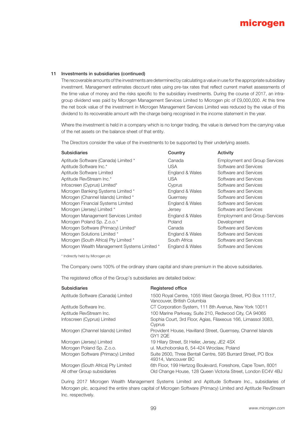## **11 Investments in subsidiaries (continued)**

The recoverable amounts of the investments are determined by calculating a value in use for the appropriate subsidiary investment. Management estimates discount rates using pre-tax rates that reflect current market assessments of the time value of money and the risks specific to the subsidiary investments. During the course of 2017, an intragroup dividend was paid by Microgen Management Services Limited to Microgen plc of £9,000,000. At this time the net book value of the investment in Microgen Management Services Limited was reduced by the value of this dividend to its recoverable amount with the charge being recognised in the income statement in the year.

Where the investment is held in a company which is no longer trading, the value is derived from the carrying value of the net assets on the balance sheet of that entity.

The Directors consider the value of the investments to be supported by their underlying assets.

| <b>Subsidiaries</b>                          | Country         | Activity                             |
|----------------------------------------------|-----------------|--------------------------------------|
| Aptitude Software (Canada) Limited *         | Canada          | <b>Employment and Group Services</b> |
| Aptitude Software Inc.*                      | USA.            | Software and Services                |
| Aptitude Software Limited                    | England & Wales | Software and Services                |
| Aptitude RevStream Inc.*                     | <b>USA</b>      | Software and Services                |
| Infoscreen (Cyprus) Limited*                 | Cyprus          | Software and Services                |
| Microgen Banking Systems Limited *           | England & Wales | Software and Services                |
| Microgen (Channel Islands) Limited *         | Guernsey        | Software and Services                |
| Microgen Financial Systems Limited           | England & Wales | Software and Services                |
| Microgen (Jersey) Limited *                  | Jersey          | Software and Services                |
| Microgen Management Services Limited         | England & Wales | <b>Employment and Group Services</b> |
| Microgen Poland Sp. Z.o.o.*                  | Poland          | Development                          |
| Microgen Software (Primacy) Limited*         | Canada          | Software and Services                |
| Microgen Solutions Limited *                 | England & Wales | Software and Services                |
| Microgen (South Africa) Pty Limited *        | South Africa    | Software and Services                |
| Microgen Wealth Management Systems Limited * | England & Wales | Software and Services                |

\* Indirectly held by Microgen plc

The Company owns 100% of the ordinary share capital and share premium in the above subsidiaries.

The registered office of the Group's subsidiaries are detailed below:

| <b>Subsidiaries</b>                                                 | <b>Registered office</b>                                                                                                     |
|---------------------------------------------------------------------|------------------------------------------------------------------------------------------------------------------------------|
| Aptitude Software (Canada) Limited                                  | 1500 Royal Centre, 1055 West Georgia Street, PO Box 11117,<br>Vancouver, British Columbia                                    |
| Aptitude Software Inc.                                              | CT Corporation System, 111 8th Avenue, New York 10011                                                                        |
| Aptitude RevStream Inc.                                             | 100 Marine Parkway, Suite 210, Redwood City, CA 94065                                                                        |
| Infoscreen (Cyprus) Limited                                         | Sophia Court, 3rd Floor, Agias, Filaxeous 166, Limassol 3083,<br>Cyprus                                                      |
| Microgen (Channel Islands) Limited                                  | Provident House, Havilland Street, Guernsey, Channel Islands<br>GY1 20E                                                      |
| Microgen (Jersey) Limited                                           | 19 Hilary Street, St Helier, Jersey, JE2 4SX                                                                                 |
| Microgen Poland Sp. Z.o.o.                                          | ul. Muchoborska 6, 54-424 Wroclaw, Poland                                                                                    |
| Microgen Software (Primacy) Limited                                 | Suite 2600, Three Bentall Centre, 595 Burrard Street, PO Box<br>49314, Vancouver BC                                          |
| Microgen (South Africa) Pty Limited<br>All other Group subsidiaries | 6th Floor, 199 Hertzog Boulevard, Foreshore, Cape Town, 8001<br>Old Change House, 128 Queen Victoria Street, London EC4V 4BJ |
|                                                                     |                                                                                                                              |

During 2017 Microgen Wealth Management Systems Limited and Aptitude Software Inc., subsidiaries of Microgen plc, acquired the entire share capital of Microgen Software (Primacy) Limited and Aptitude RevStream Inc. respectively.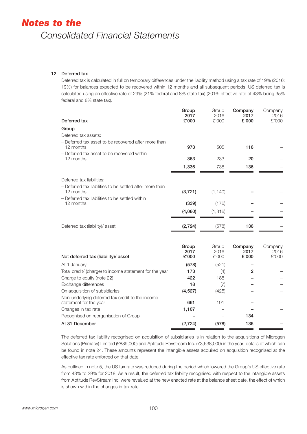## **12 Deferred tax**

Deferred tax is calculated in full on temporary differences under the liability method using a tax rate of 19% (2016: 19%) for balances expected to be recovered within 12 months and all subsequent periods. US deferred tax is calculated using an effective rate of 29% (21% federal and 8% state tax) (2016: effective rate of 43% being 35% federal and 8% state tax).

|                                                                                    | Group<br>2017 | Group<br>2016 | Company<br>2017 | Company<br>2016 |
|------------------------------------------------------------------------------------|---------------|---------------|-----------------|-----------------|
| Deferred tax                                                                       | £'000         | £'000         | £'000           | £'000           |
| Group                                                                              |               |               |                 |                 |
| Deferred tax assets:                                                               |               |               |                 |                 |
| - Deferred tax asset to be recovered after more than<br>12 months                  | 973           | 505           | 116             |                 |
| - Deferred tax asset to be recovered within<br>12 months                           | 363           | 233           | 20              |                 |
|                                                                                    | 1,336         | 738           | 136             |                 |
| Deferred tax liabilities:                                                          |               |               |                 |                 |
| - Deferred tax liabilities to be settled after more than<br>12 months              | (3,721)       | (1, 140)      |                 |                 |
| - Deferred tax liabilities to be settled within<br>12 months                       | (339)         | (176)         |                 |                 |
|                                                                                    | (4,060)       | (1, 316)      |                 |                 |
| Deferred tax (liability)/ asset                                                    | (2, 724)      | (578)         | 136             |                 |
|                                                                                    | Group         | Group         | Company         | Company         |
| Net deferred tax (liability)/ asset                                                | 2017<br>£'000 | 2016<br>£'000 | 2017<br>£'000   | 2016<br>£'000   |
| At 1 January                                                                       | (578)         | (521)         |                 |                 |
| Total credit/ (charge) to income statement for the year                            | 173           | (4)           | 2               |                 |
| Charge to equity (note 22)                                                         | 422           | 188           |                 |                 |
| Exchange differences                                                               | 18            | (7)           |                 |                 |
| On acquisition of subsidiaries<br>Non-underlying deferred tax credit to the income | (4, 527)      | (425)         |                 |                 |
| statement for the year                                                             | 661           | 191           |                 |                 |
| Changes in tax rate                                                                | 1,107         |               |                 |                 |
| Recognised on reorganisation of Group                                              |               |               | 134             |                 |
| At 31 December                                                                     | (2, 724)      | (578)         | 136             |                 |

The deferred tax liability recognised on acquisition of subsidiaries is in relation to the acquisitions of Microgen Solutions (Primacy) Limited (£889,000) and Aptitude Revstream Inc. (£3,638,000) in the year, details of which can be found in note 24. These amounts represent the intangible assets acquired on acquisition recognised at the effective tax rate enforced on that date.

As outlined in note 5, the US tax rate was reduced during the period which lowered the Group's US effective rate from 43% to 29% for 2018. As a result, the deferred tax liability recognised with respect to the intangible assets from Aptitude RevStream Inc. were revalued at the new enacted rate at the balance sheet date, the effect of which is shown within the changes in tax rate.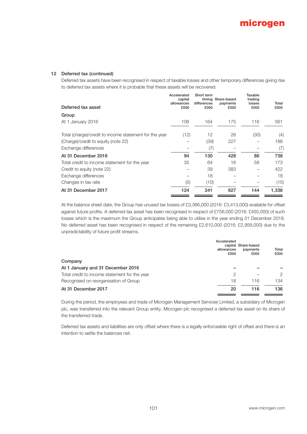## **12 Deferred tax (continued)**

Deferred tax assets have been recognised in respect of taxable losses and other temporary differences giving rise to deferred tax assets where it is probable that these assets will be recovered.

| Deferred tax asset                                     | Accelerated<br>capital<br>allowances<br>£000 | Short term<br>differences<br>£000 | timing Share-based<br>payments<br>£000 | Taxable<br>trading<br>losses<br>£000 | Total<br>£000 |
|--------------------------------------------------------|----------------------------------------------|-----------------------------------|----------------------------------------|--------------------------------------|---------------|
| Group                                                  |                                              |                                   |                                        |                                      |               |
| At 1 January 2016                                      | 106                                          | 164                               | 175                                    | 116                                  | 561           |
| Total (charge)/credit to income statement for the year | (12)                                         | 12                                | 26                                     | (30)                                 | (4)           |
| (Charge)/credit to equity (note 22)                    |                                              | (39)                              | 227                                    |                                      | 188           |
| Exchange differences                                   |                                              | (7)                               |                                        |                                      | (7)           |
| At 31 December 2016                                    | 94                                           | 130                               | 428                                    | 86                                   | 738           |
| Total credit to income statement for the year          | 35                                           | 64                                | 16                                     | 58                                   | 173           |
| Credit to equity (note 22)                             |                                              | 39                                | 383                                    |                                      | 422           |
| Exchange differences                                   |                                              | 18                                |                                        |                                      | 18            |
| Changes in tax rate                                    | (5)                                          | (10)                              |                                        |                                      | (15)          |
| At 31 December 2017                                    | 124                                          | 241                               | 827                                    | 144                                  | 1,336         |

At the balance sheet date, the Group has unused tax losses of £3,366,000 (2016: £3,413,000) available for offset against future profits. A deferred tax asset has been recognised in respect of £756,000 (2016: £455,000) of such losses which is the maximum the Group anticipates being able to utilise in the year ending 31 December 2018. No deferred asset has been recognised in respect of the remaining £2,610,000 (2016: £2,958,000) due to the unpredictability of future profit streams.

|                                               | Accelerated<br>allowances<br>£000 | capital Share-based<br>payments<br>£000 | Total<br>£000 |
|-----------------------------------------------|-----------------------------------|-----------------------------------------|---------------|
| Company                                       |                                   |                                         |               |
| At 1 January and 31 December 2016             |                                   |                                         |               |
| Total credit to income statement for the year | 2                                 |                                         | $\mathcal{P}$ |
| Recognised on reorganisation of Group         | 18                                | 116                                     | 134           |
| At 31 December 2017                           | 20                                | 116                                     | 136           |

During the period, the employees and trade of Microgen Management Services Limited, a subsidiary of Microgen plc, was transferred into the relevant Group entity. Microgen plc recognised a deferred tax asset on its share of the transferred trade.

Deferred tax assets and liabilities are only offset where there is a legally enforceable right of offset and there is an intention to settle the balances net.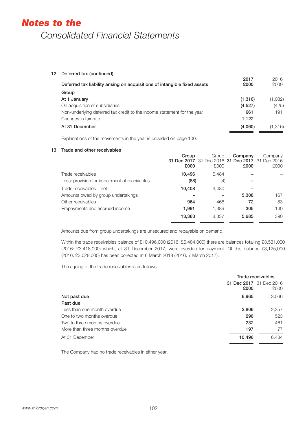## **12 Deferred tax (continued)**

|                                                                           | 2017    | 2016    |
|---------------------------------------------------------------------------|---------|---------|
| Deferred tax liability arising on acquisitions of intangible fixed assets | £000    | £000    |
| Group                                                                     |         |         |
| At 1 January                                                              | (1,316) | (1,082) |
| On acquisition of subsidiaries                                            | (4,527) | (425)   |
| Non-underlying deferred tax credit to the income statement for the year   | 661     | 191     |
| Changes in tax rate                                                       | 1.122   |         |
| At 31 December                                                            | (4,060) | (1,316) |

Explanations of the movements in the year is provided on page 100.

## **13 Trade and other receivables**

|                                               | Group<br>£000 | Group<br>31 Dec 2017 31 Dec 2016 31 Dec 2017 31 Dec 2016<br>£000 | Company<br>£000 | Company<br>£000 |
|-----------------------------------------------|---------------|------------------------------------------------------------------|-----------------|-----------------|
| Trade receivables                             | 10.496        | 6.484                                                            |                 |                 |
| Less: provision for impairment of receivables | (88)          | (4)                                                              |                 |                 |
| Trade receivables - net                       | 10,408        | 6.480                                                            |                 |                 |
| Amounts owed by group undertakings            |               |                                                                  | 5,308           | 167             |
| Other receivables                             | 964           | 468                                                              | 72              | 83              |
| Prepayments and accrued income                | 1.991         | 1,389                                                            | 305             | 140             |
|                                               | 13,363        | 8,337                                                            | 5,685           | 390             |

Amounts due from group undertakings are unsecured and repayable on demand.

Within the trade receivables balance of £10,496,000 (2016: £6,484,000) there are balances totalling £3,531,000 (2016: £3,418,000) which, at 31 December 2017, were overdue for payment. Of this balance £3,125,000 (2016: £3,028,000) has been collected at 6 March 2018 (2016: 7 March 2017).

The ageing of the trade receivables is as follows:

|                                | Trade receivables |                                        |  |
|--------------------------------|-------------------|----------------------------------------|--|
|                                | £000              | <b>31 Dec 2017</b> 31 Dec 2016<br>£000 |  |
| Not past due                   | 6,965             | 3,066                                  |  |
| Past due                       |                   |                                        |  |
| Less than one month overdue    | 2,806             | 2,357                                  |  |
| One to two months overdue      | 296               | 523                                    |  |
| Two to three months overdue    | 232               | 461                                    |  |
| More than three months overdue | 197               | 77                                     |  |
| At 31 December                 | 10,496            | 6,484                                  |  |

The Company had no trade receivables in either year.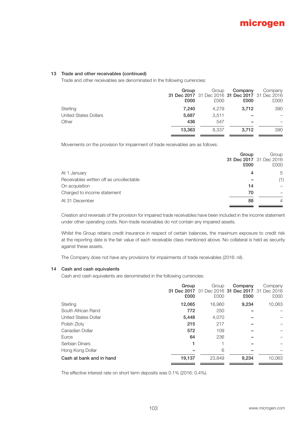## **13 Trade and other receivables (continued)**

Trade and other receivables are denominated in the following currencies:

| Group  | Group | Company | Company                                         |
|--------|-------|---------|-------------------------------------------------|
|        |       |         |                                                 |
| £000   | £000  | £000    | £000                                            |
| 7.240  | 4.279 | 3.712   | 390                                             |
| 5,687  | 3.511 | -       |                                                 |
| 436    | 547   | -       |                                                 |
| 13.363 | 8.337 | 3.712   | 390                                             |
|        |       |         | 31 Dec 2017 31 Dec 2016 31 Dec 2017 31 Dec 2016 |

Movements on the provision for impairment of trade receivables are as follows:

|                                          | Group<br>£000 | Group<br>31 Dec 2017 31 Dec 2016<br>£000 |
|------------------------------------------|---------------|------------------------------------------|
| At 1 January                             | 4             | 5                                        |
| Receivables written off as uncollectable |               | (1)                                      |
| On acquisition                           | 14            |                                          |
| Charged to income statement              | 70            |                                          |
| At 31 December                           | 88            | 4                                        |

Creation and reversals of the provision for impaired trade receivables have been included in the income statement under other operating costs. Non-trade receivables do not contain any impaired assets.

Whilst the Group retains credit insurance in respect of certain balances, the maximum exposure to credit risk at the reporting date is the fair value of each receivable class mentioned above. No collateral is held as security against these assets.

The Company does not have any provisions for impairments of trade receivables (2016: nil).

#### **14 Cash and cash equivalents**

Cash and cash equivalents are denominated in the following currencies:

|                             | Group<br>£000 | Group<br>£000 | Company<br>31 Dec 2017 31 Dec 2016 31 Dec 2017 31 Dec 2016<br>£000 | Company<br>£000 |
|-----------------------------|---------------|---------------|--------------------------------------------------------------------|-----------------|
| Sterling                    | 12,065        | 18,960        | 9,234                                                              | 10,063          |
| South African Rand          | 772           | 250           |                                                                    |                 |
| <b>United States Dollar</b> | 5.448         | 4,070         |                                                                    |                 |
| Polish Zloty                | 215           | 217           |                                                                    |                 |
| Canadian Dollar             | 572           | 109           |                                                                    |                 |
| Euros                       | 64            | 236           |                                                                    |                 |
| Serbian Dinars              |               |               |                                                                    |                 |
| Hong Kong Dollar            |               | 6             |                                                                    |                 |
| Cash at bank and in hand    | 19,137        | 23,849        | 9,234                                                              | 10,063          |

The effective interest rate on short term deposits was 0.1% (2016: 0.4%).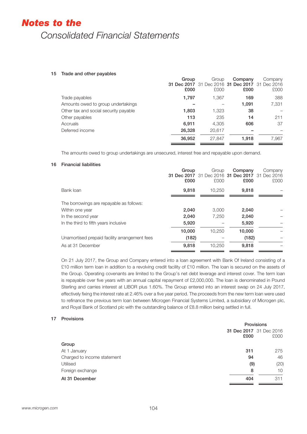## **15 Trade and other payables**

|                                       | Group  | Group<br>31 Dec 2017 31 Dec 2016 31 Dec 2017 31 Dec 2016 | Company | Company |
|---------------------------------------|--------|----------------------------------------------------------|---------|---------|
|                                       | £000   | £000                                                     | £000    | £000    |
| Trade payables                        | 1.797  | 1,367                                                    | 169     | 388     |
| Amounts owed to group undertakings    |        |                                                          | 1.091   | 7.331   |
| Other tax and social security payable | 1,803  | 1,323                                                    | 38      |         |
| Other payables                        | 113    | 235                                                      | 14      | 211     |
| Accruals                              | 6.911  | 4.305                                                    | 606     | 37      |
| Deferred income                       | 26,328 | 20,617                                                   |         |         |
|                                       | 36,952 | 27,847                                                   | 1.918   | 7,967   |

The amounts owed to group undertakings are unsecured, interest free and repayable upon demand.

### **16 Financial liabilities**

| Group  | Group  | Company | Company                                         |
|--------|--------|---------|-------------------------------------------------|
|        |        |         |                                                 |
| £000   | £000   | £000    | £000                                            |
| 9.818  | 10.250 | 9,818   |                                                 |
|        |        |         |                                                 |
|        |        |         |                                                 |
| 2,040  | 3.000  | 2,040   |                                                 |
| 2,040  | 7,250  | 2,040   |                                                 |
| 5,920  |        | 5,920   |                                                 |
| 10,000 | 10.250 | 10,000  |                                                 |
|        |        | (182)   |                                                 |
| 9,818  | 10.250 | 9,818   |                                                 |
|        |        | (182)   | 31 Dec 2017 31 Dec 2016 31 Dec 2017 31 Dec 2016 |

On 21 July 2017, the Group and Company entered into a loan agreement with Bank Of Ireland consisting of a £10 million term loan in addition to a revolving credit facility of £10 million. The loan is secured on the assets of the Group. Operating covenants are limited to the Group's net debt leverage and interest cover. The term loan is repayable over five years with an annual capital repayment of £2,000,000. The loan is denominated in Pound Sterling and carries interest at LIBOR plus 1.60%. The Group entered into an interest swap on 24 July 2017, effectively fixing the interest rate at 2.46% over a five year period. The proceeds from the new term loan were used to refinance the previous term loan between Microgen Financial Systems Limited, a subsidiary of Microgen plc, and Royal Bank of Scotland plc with the outstanding balance of £8.8 million being settled in full.

## **17 Provisions**

|                             |                         | Provisions |
|-----------------------------|-------------------------|------------|
|                             | 31 Dec 2017 31 Dec 2016 |            |
|                             | £000                    | £000       |
| Group                       |                         |            |
| At 1 January                | 311                     | 275        |
| Charged to income statement | 94                      | 46         |
| Utilised                    | (9)                     | (20)       |
| Foreign exchange            | 8                       | 10         |
| At 31 December              | 404                     | 311        |
|                             |                         |            |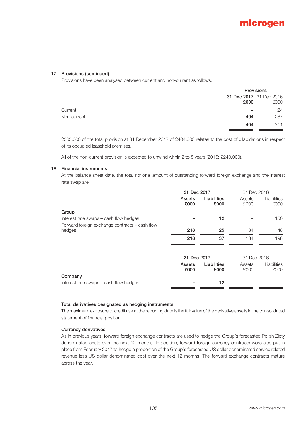

### **17 Provisions (continued)**

Provisions have been analysed between current and non-current as follows:

|             |                                 | <b>Provisions</b> |  |
|-------------|---------------------------------|-------------------|--|
|             | 31 Dec 2017 31 Dec 2016<br>£000 | £000              |  |
| Current     | -                               | 24                |  |
| Non-current | 404                             | 287               |  |
|             | 404                             | 311               |  |

£365,000 of the total provision at 31 December 2017 of £404,000 relates to the cost of dilapidations in respect of its occupied leasehold premises.

All of the non-current provision is expected to unwind within 2 to 5 years (2016: £240,000).

### **18 Financial instruments**

At the balance sheet date, the total notional amount of outstanding forward foreign exchange and the interest rate swap are:

|                                                | 31 Dec 2017    |                     | 31 Dec 2016    |                            |  |
|------------------------------------------------|----------------|---------------------|----------------|----------------------------|--|
|                                                | Assets<br>£000 | Liabilities<br>£000 | Assets<br>£000 | <b>Liabilities</b><br>£000 |  |
| Group                                          |                |                     |                |                            |  |
| Interest rate swaps – cash flow hedges         |                | 12                  |                | 150                        |  |
| Forward foreign exchange contracts – cash flow |                |                     |                |                            |  |
| hedges                                         | 218            | 25                  | 134            | 48                         |  |
|                                                | 218            | 37                  | 134            | 198                        |  |
|                                                | 31 Dec 2017    |                     |                | 31 Dec 2016                |  |
|                                                | Assets<br>£000 | Liabilities<br>£000 | Assets<br>£000 | <b>Liabilities</b><br>£000 |  |
| Company                                        |                |                     |                |                            |  |
| Interest rate swaps – cash flow hedges         |                | 12                  |                |                            |  |

#### **Total derivatives designated as hedging instruments**

The maximum exposure to credit risk at the reporting date is the fair value of the derivative assets in the consolidated statement of financial position.

### **Currency derivatives**

As in previous years, forward foreign exchange contracts are used to hedge the Group's forecasted Polish Zloty denominated costs over the next 12 months. In addition, forward foreign currency contracts were also put in place from February 2017 to hedge a proportion of the Group's forecasted US dollar denominated service related revenue less US dollar denominated cost over the next 12 months. The forward exchange contracts mature across the year.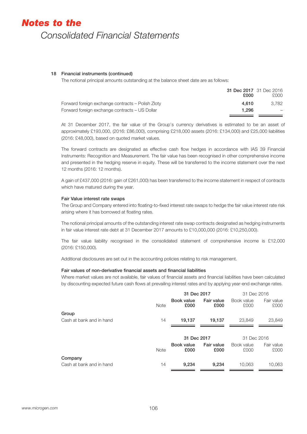## **18 Financial instruments (continued)**

The notional principal amounts outstanding at the balance sheet date are as follows:

|                                                   |       | 31 Dec 2017 31 Dec 2016 |
|---------------------------------------------------|-------|-------------------------|
|                                                   | £000  | £000                    |
| Forward foreign exchange contracts – Polish Zloty | 4.610 | 3.782                   |
| Forward foreign exchange contracts – US Dollar    | 1.296 |                         |

At 31 December 2017, the fair value of the Group's currency derivatives is estimated to be an asset of approximately £193,000, (2016: £86,000), comprising £218,000 assets (2016: £134,000) and £25,000 liabilities (2016: £48,000), based on quoted market values.

The forward contracts are designated as effective cash flow hedges in accordance with IAS 39 Financial Instruments: Recognition and Measurement. The fair value has been recognised in other comprehensive income and presented in the hedging reserve in equity. These will be transferred to the income statement over the next 12 months (2016: 12 months).

A gain of £437,000 (2016: gain of £261,000) has been transferred to the income statement in respect of contracts which have matured during the year.

#### **Fair Value interest rate swaps**

The Group and Company entered into floating-to-fixed interest rate swaps to hedge the fair value interest rate risk arising where it has borrowed at floating rates.

The notional principal amounts of the outstanding interest rate swap contracts designated as hedging instruments in fair value interest rate debt at 31 December 2017 amounts to £10,000,000 (2016: £10,250,000).

The fair value liability recognised in the consolidated statement of comprehensive income is £12,000 (2016: £150,000).

Additional disclosures are set out in the accounting policies relating to risk management.

#### **Fair values of non-derivative financial assets and financial liabilities**

Where market values are not available, fair values of financial assets and financial liabilities have been calculated by discounting expected future cash flows at prevailing interest rates and by applying year-end exchange rates.

|                          | 31 Dec 2017 |                    |                    | 31 Dec 2016        |                    |
|--------------------------|-------------|--------------------|--------------------|--------------------|--------------------|
|                          | <b>Note</b> | Book value<br>£000 | Fair value<br>£000 | Book value<br>£000 | Fair value<br>£000 |
| Group                    |             |                    |                    |                    |                    |
| Cash at bank and in hand | 14          | 19,137             | 19,137             | 23,849             | 23,849             |
|                          |             |                    |                    |                    |                    |
|                          |             | 31 Dec 2017        |                    | 31 Dec 2016        |                    |
|                          | <b>Note</b> | Book value<br>£000 | Fair value<br>£000 | Book value<br>£000 | Fair value<br>£000 |
| Company                  |             |                    |                    |                    |                    |
| Cash at bank and in hand | 14          | 9,234              | 9,234              | 10,063             | 10,063             |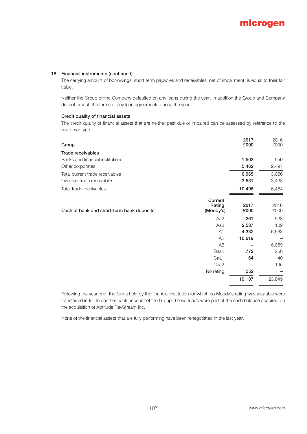### **18 Financial instruments (continued)**

The carrying amount of borrowings, short term payables and receivables, net of impairment, is equal to their fair value.

Neither the Group or the Company defaulted on any loans during the year. In addition the Group and Company did not breach the terms of any loan agreements during the year.

### **Credit quality of financial assets**

The credit quality of financial assets that are neither past due or impaired can be assessed by reference to the customer type.

| Group                                                                       | 2017<br>£000 | 2016<br>£000 |
|-----------------------------------------------------------------------------|--------------|--------------|
| <b>Trade receivables</b>                                                    |              |              |
| Banks and financial institutions                                            | 1,503        | 559          |
| Other corporates                                                            | 5,462        | 2,497        |
| Total current trade receivables                                             | 6,965        | 3,056        |
| Overdue trade receivables                                                   | 3,531        | 3,428        |
| Total trade receivables                                                     | 10,496       | 6,484        |
| Current<br>Rating<br>Cash at bank and short-term bank deposits<br>(Moody's) | 2017<br>£000 | 2016<br>£000 |
| Aa2                                                                         | 261          | 523          |
| Aa3                                                                         | 2,537        | 109          |
| A1                                                                          | 4,332        | 6,663        |
| A2                                                                          | 10,619       |              |
| A <sub>3</sub>                                                              |              | 16,069       |
| Baa2                                                                        | 772          | 250          |
| Caa1                                                                        | 64           | 40           |
| Caa <sub>2</sub>                                                            |              | 195          |
| No rating                                                                   | 552          |              |
|                                                                             | 19,137       | 23,849       |

Following the year end, the funds held by the financial institution for which no Moody's rating was available were transferred in full to another bank account of the Group. These funds were part of the cash balance acquired on the acquisition of Aptitude RevStream Inc.

None of the financial assets that are fully performing have been renegotiated in the last year.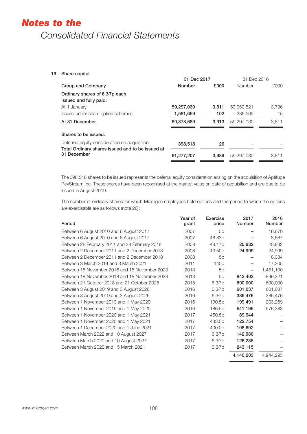| 19 | Share capital                                    |             |       |             |       |
|----|--------------------------------------------------|-------------|-------|-------------|-------|
|    |                                                  | 31 Dec 2017 |       | 31 Dec 2016 |       |
|    | Group and Company                                | Number      | £000  | Number      | £000  |
|    | Ordinary shares of 6 3/7p each                   |             |       |             |       |
|    | Issued and fully paid:                           |             |       |             |       |
|    | At 1 January                                     | 59,297,030  | 3,811 | 59,060,521  | 3.796 |
|    | Issued under share option schemes                | 1,581,659   | 102   | 236,509     | 15    |
|    | At 31 December                                   | 60,878,689  | 3.913 | 59,297,030  | 3.811 |
|    | Shares to be issued:                             |             |       |             |       |
|    | Deferred equity consideration on acquisition     | 398,518     | 26    |             |       |
|    | Total Ordinary shares issued and to be issued at |             |       |             |       |
|    | 31 December                                      | 61,277,207  | 3.939 | 59.297.030  | 3.811 |
|    |                                                  |             |       |             |       |

The 398,518 shares to be issued represents the deferral equity consideration arising on the acquisition of Aptitude RevStream Inc. These shares have been recognised at the market value on date of acquisition and are due to be issued in August 2019.

The number of ordinary shares for which Microgen employees hold options and the period to which the options are exercisable are as follows (note 26):

|                                               | Year of | Exercise         | 2017          | 2016          |
|-----------------------------------------------|---------|------------------|---------------|---------------|
| Period                                        | grant   | price            | <b>Number</b> | <b>Number</b> |
| Between 6 August 2010 and 6 August 2017       | 2007    | 5p               |               | 16,670        |
| Between 6 August 2010 and 6 August 2017       | 2007    | 46.83p           |               | 8,667         |
| Between 28 February 2011 and 28 February 2018 | 2008    | 48.17p           | 20,832        | 20,832        |
| Between 2 December 2011 and 2 December 2018   | 2008    | 43.50p           | 24,999        | 24,999        |
| Between 2 December 2011 and 2 December 2018   | 2008    | 5p               |               | 18,334        |
| Between 3 March 2014 and 3 March 2021         | 2011    | 140 <sub>p</sub> |               | 17,205        |
| Between 18 November 2016 and 18 November 2023 | 2013    | 5p               |               | 1,481,100     |
| Between 18 November 2018 and 18 November 2023 | 2013    | 5p               | 842,403       | 899,321       |
| Between 21 October 2018 and 21 October 2025   | 2015    | 63/7p            | 690,000       | 690,000       |
| Between 3 August 2019 and 3 August 2026       | 2016    | 63/7p            | 601,037       | 601,037       |
| Between 3 August 2019 and 3 August 2026       | 2016    | 63/7p            | 386,476       | 386,476       |
| Between 1 November 2019 and 1 May 2020        | 2016    | 190.5p           | 199,491       | 203,269       |
| Between 1 November 2019 and 1 May 2020        | 2016    | 186.5p           | 541,195       | 576,383       |
| Between 1 November 2020 and 1 May 2021        | 2017    | 450.5p           | 89,944        |               |
| Between 1 November 2020 and 1 May 2021        | 2017    | 433.0p           | 122,754       |               |
| Between 1 December 2020 and 1 June 2021       | 2017    | 400.0p           | 108,692       |               |
| Between March 2022 and 10 August 2027         | 2017    | 63/7p            | 142,980       |               |
| Between March 2020 and 10 August 2027         | 2017    | 63/7p            | 126,285       |               |
| Between March 2020 and 15 March 2021          | 2017    | 63/7p            | 243,115       |               |
|                                               |         |                  | 4,140,203     | 4,944,293     |
|                                               |         |                  |               |               |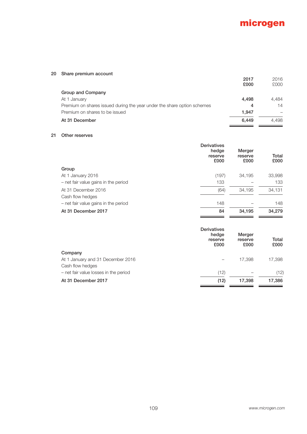# **microgen**

### **20 Share premium account**

|                                                                         | 2017<br>£000 | 2016<br>£000 |
|-------------------------------------------------------------------------|--------------|--------------|
| Group and Company                                                       |              |              |
| At 1 January                                                            | 4.498        | 4.484        |
| Premium on shares issued during the year under the share option schemes | 4            | 14           |
| Premium on shares to be issued                                          | 1.947        |              |
| At 31 December                                                          | 6.449        | 4.498        |

# **21 Other reserves**

|                                      | <b>Derivatives</b><br>hedge<br>reserve<br>£000 | Merger<br>reserve<br>£000 | Total<br>£000 |
|--------------------------------------|------------------------------------------------|---------------------------|---------------|
| Group                                |                                                |                           |               |
| At 1 January 2016                    | (197)                                          | 34,195                    | 33,998        |
| - net fair value gains in the period | 133                                            |                           | 133           |
| At 31 December 2016                  | (64)                                           | 34,195                    | 34,131        |
| Cash flow hedges                     |                                                |                           |               |
| - net fair value gains in the period | 148                                            |                           | 148           |
| At 31 December 2017                  | 84                                             | 34,195                    | 34,279        |

|                                       | <b>Derivatives</b><br>hedge<br>reserve<br>£000 | Merger<br>reserve<br>£000 | Total<br>£000 |
|---------------------------------------|------------------------------------------------|---------------------------|---------------|
| Company                               |                                                |                           |               |
| At 1 January and 31 December 2016     |                                                | 17,398                    | 17,398        |
| Cash flow hedges                      |                                                |                           |               |
| - net fair value losses in the period | (12)                                           |                           | (12)          |
| At 31 December 2017                   | (12)                                           | 17,398                    | 17,386        |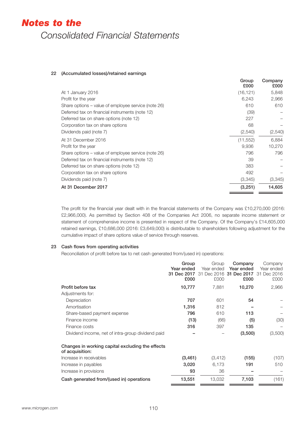### **22 (Accumulated losses)/retained earnings**

|                                                     | Group<br>£000 | Company<br>£000 |
|-----------------------------------------------------|---------------|-----------------|
| At 1 January 2016                                   | (16, 121)     | 5,848           |
| Profit for the year                                 | 6,243         | 2,966           |
| Share options – value of employee service (note 26) | 610           | 610             |
| Deferred tax on financial instruments (note 12)     | (39)          |                 |
| Deferred tax on share options (note 12)             | 227           |                 |
| Corporation tax on share options                    | 68            |                 |
| Dividends paid (note 7)                             | (2,540)       | (2,540)         |
| At 31 December 2016                                 | (11, 552)     | 6,884           |
| Profit for the year                                 | 9,936         | 10,270          |
| Share options – value of employee service (note 26) | 796           | 796             |
| Deferred tax on financial instruments (note 12)     | 39            |                 |
| Deferred tax on share options (note 12)             | 383           |                 |
| Corporation tax on share options                    | 492           |                 |
| Dividends paid (note 7)                             | (3,345)       | (3,345)         |
| At 31 December 2017                                 | (3,251)       | 14,605          |

The profit for the financial year dealt with in the financial statements of the Company was £10,270,000 (2016: £2,966,000). As permitted by Section 408 of the Companies Act 2006, no separate income statement or statement of comprehensive income is presented in respect of the Company. Of the Company's £14,605,000 retained earnings, £10,686,000 (2016: £3,649,000) is distributable to shareholders following adjustment for the cumulative impact of share options value of service through reserves.

#### **23 Cash flows from operating activities**

Reconciliation of profit before tax to net cash generated from/(used in) operations:

|                                                                     | Group<br>Year ended<br>31 Dec 2017 | Group<br>Year ended | Company<br>Year ended<br>31 Dec 2016 31 Dec 2017 | Company<br>Year ended<br>31 Dec 2016 |
|---------------------------------------------------------------------|------------------------------------|---------------------|--------------------------------------------------|--------------------------------------|
|                                                                     | £000                               | £000                | £000                                             | £000                                 |
| Profit before tax                                                   | 10,777                             | 7,881               | 10,270                                           | 2,966                                |
| Adjustments for:                                                    |                                    |                     |                                                  |                                      |
| Depreciation                                                        | 707                                | 601                 | 54                                               |                                      |
| Amortisation                                                        | 1,316                              | 812                 |                                                  |                                      |
| Share-based payment expense                                         | 796                                | 610                 | 113                                              |                                      |
| Finance income                                                      | (13)                               | (66)                | (5)                                              | (30)                                 |
| Finance costs                                                       | 316                                | 397                 | 135                                              |                                      |
| Dividend income, net of intra-group dividend paid                   |                                    |                     | (3,500)                                          | (3,500)                              |
| Changes in working capital excluding the effects<br>of acquisition: |                                    |                     |                                                  |                                      |
| Increase in receivables                                             | (3, 461)                           | (3, 412)            | (155)                                            | (107)                                |
| Increase in payables                                                | 3,020                              | 6,173               | 191                                              | 510                                  |
| Increase in provisions                                              | 93                                 | 36                  |                                                  |                                      |
| Cash generated from/(used in) operations                            | 13,551                             | 13,032              | 7,103                                            | (161)                                |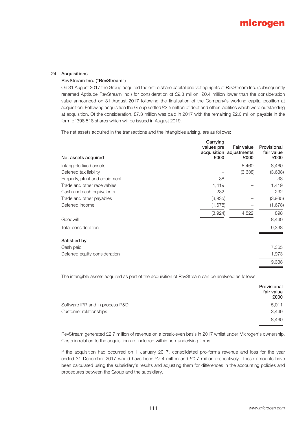# **24 Acquisitions**

# **RevStream Inc. ("RevStream")**

On 31 August 2017 the Group acquired the entire share capital and voting rights of RevStream Inc. (subsequently renamed Aptitude RevStream Inc.) for consideration of £9.3 million, £0.4 million lower than the consideration value announced on 31 August 2017 following the finalisation of the Company's working capital position at acquisition. Following acquisition the Group settled £2.5 million of debt and other liabilities which were outstanding at acquisition. Of the consideration, £7.3 million was paid in 2017 with the remaining £2.0 million payable in the form of 398,518 shares which will be issued in August 2019.

The net assets acquired in the transactions and the intangibles arising, are as follows:

| Carrying<br>values pre<br>£000 | Fair value<br>£000 | Provisional<br>fair value<br>£000  |
|--------------------------------|--------------------|------------------------------------|
|                                | 8,460              | 8,460                              |
|                                | (3,638)            | (3,638)                            |
| 38                             |                    | 38                                 |
| 1,419                          |                    | 1,419                              |
| 232                            |                    | 232                                |
|                                |                    | (3,935)                            |
| (1,678)                        |                    | (1,678)                            |
| (3,924)                        | 4,822              | 898                                |
|                                |                    | 8,440                              |
|                                |                    | 9,338                              |
|                                |                    |                                    |
|                                |                    | 7,365                              |
|                                |                    | 1,973                              |
|                                |                    | 9,338                              |
|                                |                    | acquisition adjustments<br>(3,935) |

The intangible assets acquired as part of the acquisition of RevStream can be analysed as follows:

|                                 | Provisional<br>fair value<br>£000 |
|---------------------------------|-----------------------------------|
| Software IPR and in process R&D | 5,011                             |
| Customer relationships          | 3.449                             |
|                                 | 8.460                             |

RevStream generated £2.7 million of revenue on a break-even basis in 2017 whilst under Microgen's ownership. Costs in relation to the acquisition are included within non-underlying items.

If the acquisition had occurred on 1 January 2017, consolidated pro-forma revenue and loss for the year ended 31 December 2017 would have been £7.4 million and £0.7 million respectively. These amounts have been calculated using the subsidiary's results and adjusting them for differences in the accounting policies and procedures between the Group and the subsidiary.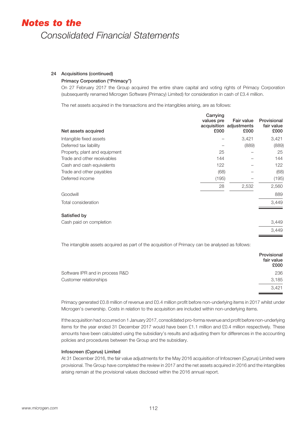### **24 Acquisitions (continued)**

#### **Primacy Corporation ("Primacy")**

On 27 February 2017 the Group acquired the entire share capital and voting rights of Primacy Corporation (subsequently renamed Microgen Software (Primacy) Limited) for consideration in cash of £3.4 million.

The net assets acquired in the transactions and the intangibles arising, are as follows:

| Net assets acquired           | Carrying<br>values pre<br>£000 | Fair value<br>acquisition adjustments<br>£000 | Provisional<br>fair value<br>£000 |
|-------------------------------|--------------------------------|-----------------------------------------------|-----------------------------------|
| Intangible fixed assets       |                                | 3,421                                         | 3,421                             |
| Deferred tax liability        |                                | (889)                                         | (889)                             |
| Property, plant and equipment | 25                             |                                               | 25                                |
| Trade and other receivables   | 144                            |                                               | 144                               |
| Cash and cash equivalents     | 122                            |                                               | 122                               |
| Trade and other payables      | (68)                           |                                               | (68)                              |
| Deferred income               | (195)                          |                                               | (195)                             |
|                               | 28                             | 2,532                                         | 2,560                             |
| Goodwill                      |                                |                                               | 889                               |
| Total consideration           |                                |                                               | 3,449                             |
| Satisfied by                  |                                |                                               |                                   |
| Cash paid on completion       |                                |                                               | 3,449                             |
|                               |                                |                                               | 3,449                             |

The intangible assets acquired as part of the acquisition of Primacy can be analysed as follows:

|                                 | Provisional<br>fair value<br>£000 |
|---------------------------------|-----------------------------------|
| Software IPR and in process R&D | 236                               |
| Customer relationships          | 3,185                             |
|                                 | 3.421                             |

Primacy generated £0.8 million of revenue and £0.4 million profit before non-underlying items in 2017 whilst under Microgen's ownership. Costs in relation to the acquisition are included within non-underlying items.

If the acquisition had occurred on 1 January 2017, consolidated pro-forma revenue and profit before non-underlying items for the year ended 31 December 2017 would have been £1.1 million and £0.4 million respectively. These amounts have been calculated using the subsidiary's results and adjusting them for differences in the accounting policies and procedures between the Group and the subsidiary.

### **Infoscreen (Cyprus) Limited**

At 31 December 2016, the fair value adjustments for the May 2016 acquisition of Infoscreen (Cyprus) Limited were provisional. The Group have completed the review in 2017 and the net assets acquired in 2016 and the intangibles arising remain at the provisional values disclosed within the 2016 annual report.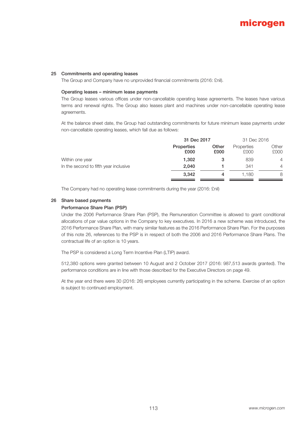#### **25 Commitments and operating leases**

The Group and Company have no unprovided financial commitments (2016: £nil).

#### **Operating leases – minimum lease payments**

The Group leases various offices under non-cancellable operating lease agreements. The leases have various terms and renewal rights. The Group also leases plant and machines under non-cancellable operating lease agreements.

At the balance sheet date, the Group had outstanding commitments for future minimum lease payments under non-cancellable operating leases, which fall due as follows:

|                                       | 31 Dec 2017               |               | 31 Dec 2016        |                |
|---------------------------------------|---------------------------|---------------|--------------------|----------------|
|                                       | <b>Properties</b><br>£000 | Other<br>£000 | Properties<br>£000 | Other<br>£000  |
| Within one year                       | 1,302                     | 3             | 839                | $\overline{4}$ |
| In the second to fifth year inclusive | 2.040                     |               | 341                | $\overline{4}$ |
|                                       | 3.342                     | 4             | 1.180              | 8              |

The Company had no operating lease commitments during the year (2016: £nil)

#### **26 Share based payments**

#### **Performance Share Plan (PSP)**

Under the 2006 Performance Share Plan (PSP), the Remuneration Committee is allowed to grant conditional allocations of par value options in the Company to key executives. In 2016 a new scheme was introduced, the 2016 Performance Share Plan, with many similar features as the 2016 Performance Share Plan. For the purposes of this note 26, references to the PSP is in respect of both the 2006 and 2016 Performance Share Plans. The contractual life of an option is 10 years.

The PSP is considered a Long Term Incentive Plan (LTIP) award.

512,380 options were granted between 10 August and 2 October 2017 (2016: 987,513 awards granted). The performance conditions are in line with those described for the Executive Directors on page 49.

At the year end there were 30 (2016: 26) employees currently participating in the scheme. Exercise of an option is subject to continued employment.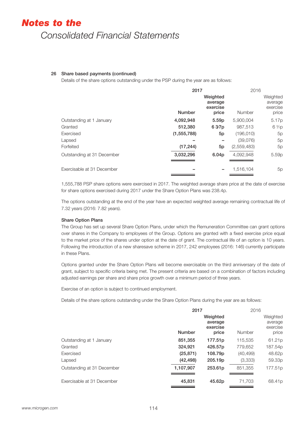#### **26 Share based payments (continued)**

Details of the share options outstanding under the PSP during the year are as follows:

|                            | 2017          |                                          | 2016        |                                          |
|----------------------------|---------------|------------------------------------------|-------------|------------------------------------------|
|                            | <b>Number</b> | Weighted<br>average<br>exercise<br>price | Number      | Weighted<br>average<br>exercise<br>price |
| Outstanding at 1 January   | 4,092,948     | 5.59 <sub>p</sub>                        | 5,900,004   | 5.17p                                    |
| Granted                    | 512,380       | 63/7p                                    | 987,513     | $6\frac{3}{7}p$                          |
| Exercised                  | (1, 555, 788) | 5p                                       | (196, 010)  | 5p                                       |
| Lapsed                     |               |                                          | (39,076)    | 5p                                       |
| Forfeited                  | (17, 244)     | 5p                                       | (2,559,483) | 5p                                       |
| Outstanding at 31 December | 3,032,296     | 6.04p                                    | 4,092,948   | 5.59 <sub>p</sub>                        |
| Exercisable at 31 December |               | -                                        | 1,516,104   | 5p                                       |

1,555,788 PSP share options were exercised in 2017. The weighted average share price at the date of exercise for share options exercised during 2017 under the Share Option Plans was 238.4p.

The options outstanding at the end of the year have an expected weighted average remaining contractual life of 7.32 years (2016: 7.82 years).

### **Share Option Plans**

The Group has set up several Share Option Plans, under which the Remuneration Committee can grant options over shares in the Company to employees of the Group. Options are granted with a fixed exercise price equal to the market price of the shares under option at the date of grant. The contractual life of an option is 10 years. Following the introduction of a new sharesave scheme in 2017, 242 employees (2016: 146) currently participate in these Plans.

Options granted under the Share Option Plans will become exercisable on the third anniversary of the date of grant, subject to specific criteria being met. The present criteria are based on a combination of factors including adjusted earnings per share and share price growth over a minimum period of three years.

Exercise of an option is subject to continued employment.

Details of the share options outstanding under the Share Option Plans during the year are as follows:

|                            | 2017          |                                          | 2016      |                                          |
|----------------------------|---------------|------------------------------------------|-----------|------------------------------------------|
|                            | <b>Number</b> | Weighted<br>average<br>exercise<br>price | Number    | Weighted<br>average<br>exercise<br>price |
| Outstanding at 1 January   | 851,355       | 177.51 <sub>p</sub>                      | 115,535   | 61.21 <sub>p</sub>                       |
| Granted                    | 324,921       | 426.57p                                  | 779,652   | 187.54p                                  |
| Exercised                  | (25, 871)     | 108.79p                                  | (40, 499) | 48.62p                                   |
| Lapsed                     | (42, 498)     | 205.19p                                  | (3,333)   | 59.33p                                   |
| Outstanding at 31 December | 1,107,907     | 253.61 <sub>p</sub>                      | 851,355   | 177.51p                                  |
| Exercisable at 31 December | 45,831        | 45.62p                                   | 71,703    | 68.41 <sub>p</sub>                       |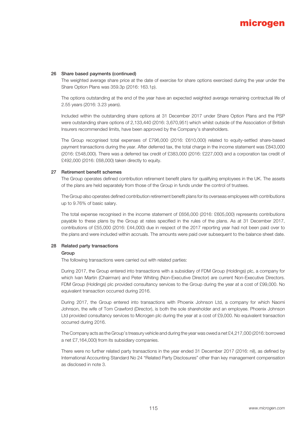# **microgen**

#### **26 Share based payments (continued)**

The weighted average share price at the date of exercise for share options exercised during the year under the Share Option Plans was 359.3p (2016: 163.1p).

The options outstanding at the end of the year have an expected weighted average remaining contractual life of 2.55 years (2016: 3.23 years).

Included within the outstanding share options at 31 December 2017 under Share Option Plans and the PSP were outstanding share options of 2,133,440 (2016: 3,670,951) which whilst outside of the Association of British Insurers recommended limits, have been approved by the Company's shareholders.

The Group recognised total expenses of £796,000 (2016: £610,000) related to equity-settled share-based payment transactions during the year. After deferred tax, the total charge in the income statement was £843,000 (2016: £548,000). There was a deferred tax credit of £383,000 (2016: £227,000) and a corporation tax credit of £492,000 (2016: £68,000) taken directly to equity.

#### **27 Retirement benefit schemes**

The Group operates defined contribution retirement benefit plans for qualifying employees in the UK. The assets of the plans are held separately from those of the Group in funds under the control of trustees.

The Group also operates defined contribution retirement benefit plans for its overseas employees with contributions up to 9.76% of basic salary.

The total expense recognised in the income statement of £656,000 (2016: £605,000) represents contributions payable to these plans by the Group at rates specified in the rules of the plans. As at 31 December 2017, contributions of £55,000 (2016: £44,000) due in respect of the 2017 reporting year had not been paid over to the plans and were included within accruals. The amounts were paid over subsequent to the balance sheet date.

#### **28 Related party transactions**

#### **Group**

The following transactions were carried out with related parties:

During 2017, the Group entered into transactions with a subsidiary of FDM Group (Holdings) plc, a company for which Ivan Martin (Chairman) and Peter Whiting (Non-Executive Director) are current Non-Executive Directors. FDM Group (Holdings) plc provided consultancy services to the Group during the year at a cost of £99,000. No equivalent transaction occurred during 2016.

During 2017, the Group entered into transactions with Phoenix Johnson Ltd, a company for which Naomi Johnson, the wife of Tom Crawford (Director), is both the sole shareholder and an employee. Phoenix Johnson Ltd provided consultancy services to Microgen plc during the year at a cost of £9,000. No equivalent transaction occurred during 2016.

The Company acts as the Group's treasury vehicle and during the year was owed a net £4,217,000 (2016: borrowed a net £7,164,000) from its subsidiary companies.

There were no further related party transactions in the year ended 31 December 2017 (2016: nil), as defined by International Accounting Standard No 24 "Related Party Disclosures" other than key management compensation as disclosed in note 3.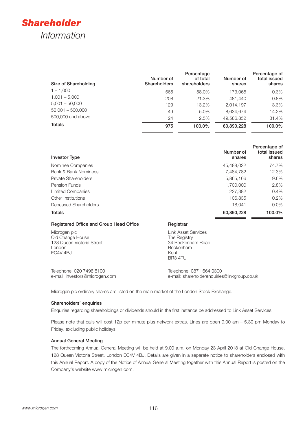

| Size of Shareholding | Number of<br><b>Shareholders</b> | Percentage<br>of total<br>shareholders | Number of<br>shares | Percentage of<br>total issued<br>shares |
|----------------------|----------------------------------|----------------------------------------|---------------------|-----------------------------------------|
| $1 - 1.000$          | 565                              | 58.0%                                  | 173,065             | 0.3%                                    |
| $1,001 - 5,000$      | 208                              | 21.3%                                  | 481,440             | 0.8%                                    |
| $5,001 - 50,000$     | 129                              | 13.2%                                  | 2,014,197           | 3.3%                                    |
| $50,001 - 500,000$   | 49                               | 5.0%                                   | 8,634,674           | 14.2%                                   |
| 500,000 and above    | 24                               | 2.5%                                   | 49,586,852          | 81.4%                                   |
| <b>Totals</b>        | 975                              | 100.0%                                 | 60,890,228          | 100.0%                                  |

| <b>Investor Type</b>  | Number of<br>shares | Percentage of<br>total issued<br>shares |
|-----------------------|---------------------|-----------------------------------------|
| Nominee Companies     | 45,488,022          | 74.7%                                   |
| Bank & Bank Nominees  | 7,484,782           | 12.3%                                   |
| Private Shareholders  | 5,865,166           | 9.6%                                    |
| Pension Funds         | 1,700,000           | 2.8%                                    |
| Limited Companies     | 227,382             | 0.4%                                    |
| Other Institutions    | 106,835             | 0.2%                                    |
| Deceased Shareholders | 18.041              | 0.0%                                    |
| <b>Totals</b>         | 60,890,228          | 100.0%                                  |

# **Registered Office and Group Head Office Registrar**

Microgen plc Old Change House 128 Queen Victoria Street London EC4V 4BJ

Link Asset Services The Registry 34 Beckenham Road Beckenham Kent BR3 4TU

Telephone: 020 7496 8100 e-mail: investors@microgen.com Telephone: 0871 664 0300 e-mail: shareholderenquiries@linkgroup.co.uk

Microgen plc ordinary shares are listed on the main market of the London Stock Exchange.

### **Shareholders' enquiries**

Enquiries regarding shareholdings or dividends should in the first instance be addressed to Link Asset Services.

Please note that calls will cost 12p per minute plus network extras. Lines are open 9.00 am – 5.30 pm Monday to Friday, excluding public holidays.

#### **Annual General Meeting**

The forthcoming Annual General Meeting will be held at 9.00 a.m. on Monday 23 April 2018 at Old Change House, 128 Queen Victoria Street, London EC4V 4BJ. Details are given in a separate notice to shareholders enclosed with this Annual Report. A copy of the Notice of Annual General Meeting together with this Annual Report is posted on the Company's website www.microgen.com.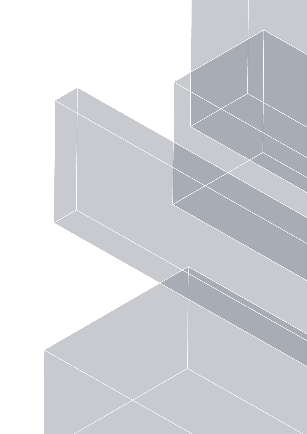